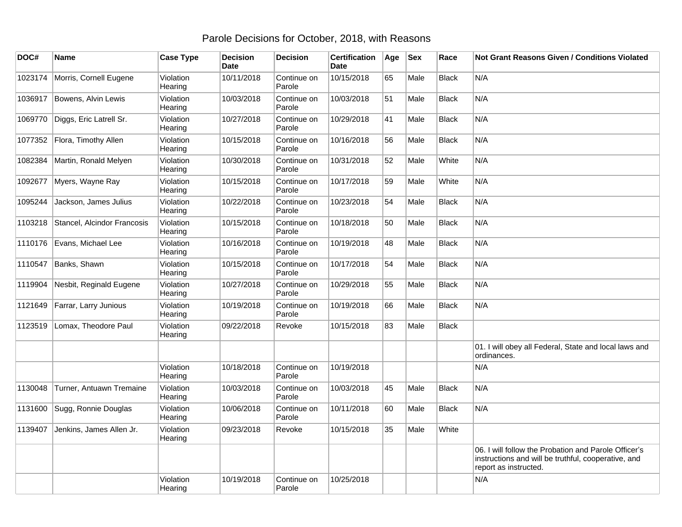## Parole Decisions for October, 2018, with Reasons

| DOC#    | <b>Name</b>                  | <b>Case Type</b>     | <b>Decision</b><br><b>Date</b> | <b>Decision</b>       | <b>Certification</b><br><b>Date</b> | Age | <b>Sex</b> | Race         | Not Grant Reasons Given / Conditions Violated                                                                                        |
|---------|------------------------------|----------------------|--------------------------------|-----------------------|-------------------------------------|-----|------------|--------------|--------------------------------------------------------------------------------------------------------------------------------------|
| 1023174 | Morris, Cornell Eugene       | Violation<br>Hearing | 10/11/2018                     | Continue on<br>Parole | 10/15/2018                          | 65  | Male       | <b>Black</b> | N/A                                                                                                                                  |
| 1036917 | Bowens, Alvin Lewis          | Violation<br>Hearing | 10/03/2018                     | Continue on<br>Parole | 10/03/2018                          | 51  | Male       | <b>Black</b> | N/A                                                                                                                                  |
| 1069770 | Diggs, Eric Latrell Sr.      | Violation<br>Hearing | 10/27/2018                     | Continue on<br>Parole | 10/29/2018                          | 41  | Male       | <b>Black</b> | N/A                                                                                                                                  |
|         | 1077352 Flora, Timothy Allen | Violation<br>Hearing | 10/15/2018                     | Continue on<br>Parole | 10/16/2018                          | 56  | Male       | <b>Black</b> | N/A                                                                                                                                  |
| 1082384 | Martin, Ronald Melyen        | Violation<br>Hearing | 10/30/2018                     | Continue on<br>Parole | 10/31/2018                          | 52  | Male       | White        | N/A                                                                                                                                  |
| 1092677 | Myers, Wayne Ray             | Violation<br>Hearing | 10/15/2018                     | Continue on<br>Parole | 10/17/2018                          | 59  | Male       | White        | N/A                                                                                                                                  |
| 1095244 | Jackson, James Julius        | Violation<br>Hearing | 10/22/2018                     | Continue on<br>Parole | 10/23/2018                          | 54  | Male       | <b>Black</b> | N/A                                                                                                                                  |
| 1103218 | Stancel, Alcindor Francosis  | Violation<br>Hearing | 10/15/2018                     | Continue on<br>Parole | 10/18/2018                          | 50  | Male       | <b>Black</b> | N/A                                                                                                                                  |
| 1110176 | Evans, Michael Lee           | Violation<br>Hearing | 10/16/2018                     | Continue on<br>Parole | 10/19/2018                          | 48  | Male       | <b>Black</b> | N/A                                                                                                                                  |
| 1110547 | Banks, Shawn                 | Violation<br>Hearing | 10/15/2018                     | Continue on<br>Parole | 10/17/2018                          | 54  | Male       | <b>Black</b> | N/A                                                                                                                                  |
| 1119904 | Nesbit, Reginald Eugene      | Violation<br>Hearing | 10/27/2018                     | Continue on<br>Parole | 10/29/2018                          | 55  | Male       | <b>Black</b> | N/A                                                                                                                                  |
| 1121649 | Farrar, Larry Junious        | Violation<br>Hearing | 10/19/2018                     | Continue on<br>Parole | 10/19/2018                          | 66  | Male       | Black        | N/A                                                                                                                                  |
| 1123519 | Lomax, Theodore Paul         | Violation<br>Hearing | 09/22/2018                     | Revoke                | 10/15/2018                          | 83  | Male       | Black        |                                                                                                                                      |
|         |                              |                      |                                |                       |                                     |     |            |              | 01. I will obey all Federal, State and local laws and<br>ordinances.                                                                 |
|         |                              | Violation<br>Hearing | 10/18/2018                     | Continue on<br>Parole | 10/19/2018                          |     |            |              | N/A                                                                                                                                  |
| 1130048 | Turner, Antuawn Tremaine     | Violation<br>Hearing | 10/03/2018                     | Continue on<br>Parole | 10/03/2018                          | 45  | Male       | <b>Black</b> | N/A                                                                                                                                  |
| 1131600 | Sugg, Ronnie Douglas         | Violation<br>Hearing | 10/06/2018                     | Continue on<br>Parole | 10/11/2018                          | 60  | Male       | Black        | N/A                                                                                                                                  |
| 1139407 | Jenkins, James Allen Jr.     | Violation<br>Hearing | 09/23/2018                     | Revoke                | 10/15/2018                          | 35  | Male       | White        |                                                                                                                                      |
|         |                              |                      |                                |                       |                                     |     |            |              | 06. I will follow the Probation and Parole Officer's<br>instructions and will be truthful, cooperative, and<br>report as instructed. |
|         |                              | Violation<br>Hearing | 10/19/2018                     | Continue on<br>Parole | 10/25/2018                          |     |            |              | N/A                                                                                                                                  |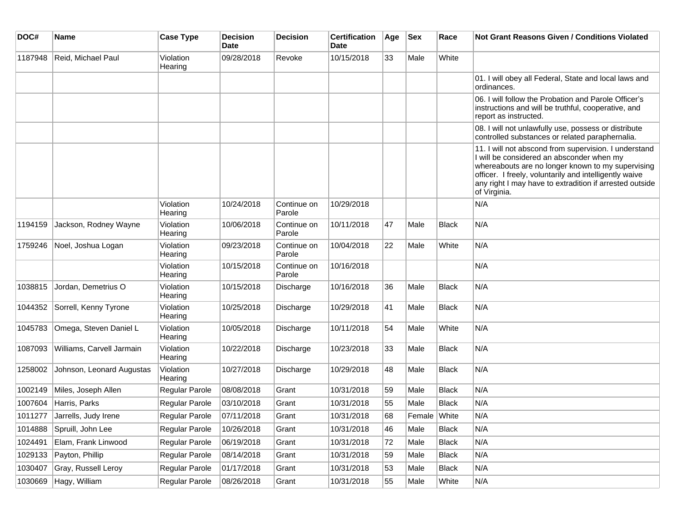| DOC#    | <b>Name</b>                  | <b>Case Type</b>      | <b>Decision</b><br>Date | <b>Decision</b>       | <b>Certification</b><br>Date | Age | <b>Sex</b>   | Race         | Not Grant Reasons Given / Conditions Violated                                                                                                                                                                                                                                                |
|---------|------------------------------|-----------------------|-------------------------|-----------------------|------------------------------|-----|--------------|--------------|----------------------------------------------------------------------------------------------------------------------------------------------------------------------------------------------------------------------------------------------------------------------------------------------|
| 1187948 | Reid, Michael Paul           | Violation<br>Hearing  | 09/28/2018              | Revoke                | 10/15/2018                   | 33  | Male         | White        |                                                                                                                                                                                                                                                                                              |
|         |                              |                       |                         |                       |                              |     |              |              | 01. I will obey all Federal, State and local laws and<br>ordinances.                                                                                                                                                                                                                         |
|         |                              |                       |                         |                       |                              |     |              |              | 06. I will follow the Probation and Parole Officer's<br>instructions and will be truthful, cooperative, and<br>report as instructed.                                                                                                                                                         |
|         |                              |                       |                         |                       |                              |     |              |              | 08. I will not unlawfully use, possess or distribute<br>controlled substances or related paraphernalia.                                                                                                                                                                                      |
|         |                              |                       |                         |                       |                              |     |              |              | 11. I will not abscond from supervision. I understand<br>I will be considered an absconder when my<br>whereabouts are no longer known to my supervising<br>officer. I freely, voluntarily and intelligently waive<br>any right I may have to extradition if arrested outside<br>of Virginia. |
|         |                              | Violation<br>Hearing  | 10/24/2018              | Continue on<br>Parole | 10/29/2018                   |     |              |              | N/A                                                                                                                                                                                                                                                                                          |
| 1194159 | Jackson, Rodney Wayne        | Violation<br>Hearing  | 10/06/2018              | Continue on<br>Parole | 10/11/2018                   | 47  | Male         | <b>Black</b> | N/A                                                                                                                                                                                                                                                                                          |
| 1759246 | Noel, Joshua Logan           | Violation<br>Hearing  | 09/23/2018              | Continue on<br>Parole | 10/04/2018                   | 22  | Male         | White        | N/A                                                                                                                                                                                                                                                                                          |
|         |                              | Violation<br>Hearing  | 10/15/2018              | Continue on<br>Parole | 10/16/2018                   |     |              |              | N/A                                                                                                                                                                                                                                                                                          |
| 1038815 | Jordan, Demetrius O          | Violation<br>Hearing  | 10/15/2018              | Discharge             | 10/16/2018                   | 36  | Male         | <b>Black</b> | N/A                                                                                                                                                                                                                                                                                          |
| 1044352 | Sorrell, Kenny Tyrone        | Violation<br>Hearing  | 10/25/2018              | Discharge             | 10/29/2018                   | 41  | Male         | <b>Black</b> | N/A                                                                                                                                                                                                                                                                                          |
| 1045783 | Omega, Steven Daniel L       | Violation<br>Hearing  | 10/05/2018              | Discharge             | 10/11/2018                   | 54  | Male         | White        | N/A                                                                                                                                                                                                                                                                                          |
| 1087093 | Williams, Carvell Jarmain    | Violation<br>Hearing  | 10/22/2018              | Discharge             | 10/23/2018                   | 33  | Male         | <b>Black</b> | N/A                                                                                                                                                                                                                                                                                          |
| 1258002 | Johnson, Leonard Augustas    | Violation<br>Hearing  | 10/27/2018              | Discharge             | 10/29/2018                   | 48  | Male         | Black        | N/A                                                                                                                                                                                                                                                                                          |
| 1002149 | Miles, Joseph Allen          | <b>Regular Parole</b> | 08/08/2018              | Grant                 | 10/31/2018                   | 59  | Male         | <b>Black</b> | N/A                                                                                                                                                                                                                                                                                          |
|         | 1007604 Harris, Parks        | <b>Regular Parole</b> | 03/10/2018              | Grant                 | 10/31/2018                   | 55  | Male         | <b>Black</b> | N/A                                                                                                                                                                                                                                                                                          |
|         | 1011277 Jarrells, Judy Irene | Regular Parole        | 07/11/2018              | Grant                 | 10/31/2018                   | 68  | Female White |              | N/A                                                                                                                                                                                                                                                                                          |
|         | 1014888 Spruill, John Lee    | <b>Regular Parole</b> | 10/26/2018              | Grant                 | 10/31/2018                   | 46  | Male         | Black        | N/A                                                                                                                                                                                                                                                                                          |
| 1024491 | Elam, Frank Linwood          | Regular Parole        | 06/19/2018              | Grant                 | 10/31/2018                   | 72  | Male         | <b>Black</b> | N/A                                                                                                                                                                                                                                                                                          |
| 1029133 | Payton, Phillip              | Regular Parole        | 08/14/2018              | Grant                 | 10/31/2018                   | 59  | Male         | Black        | N/A                                                                                                                                                                                                                                                                                          |
| 1030407 | Gray, Russell Leroy          | Regular Parole        | 01/17/2018              | Grant                 | 10/31/2018                   | 53  | Male         | Black        | N/A                                                                                                                                                                                                                                                                                          |
| 1030669 | Hagy, William                | Regular Parole        | 08/26/2018              | Grant                 | 10/31/2018                   | 55  | Male         | White        | N/A                                                                                                                                                                                                                                                                                          |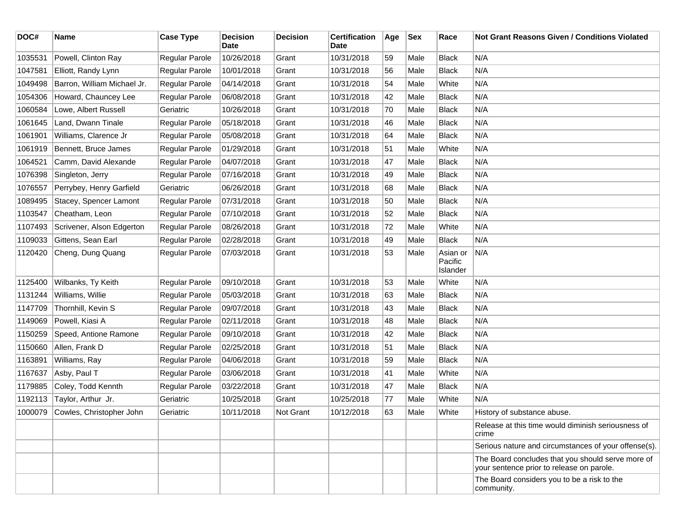| DOC#    | <b>Name</b>                 | <b>Case Type</b> | <b>Decision</b><br>Date | <b>Decision</b>  | <b>Certification</b><br>Date | Age | Sex  | Race                            | <b>Not Grant Reasons Given / Conditions Violated</b>                                           |
|---------|-----------------------------|------------------|-------------------------|------------------|------------------------------|-----|------|---------------------------------|------------------------------------------------------------------------------------------------|
| 1035531 | Powell, Clinton Ray         | Regular Parole   | 10/26/2018              | Grant            | 10/31/2018                   | 59  | Male | <b>Black</b>                    | N/A                                                                                            |
| 1047581 | Elliott, Randy Lynn         | Regular Parole   | 10/01/2018              | Grant            | 10/31/2018                   | 56  | Male | <b>Black</b>                    | N/A                                                                                            |
| 1049498 | Barron, William Michael Jr. | Regular Parole   | 04/14/2018              | Grant            | 10/31/2018                   | 54  | Male | White                           | N/A                                                                                            |
| 1054306 | Howard, Chauncey Lee        | Regular Parole   | 06/08/2018              | Grant            | 10/31/2018                   | 42  | Male | <b>Black</b>                    | N/A                                                                                            |
| 1060584 | Lowe, Albert Russell        | Geriatric        | 10/26/2018              | Grant            | 10/31/2018                   | 70  | Male | <b>Black</b>                    | N/A                                                                                            |
| 1061645 | Land, Dwann Tinale          | Regular Parole   | 05/18/2018              | Grant            | 10/31/2018                   | 46  | Male | <b>Black</b>                    | N/A                                                                                            |
| 1061901 | Williams, Clarence Jr       | Regular Parole   | 05/08/2018              | Grant            | 10/31/2018                   | 64  | Male | <b>Black</b>                    | N/A                                                                                            |
| 1061919 | Bennett, Bruce James        | Regular Parole   | 01/29/2018              | Grant            | 10/31/2018                   | 51  | Male | White                           | N/A                                                                                            |
| 1064521 | Camm, David Alexande        | Regular Parole   | 04/07/2018              | Grant            | 10/31/2018                   | 47  | Male | <b>Black</b>                    | N/A                                                                                            |
| 1076398 | Singleton, Jerry            | Regular Parole   | 07/16/2018              | Grant            | 10/31/2018                   | 49  | Male | <b>Black</b>                    | N/A                                                                                            |
| 1076557 | Perrybey, Henry Garfield    | Geriatric        | 06/26/2018              | Grant            | 10/31/2018                   | 68  | Male | <b>Black</b>                    | N/A                                                                                            |
| 1089495 | Stacey, Spencer Lamont      | Regular Parole   | 07/31/2018              | Grant            | 10/31/2018                   | 50  | Male | <b>Black</b>                    | N/A                                                                                            |
| 1103547 | Cheatham, Leon              | Regular Parole   | 07/10/2018              | Grant            | 10/31/2018                   | 52  | Male | <b>Black</b>                    | N/A                                                                                            |
| 1107493 | Scrivener, Alson Edgerton   | Regular Parole   | 08/26/2018              | Grant            | 10/31/2018                   | 72  | Male | White                           | N/A                                                                                            |
| 1109033 | Gittens, Sean Earl          | Regular Parole   | 02/28/2018              | Grant            | 10/31/2018                   | 49  | Male | <b>Black</b>                    | N/A                                                                                            |
| 1120420 | Cheng, Dung Quang           | Regular Parole   | 07/03/2018              | Grant            | 10/31/2018                   | 53  | Male | Asian or<br>Pacific<br>Islander | N/A                                                                                            |
| 1125400 | Wilbanks, Ty Keith          | Regular Parole   | 09/10/2018              | Grant            | 10/31/2018                   | 53  | Male | White                           | N/A                                                                                            |
| 1131244 | Williams, Willie            | Regular Parole   | 05/03/2018              | Grant            | 10/31/2018                   | 63  | Male | <b>Black</b>                    | N/A                                                                                            |
| 1147709 | Thornhill, Kevin S          | Regular Parole   | 09/07/2018              | Grant            | 10/31/2018                   | 43  | Male | <b>Black</b>                    | N/A                                                                                            |
| 1149069 | Powell, Kiasi A             | Regular Parole   | 02/11/2018              | Grant            | 10/31/2018                   | 48  | Male | <b>Black</b>                    | N/A                                                                                            |
| 1150259 | Speed, Antione Ramone       | Regular Parole   | 09/10/2018              | Grant            | 10/31/2018                   | 42  | Male | <b>Black</b>                    | N/A                                                                                            |
| 1150660 | Allen, Frank D              | Regular Parole   | 02/25/2018              | Grant            | 10/31/2018                   | 51  | Male | <b>Black</b>                    | N/A                                                                                            |
| 1163891 | Williams, Ray               | Regular Parole   | 04/06/2018              | Grant            | 10/31/2018                   | 59  | Male | <b>Black</b>                    | N/A                                                                                            |
| 1167637 | Asby, Paul T                | Regular Parole   | 03/06/2018              | Grant            | 10/31/2018                   | 41  | Male | White                           | N/A                                                                                            |
| 1179885 | Coley, Todd Kennth          | Regular Parole   | 03/22/2018              | Grant            | 10/31/2018                   | 47  | Male | <b>Black</b>                    | N/A                                                                                            |
| 1192113 | Taylor, Arthur Jr.          | Geriatric        | 10/25/2018              | Grant            | 10/25/2018                   | 77  | Male | White                           | N/A                                                                                            |
| 1000079 | Cowles, Christopher John    | Geriatric        | 10/11/2018              | <b>Not Grant</b> | 10/12/2018                   | 63  | Male | White                           | History of substance abuse.                                                                    |
|         |                             |                  |                         |                  |                              |     |      |                                 | Release at this time would diminish seriousness of<br>crime                                    |
|         |                             |                  |                         |                  |                              |     |      |                                 | Serious nature and circumstances of your offense(s).                                           |
|         |                             |                  |                         |                  |                              |     |      |                                 | The Board concludes that you should serve more of<br>your sentence prior to release on parole. |
|         |                             |                  |                         |                  |                              |     |      |                                 | The Board considers you to be a risk to the<br>community.                                      |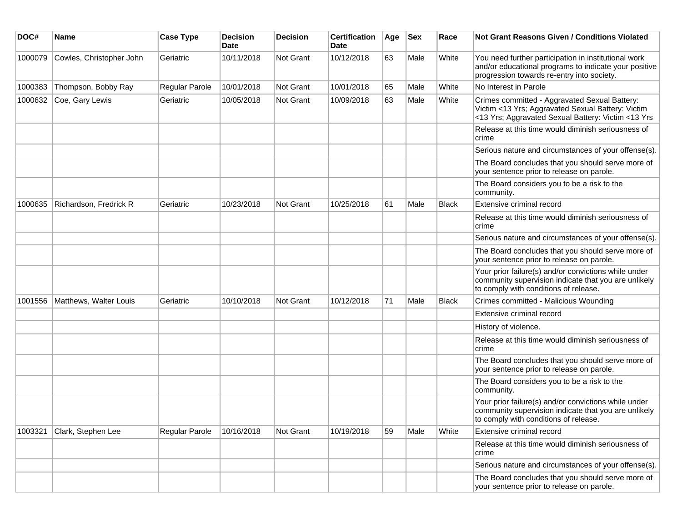| DOC#    | <b>Name</b>              | <b>Case Type</b> | <b>Decision</b><br><b>Date</b> | <b>Decision</b>  | <b>Certification</b><br><b>Date</b> | Age | $ $ Sex | Race         | Not Grant Reasons Given / Conditions Violated                                                                                                               |
|---------|--------------------------|------------------|--------------------------------|------------------|-------------------------------------|-----|---------|--------------|-------------------------------------------------------------------------------------------------------------------------------------------------------------|
| 1000079 | Cowles, Christopher John | Geriatric        | 10/11/2018                     | Not Grant        | 10/12/2018                          | 63  | Male    | White        | You need further participation in institutional work<br>and/or educational programs to indicate your positive<br>progression towards re-entry into society. |
| 1000383 | Thompson, Bobby Ray      | Regular Parole   | 10/01/2018                     | Not Grant        | 10/01/2018                          | 65  | Male    | White        | No Interest in Parole                                                                                                                                       |
| 1000632 | Coe, Gary Lewis          | Geriatric        | 10/05/2018                     | Not Grant        | 10/09/2018                          | 63  | Male    | White        | Crimes committed - Aggravated Sexual Battery:<br>Victim <13 Yrs; Aggravated Sexual Battery: Victim<br><13 Yrs; Aggravated Sexual Battery: Victim <13 Yrs    |
|         |                          |                  |                                |                  |                                     |     |         |              | Release at this time would diminish seriousness of<br>crime                                                                                                 |
|         |                          |                  |                                |                  |                                     |     |         |              | Serious nature and circumstances of your offense(s).                                                                                                        |
|         |                          |                  |                                |                  |                                     |     |         |              | The Board concludes that you should serve more of<br>your sentence prior to release on parole.                                                              |
|         |                          |                  |                                |                  |                                     |     |         |              | The Board considers you to be a risk to the<br>community.                                                                                                   |
| 1000635 | Richardson, Fredrick R   | Geriatric        | 10/23/2018                     | <b>Not Grant</b> | 10/25/2018                          | 61  | Male    | <b>Black</b> | Extensive criminal record                                                                                                                                   |
|         |                          |                  |                                |                  |                                     |     |         |              | Release at this time would diminish seriousness of<br>crime                                                                                                 |
|         |                          |                  |                                |                  |                                     |     |         |              | Serious nature and circumstances of your offense(s).                                                                                                        |
|         |                          |                  |                                |                  |                                     |     |         |              | The Board concludes that you should serve more of<br>your sentence prior to release on parole.                                                              |
|         |                          |                  |                                |                  |                                     |     |         |              | Your prior failure(s) and/or convictions while under<br>community supervision indicate that you are unlikely<br>to comply with conditions of release.       |
| 1001556 | Matthews, Walter Louis   | Geriatric        | 10/10/2018                     | <b>Not Grant</b> | 10/12/2018                          | 71  | Male    | Black        | Crimes committed - Malicious Wounding                                                                                                                       |
|         |                          |                  |                                |                  |                                     |     |         |              | Extensive criminal record                                                                                                                                   |
|         |                          |                  |                                |                  |                                     |     |         |              | History of violence.                                                                                                                                        |
|         |                          |                  |                                |                  |                                     |     |         |              | Release at this time would diminish seriousness of<br>crime                                                                                                 |
|         |                          |                  |                                |                  |                                     |     |         |              | The Board concludes that you should serve more of<br>your sentence prior to release on parole.                                                              |
|         |                          |                  |                                |                  |                                     |     |         |              | The Board considers you to be a risk to the<br>community.                                                                                                   |
|         |                          |                  |                                |                  |                                     |     |         |              | Your prior failure(s) and/or convictions while under<br>community supervision indicate that you are unlikely<br>to comply with conditions of release.       |
| 1003321 | Clark, Stephen Lee       | Regular Parole   | 10/16/2018                     | Not Grant        | 10/19/2018                          | 59  | Male    | White        | Extensive criminal record                                                                                                                                   |
|         |                          |                  |                                |                  |                                     |     |         |              | Release at this time would diminish seriousness of<br>crime                                                                                                 |
|         |                          |                  |                                |                  |                                     |     |         |              | Serious nature and circumstances of your offense(s).                                                                                                        |
|         |                          |                  |                                |                  |                                     |     |         |              | The Board concludes that you should serve more of<br>your sentence prior to release on parole.                                                              |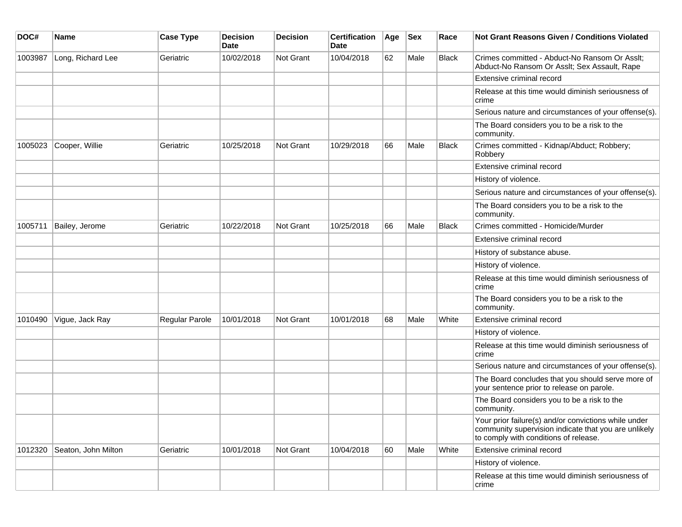| DOC#    | <b>Name</b>         | <b>Case Type</b> | <b>Decision</b><br><b>Date</b> | <b>Decision</b>  | <b>Certification</b><br>Date | Age | <b>Sex</b> | Race         | <b>Not Grant Reasons Given / Conditions Violated</b>                                                                                                  |
|---------|---------------------|------------------|--------------------------------|------------------|------------------------------|-----|------------|--------------|-------------------------------------------------------------------------------------------------------------------------------------------------------|
| 1003987 | Long, Richard Lee   | Geriatric        | 10/02/2018                     | Not Grant        | 10/04/2018                   | 62  | Male       | <b>Black</b> | Crimes committed - Abduct-No Ransom Or Asslt;<br>Abduct-No Ransom Or Asslt; Sex Assault, Rape                                                         |
|         |                     |                  |                                |                  |                              |     |            |              | Extensive criminal record                                                                                                                             |
|         |                     |                  |                                |                  |                              |     |            |              | Release at this time would diminish seriousness of<br>crime                                                                                           |
|         |                     |                  |                                |                  |                              |     |            |              | Serious nature and circumstances of your offense(s).                                                                                                  |
|         |                     |                  |                                |                  |                              |     |            |              | The Board considers you to be a risk to the<br>community.                                                                                             |
| 1005023 | Cooper, Willie      | Geriatric        | 10/25/2018                     | Not Grant        | 10/29/2018                   | 66  | Male       | <b>Black</b> | Crimes committed - Kidnap/Abduct; Robbery;<br>Robbery                                                                                                 |
|         |                     |                  |                                |                  |                              |     |            |              | Extensive criminal record                                                                                                                             |
|         |                     |                  |                                |                  |                              |     |            |              | History of violence.                                                                                                                                  |
|         |                     |                  |                                |                  |                              |     |            |              | Serious nature and circumstances of your offense(s).                                                                                                  |
|         |                     |                  |                                |                  |                              |     |            |              | The Board considers you to be a risk to the<br>community.                                                                                             |
| 1005711 | Bailey, Jerome      | Geriatric        | 10/22/2018                     | Not Grant        | 10/25/2018                   | 66  | Male       | <b>Black</b> | Crimes committed - Homicide/Murder                                                                                                                    |
|         |                     |                  |                                |                  |                              |     |            |              | Extensive criminal record                                                                                                                             |
|         |                     |                  |                                |                  |                              |     |            |              | History of substance abuse.                                                                                                                           |
|         |                     |                  |                                |                  |                              |     |            |              | History of violence.                                                                                                                                  |
|         |                     |                  |                                |                  |                              |     |            |              | Release at this time would diminish seriousness of<br>crime                                                                                           |
|         |                     |                  |                                |                  |                              |     |            |              | The Board considers you to be a risk to the<br>community.                                                                                             |
| 1010490 | Vigue, Jack Ray     | Regular Parole   | 10/01/2018                     | <b>Not Grant</b> | 10/01/2018                   | 68  | Male       | White        | Extensive criminal record                                                                                                                             |
|         |                     |                  |                                |                  |                              |     |            |              | History of violence.                                                                                                                                  |
|         |                     |                  |                                |                  |                              |     |            |              | Release at this time would diminish seriousness of<br>crime                                                                                           |
|         |                     |                  |                                |                  |                              |     |            |              | Serious nature and circumstances of your offense(s).                                                                                                  |
|         |                     |                  |                                |                  |                              |     |            |              | The Board concludes that you should serve more of<br>your sentence prior to release on parole.                                                        |
|         |                     |                  |                                |                  |                              |     |            |              | The Board considers you to be a risk to the<br>community.                                                                                             |
|         |                     |                  |                                |                  |                              |     |            |              | Your prior failure(s) and/or convictions while under<br>community supervision indicate that you are unlikely<br>to comply with conditions of release. |
| 1012320 | Seaton, John Milton | Geriatric        | 10/01/2018                     | <b>Not Grant</b> | 10/04/2018                   | 60  | Male       | White        | Extensive criminal record                                                                                                                             |
|         |                     |                  |                                |                  |                              |     |            |              | History of violence.                                                                                                                                  |
|         |                     |                  |                                |                  |                              |     |            |              | Release at this time would diminish seriousness of<br>crime                                                                                           |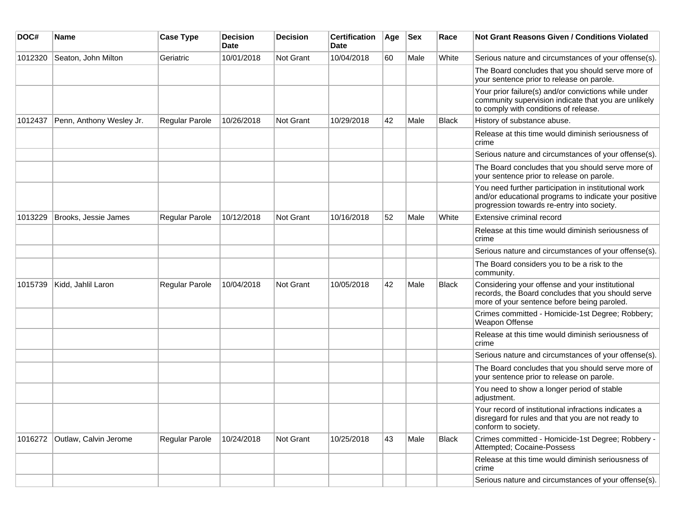| DOC#    | Name                     | <b>Case Type</b> | <b>Decision</b><br><b>Date</b> | <b>Decision</b> | <b>Certification</b><br>Date | Age | <b>Sex</b> | Race         | <b>Not Grant Reasons Given / Conditions Violated</b>                                                                                                        |
|---------|--------------------------|------------------|--------------------------------|-----------------|------------------------------|-----|------------|--------------|-------------------------------------------------------------------------------------------------------------------------------------------------------------|
| 1012320 | Seaton, John Milton      | Geriatric        | 10/01/2018                     | Not Grant       | 10/04/2018                   | 60  | Male       | White        | Serious nature and circumstances of your offense(s).                                                                                                        |
|         |                          |                  |                                |                 |                              |     |            |              | The Board concludes that you should serve more of<br>your sentence prior to release on parole.                                                              |
|         |                          |                  |                                |                 |                              |     |            |              | Your prior failure(s) and/or convictions while under<br>community supervision indicate that you are unlikely<br>to comply with conditions of release.       |
| 1012437 | Penn, Anthony Wesley Jr. | Regular Parole   | 10/26/2018                     | Not Grant       | 10/29/2018                   | 42  | Male       | <b>Black</b> | History of substance abuse.                                                                                                                                 |
|         |                          |                  |                                |                 |                              |     |            |              | Release at this time would diminish seriousness of<br>crime                                                                                                 |
|         |                          |                  |                                |                 |                              |     |            |              | Serious nature and circumstances of your offense(s).                                                                                                        |
|         |                          |                  |                                |                 |                              |     |            |              | The Board concludes that you should serve more of<br>your sentence prior to release on parole.                                                              |
|         |                          |                  |                                |                 |                              |     |            |              | You need further participation in institutional work<br>and/or educational programs to indicate your positive<br>progression towards re-entry into society. |
| 1013229 | Brooks, Jessie James     | Regular Parole   | 10/12/2018                     | Not Grant       | 10/16/2018                   | 52  | Male       | White        | Extensive criminal record                                                                                                                                   |
|         |                          |                  |                                |                 |                              |     |            |              | Release at this time would diminish seriousness of<br>crime                                                                                                 |
|         |                          |                  |                                |                 |                              |     |            |              | Serious nature and circumstances of your offense(s).                                                                                                        |
|         |                          |                  |                                |                 |                              |     |            |              | The Board considers you to be a risk to the<br>community.                                                                                                   |
| 1015739 | Kidd, Jahlil Laron       | Regular Parole   | 10/04/2018                     | Not Grant       | 10/05/2018                   | 42  | Male       | <b>Black</b> | Considering your offense and your institutional<br>records, the Board concludes that you should serve<br>more of your sentence before being paroled.        |
|         |                          |                  |                                |                 |                              |     |            |              | Crimes committed - Homicide-1st Degree; Robbery;<br>Weapon Offense                                                                                          |
|         |                          |                  |                                |                 |                              |     |            |              | Release at this time would diminish seriousness of<br>crime                                                                                                 |
|         |                          |                  |                                |                 |                              |     |            |              | Serious nature and circumstances of your offense(s).                                                                                                        |
|         |                          |                  |                                |                 |                              |     |            |              | The Board concludes that you should serve more of<br>your sentence prior to release on parole.                                                              |
|         |                          |                  |                                |                 |                              |     |            |              | You need to show a longer period of stable<br>adjustment.                                                                                                   |
|         |                          |                  |                                |                 |                              |     |            |              | Your record of institutional infractions indicates a<br>disregard for rules and that you are not ready to<br>conform to society.                            |
| 1016272 | Outlaw, Calvin Jerome    | Regular Parole   | 10/24/2018                     | Not Grant       | 10/25/2018                   | 43  | Male       | Black        | Crimes committed - Homicide-1st Degree; Robbery -<br>Attempted; Cocaine-Possess                                                                             |
|         |                          |                  |                                |                 |                              |     |            |              | Release at this time would diminish seriousness of<br>crime                                                                                                 |
|         |                          |                  |                                |                 |                              |     |            |              | Serious nature and circumstances of your offense(s).                                                                                                        |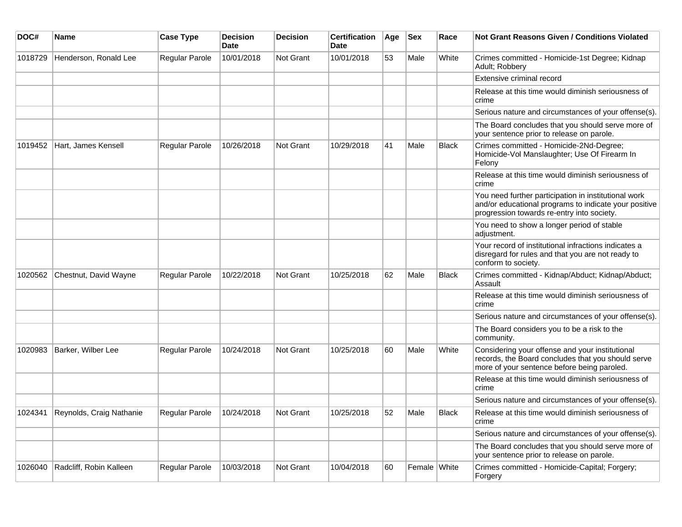| DOC#    | Name                     | <b>Case Type</b>      | <b>Decision</b><br><b>Date</b> | <b>Decision</b>  | <b>Certification</b><br><b>Date</b> | Age | <b>Sex</b>   | Race         | <b>Not Grant Reasons Given / Conditions Violated</b>                                                                                                        |
|---------|--------------------------|-----------------------|--------------------------------|------------------|-------------------------------------|-----|--------------|--------------|-------------------------------------------------------------------------------------------------------------------------------------------------------------|
| 1018729 | Henderson, Ronald Lee    | Regular Parole        | 10/01/2018                     | <b>Not Grant</b> | 10/01/2018                          | 53  | Male         | White        | Crimes committed - Homicide-1st Degree; Kidnap<br>Adult; Robbery                                                                                            |
|         |                          |                       |                                |                  |                                     |     |              |              | Extensive criminal record                                                                                                                                   |
|         |                          |                       |                                |                  |                                     |     |              |              | Release at this time would diminish seriousness of<br>crime                                                                                                 |
|         |                          |                       |                                |                  |                                     |     |              |              | Serious nature and circumstances of your offense(s).                                                                                                        |
|         |                          |                       |                                |                  |                                     |     |              |              | The Board concludes that you should serve more of<br>your sentence prior to release on parole.                                                              |
| 1019452 | Hart, James Kensell      | Regular Parole        | 10/26/2018                     | <b>Not Grant</b> | 10/29/2018                          | 41  | Male         | <b>Black</b> | Crimes committed - Homicide-2Nd-Degree;<br>Homicide-Vol Manslaughter; Use Of Firearm In<br>Felony                                                           |
|         |                          |                       |                                |                  |                                     |     |              |              | Release at this time would diminish seriousness of<br>crime                                                                                                 |
|         |                          |                       |                                |                  |                                     |     |              |              | You need further participation in institutional work<br>and/or educational programs to indicate your positive<br>progression towards re-entry into society. |
|         |                          |                       |                                |                  |                                     |     |              |              | You need to show a longer period of stable<br>adjustment.                                                                                                   |
|         |                          |                       |                                |                  |                                     |     |              |              | Your record of institutional infractions indicates a<br>disregard for rules and that you are not ready to<br>conform to society.                            |
| 1020562 | Chestnut, David Wayne    | Regular Parole        | 10/22/2018                     | <b>Not Grant</b> | 10/25/2018                          | 62  | Male         | <b>Black</b> | Crimes committed - Kidnap/Abduct; Kidnap/Abduct;<br>Assault                                                                                                 |
|         |                          |                       |                                |                  |                                     |     |              |              | Release at this time would diminish seriousness of<br>crime                                                                                                 |
|         |                          |                       |                                |                  |                                     |     |              |              | Serious nature and circumstances of your offense(s).                                                                                                        |
|         |                          |                       |                                |                  |                                     |     |              |              | The Board considers you to be a risk to the<br>community.                                                                                                   |
| 1020983 | Barker, Wilber Lee       | <b>Regular Parole</b> | 10/24/2018                     | <b>Not Grant</b> | 10/25/2018                          | 60  | Male         | White        | Considering your offense and your institutional<br>records, the Board concludes that you should serve<br>more of your sentence before being paroled.        |
|         |                          |                       |                                |                  |                                     |     |              |              | Release at this time would diminish seriousness of<br>crime                                                                                                 |
|         |                          |                       |                                |                  |                                     |     |              |              | Serious nature and circumstances of your offense(s).                                                                                                        |
| 1024341 | Reynolds, Craig Nathanie | <b>Regular Parole</b> | 10/24/2018                     | <b>Not Grant</b> | 10/25/2018                          | 52  | Male         | Black        | Release at this time would diminish seriousness of<br>crime                                                                                                 |
|         |                          |                       |                                |                  |                                     |     |              |              | Serious nature and circumstances of your offense(s).                                                                                                        |
|         |                          |                       |                                |                  |                                     |     |              |              | The Board concludes that you should serve more of<br>your sentence prior to release on parole.                                                              |
| 1026040 | Radcliff, Robin Kalleen  | Regular Parole        | 10/03/2018                     | <b>Not Grant</b> | 10/04/2018                          | 60  | Female White |              | Crimes committed - Homicide-Capital; Forgery;<br>Forgery                                                                                                    |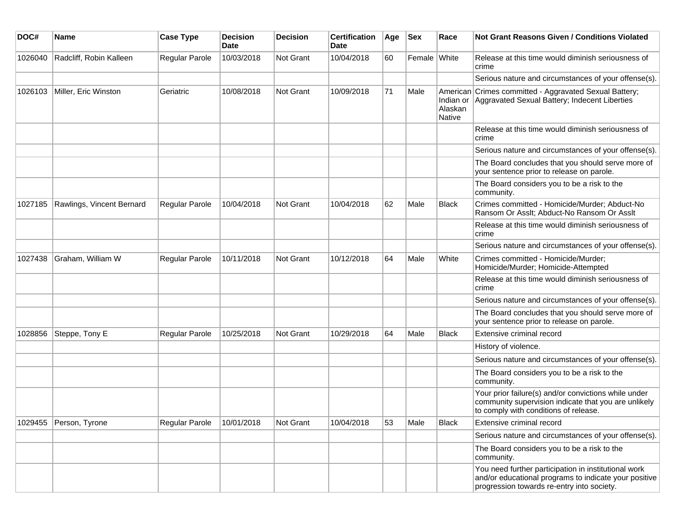| DOC#    | <b>Name</b>               | <b>Case Type</b> | <b>Decision</b><br><b>Date</b> | <b>Decision</b>  | <b>Certification</b><br>Date | Age | <b>Sex</b>   | Race                           | <b>Not Grant Reasons Given / Conditions Violated</b>                                                                                                        |
|---------|---------------------------|------------------|--------------------------------|------------------|------------------------------|-----|--------------|--------------------------------|-------------------------------------------------------------------------------------------------------------------------------------------------------------|
| 1026040 | Radcliff, Robin Kalleen   | Regular Parole   | 10/03/2018                     | Not Grant        | 10/04/2018                   | 60  | Female White |                                | Release at this time would diminish seriousness of<br>crime                                                                                                 |
|         |                           |                  |                                |                  |                              |     |              |                                | Serious nature and circumstances of your offense(s).                                                                                                        |
| 1026103 | Miller, Eric Winston      | Geriatric        | 10/08/2018                     | <b>Not Grant</b> | 10/09/2018                   | 71  | Male         | Indian or<br>Alaskan<br>Native | American Crimes committed - Aggravated Sexual Battery;<br>Aggravated Sexual Battery; Indecent Liberties                                                     |
|         |                           |                  |                                |                  |                              |     |              |                                | Release at this time would diminish seriousness of<br>crime                                                                                                 |
|         |                           |                  |                                |                  |                              |     |              |                                | Serious nature and circumstances of your offense(s).                                                                                                        |
|         |                           |                  |                                |                  |                              |     |              |                                | The Board concludes that you should serve more of<br>your sentence prior to release on parole.                                                              |
|         |                           |                  |                                |                  |                              |     |              |                                | The Board considers you to be a risk to the<br>community.                                                                                                   |
| 1027185 | Rawlings, Vincent Bernard | Regular Parole   | 10/04/2018                     | Not Grant        | 10/04/2018                   | 62  | Male         | Black                          | Crimes committed - Homicide/Murder; Abduct-No<br>Ransom Or Asslt; Abduct-No Ransom Or Asslt                                                                 |
|         |                           |                  |                                |                  |                              |     |              |                                | Release at this time would diminish seriousness of<br>crime                                                                                                 |
|         |                           |                  |                                |                  |                              |     |              |                                | Serious nature and circumstances of your offense(s).                                                                                                        |
| 1027438 | Graham, William W         | Regular Parole   | 10/11/2018                     | <b>Not Grant</b> | 10/12/2018                   | 64  | Male         | White                          | Crimes committed - Homicide/Murder;<br>Homicide/Murder; Homicide-Attempted                                                                                  |
|         |                           |                  |                                |                  |                              |     |              |                                | Release at this time would diminish seriousness of<br>crime                                                                                                 |
|         |                           |                  |                                |                  |                              |     |              |                                | Serious nature and circumstances of your offense(s).                                                                                                        |
|         |                           |                  |                                |                  |                              |     |              |                                | The Board concludes that you should serve more of<br>your sentence prior to release on parole.                                                              |
| 1028856 | Steppe, Tony E            | Regular Parole   | 10/25/2018                     | <b>Not Grant</b> | 10/29/2018                   | 64  | Male         | Black                          | Extensive criminal record                                                                                                                                   |
|         |                           |                  |                                |                  |                              |     |              |                                | History of violence.                                                                                                                                        |
|         |                           |                  |                                |                  |                              |     |              |                                | Serious nature and circumstances of your offense(s).                                                                                                        |
|         |                           |                  |                                |                  |                              |     |              |                                | The Board considers you to be a risk to the<br>community.                                                                                                   |
|         |                           |                  |                                |                  |                              |     |              |                                | Your prior failure(s) and/or convictions while under<br>community supervision indicate that you are unlikely<br>to comply with conditions of release.       |
|         | 1029455 Person, Tyrone    | Regular Parole   | 10/01/2018                     | Not Grant        | 10/04/2018                   | 53  | Male         | Black                          | Extensive criminal record                                                                                                                                   |
|         |                           |                  |                                |                  |                              |     |              |                                | Serious nature and circumstances of your offense(s).                                                                                                        |
|         |                           |                  |                                |                  |                              |     |              |                                | The Board considers you to be a risk to the<br>community.                                                                                                   |
|         |                           |                  |                                |                  |                              |     |              |                                | You need further participation in institutional work<br>and/or educational programs to indicate your positive<br>progression towards re-entry into society. |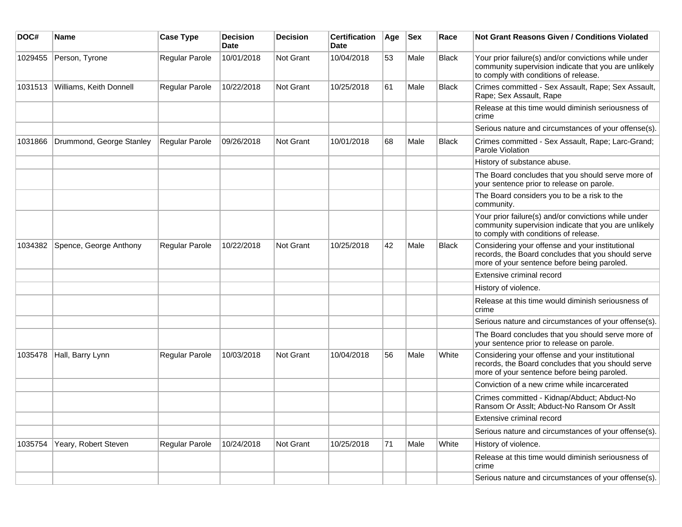| DOC#    | Name                     | <b>Case Type</b> | <b>Decision</b><br><b>Date</b> | <b>Decision</b>  | <b>Certification</b><br>Date | Age | <b>Sex</b> | Race         | Not Grant Reasons Given / Conditions Violated                                                                                                         |
|---------|--------------------------|------------------|--------------------------------|------------------|------------------------------|-----|------------|--------------|-------------------------------------------------------------------------------------------------------------------------------------------------------|
| 1029455 | Person, Tyrone           | Regular Parole   | 10/01/2018                     | Not Grant        | 10/04/2018                   | 53  | Male       | <b>Black</b> | Your prior failure(s) and/or convictions while under<br>community supervision indicate that you are unlikely<br>to comply with conditions of release. |
| 1031513 | Williams, Keith Donnell  | Regular Parole   | 10/22/2018                     | Not Grant        | 10/25/2018                   | 61  | Male       | Black        | Crimes committed - Sex Assault, Rape; Sex Assault,<br>Rape; Sex Assault, Rape                                                                         |
|         |                          |                  |                                |                  |                              |     |            |              | Release at this time would diminish seriousness of<br>crime                                                                                           |
|         |                          |                  |                                |                  |                              |     |            |              | Serious nature and circumstances of your offense(s).                                                                                                  |
| 1031866 | Drummond, George Stanley | Regular Parole   | 09/26/2018                     | Not Grant        | 10/01/2018                   | 68  | Male       | <b>Black</b> | Crimes committed - Sex Assault, Rape; Larc-Grand;<br>Parole Violation                                                                                 |
|         |                          |                  |                                |                  |                              |     |            |              | History of substance abuse.                                                                                                                           |
|         |                          |                  |                                |                  |                              |     |            |              | The Board concludes that you should serve more of<br>your sentence prior to release on parole.                                                        |
|         |                          |                  |                                |                  |                              |     |            |              | The Board considers you to be a risk to the<br>community.                                                                                             |
|         |                          |                  |                                |                  |                              |     |            |              | Your prior failure(s) and/or convictions while under<br>community supervision indicate that you are unlikely<br>to comply with conditions of release. |
| 1034382 | Spence, George Anthony   | Regular Parole   | 10/22/2018                     | <b>Not Grant</b> | 10/25/2018                   | 42  | Male       | <b>Black</b> | Considering your offense and your institutional<br>records, the Board concludes that you should serve<br>more of your sentence before being paroled.  |
|         |                          |                  |                                |                  |                              |     |            |              | Extensive criminal record                                                                                                                             |
|         |                          |                  |                                |                  |                              |     |            |              | History of violence.                                                                                                                                  |
|         |                          |                  |                                |                  |                              |     |            |              | Release at this time would diminish seriousness of<br>crime                                                                                           |
|         |                          |                  |                                |                  |                              |     |            |              | Serious nature and circumstances of your offense(s).                                                                                                  |
|         |                          |                  |                                |                  |                              |     |            |              | The Board concludes that you should serve more of<br>your sentence prior to release on parole.                                                        |
| 1035478 | Hall, Barry Lynn         | Regular Parole   | 10/03/2018                     | <b>Not Grant</b> | 10/04/2018                   | 56  | Male       | White        | Considering your offense and your institutional<br>records, the Board concludes that you should serve<br>more of your sentence before being paroled.  |
|         |                          |                  |                                |                  |                              |     |            |              | Conviction of a new crime while incarcerated                                                                                                          |
|         |                          |                  |                                |                  |                              |     |            |              | Crimes committed - Kidnap/Abduct; Abduct-No<br>Ransom Or Asslt; Abduct-No Ransom Or Asslt                                                             |
|         |                          |                  |                                |                  |                              |     |            |              | Extensive criminal record                                                                                                                             |
|         |                          |                  |                                |                  |                              |     |            |              | Serious nature and circumstances of your offense(s).                                                                                                  |
| 1035754 | Yeary, Robert Steven     | Regular Parole   | 10/24/2018                     | Not Grant        | 10/25/2018                   | 71  | Male       | White        | History of violence.                                                                                                                                  |
|         |                          |                  |                                |                  |                              |     |            |              | Release at this time would diminish seriousness of<br>crime                                                                                           |
|         |                          |                  |                                |                  |                              |     |            |              | Serious nature and circumstances of your offense(s).                                                                                                  |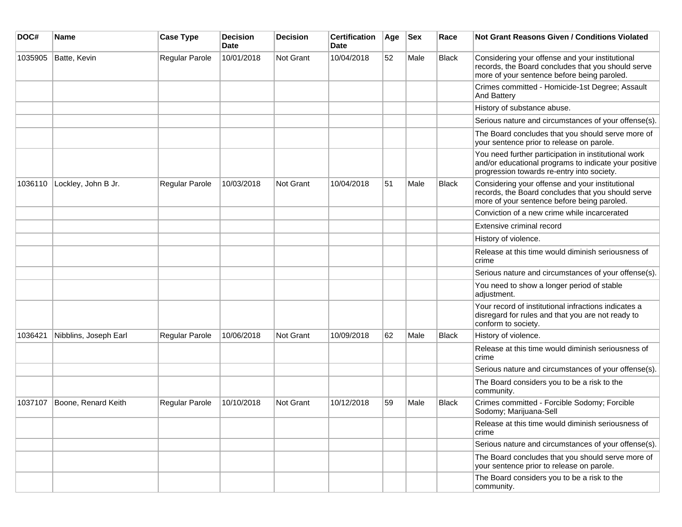| DOC#    | <b>Name</b>           | <b>Case Type</b>      | <b>Decision</b><br><b>Date</b> | <b>Decision</b> | <b>Certification</b><br>Date | Age | <b>Sex</b> | Race         | Not Grant Reasons Given / Conditions Violated                                                                                                               |
|---------|-----------------------|-----------------------|--------------------------------|-----------------|------------------------------|-----|------------|--------------|-------------------------------------------------------------------------------------------------------------------------------------------------------------|
| 1035905 | Batte, Kevin          | Regular Parole        | 10/01/2018                     | Not Grant       | 10/04/2018                   | 52  | Male       | <b>Black</b> | Considering your offense and your institutional<br>records, the Board concludes that you should serve<br>more of your sentence before being paroled.        |
|         |                       |                       |                                |                 |                              |     |            |              | Crimes committed - Homicide-1st Degree; Assault<br><b>And Battery</b>                                                                                       |
|         |                       |                       |                                |                 |                              |     |            |              | History of substance abuse.                                                                                                                                 |
|         |                       |                       |                                |                 |                              |     |            |              | Serious nature and circumstances of your offense(s).                                                                                                        |
|         |                       |                       |                                |                 |                              |     |            |              | The Board concludes that you should serve more of<br>your sentence prior to release on parole.                                                              |
|         |                       |                       |                                |                 |                              |     |            |              | You need further participation in institutional work<br>and/or educational programs to indicate your positive<br>progression towards re-entry into society. |
| 1036110 | Lockley, John B Jr.   | Regular Parole        | 10/03/2018                     | Not Grant       | 10/04/2018                   | 51  | Male       | <b>Black</b> | Considering your offense and your institutional<br>records, the Board concludes that you should serve<br>more of your sentence before being paroled.        |
|         |                       |                       |                                |                 |                              |     |            |              | Conviction of a new crime while incarcerated                                                                                                                |
|         |                       |                       |                                |                 |                              |     |            |              | Extensive criminal record                                                                                                                                   |
|         |                       |                       |                                |                 |                              |     |            |              | History of violence.                                                                                                                                        |
|         |                       |                       |                                |                 |                              |     |            |              | Release at this time would diminish seriousness of<br>crime                                                                                                 |
|         |                       |                       |                                |                 |                              |     |            |              | Serious nature and circumstances of your offense(s).                                                                                                        |
|         |                       |                       |                                |                 |                              |     |            |              | You need to show a longer period of stable<br>adjustment.                                                                                                   |
|         |                       |                       |                                |                 |                              |     |            |              | Your record of institutional infractions indicates a<br>disregard for rules and that you are not ready to<br>conform to society.                            |
| 1036421 | Nibblins, Joseph Earl | Regular Parole        | 10/06/2018                     | Not Grant       | 10/09/2018                   | 62  | Male       | <b>Black</b> | History of violence.                                                                                                                                        |
|         |                       |                       |                                |                 |                              |     |            |              | Release at this time would diminish seriousness of<br>crime                                                                                                 |
|         |                       |                       |                                |                 |                              |     |            |              | Serious nature and circumstances of your offense(s).                                                                                                        |
|         |                       |                       |                                |                 |                              |     |            |              | The Board considers you to be a risk to the<br>community.                                                                                                   |
| 1037107 | Boone, Renard Keith   | <b>Regular Parole</b> | 10/10/2018                     | Not Grant       | 10/12/2018                   | 59  | Male       | <b>Black</b> | Crimes committed - Forcible Sodomy; Forcible<br>Sodomy; Marijuana-Sell                                                                                      |
|         |                       |                       |                                |                 |                              |     |            |              | Release at this time would diminish seriousness of<br>crime                                                                                                 |
|         |                       |                       |                                |                 |                              |     |            |              | Serious nature and circumstances of your offense(s).                                                                                                        |
|         |                       |                       |                                |                 |                              |     |            |              | The Board concludes that you should serve more of<br>your sentence prior to release on parole.                                                              |
|         |                       |                       |                                |                 |                              |     |            |              | The Board considers you to be a risk to the<br>community.                                                                                                   |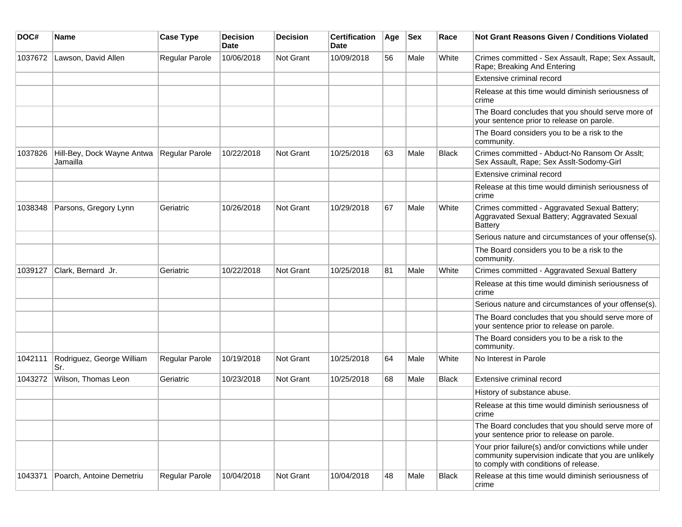| DOC#    | <b>Name</b>                            | <b>Case Type</b> | <b>Decision</b><br><b>Date</b> | <b>Decision</b> | <b>Certification</b><br>Date | Age | <b>Sex</b> | Race         | <b>Not Grant Reasons Given / Conditions Violated</b>                                                                                                  |
|---------|----------------------------------------|------------------|--------------------------------|-----------------|------------------------------|-----|------------|--------------|-------------------------------------------------------------------------------------------------------------------------------------------------------|
| 1037672 | Lawson, David Allen                    | Regular Parole   | 10/06/2018                     | Not Grant       | 10/09/2018                   | 56  | Male       | White        | Crimes committed - Sex Assault, Rape; Sex Assault,<br>Rape; Breaking And Entering                                                                     |
|         |                                        |                  |                                |                 |                              |     |            |              | Extensive criminal record                                                                                                                             |
|         |                                        |                  |                                |                 |                              |     |            |              | Release at this time would diminish seriousness of<br>crime                                                                                           |
|         |                                        |                  |                                |                 |                              |     |            |              | The Board concludes that you should serve more of<br>your sentence prior to release on parole.                                                        |
|         |                                        |                  |                                |                 |                              |     |            |              | The Board considers you to be a risk to the<br>community.                                                                                             |
| 1037826 | Hill-Bey, Dock Wayne Antwa<br>Jamailla | Regular Parole   | 10/22/2018                     | Not Grant       | 10/25/2018                   | 63  | Male       | Black        | Crimes committed - Abduct-No Ransom Or Asslt;<br>Sex Assault, Rape; Sex Asslt-Sodomy-Girl                                                             |
|         |                                        |                  |                                |                 |                              |     |            |              | Extensive criminal record                                                                                                                             |
|         |                                        |                  |                                |                 |                              |     |            |              | Release at this time would diminish seriousness of<br>crime                                                                                           |
| 1038348 | Parsons, Gregory Lynn                  | Geriatric        | 10/26/2018                     | Not Grant       | 10/29/2018                   | 67  | Male       | White        | Crimes committed - Aggravated Sexual Battery;<br>Aggravated Sexual Battery; Aggravated Sexual<br><b>Battery</b>                                       |
|         |                                        |                  |                                |                 |                              |     |            |              | Serious nature and circumstances of your offense(s).                                                                                                  |
|         |                                        |                  |                                |                 |                              |     |            |              | The Board considers you to be a risk to the<br>community.                                                                                             |
| 1039127 | Clark, Bernard Jr.                     | Geriatric        | 10/22/2018                     | Not Grant       | 10/25/2018                   | 81  | Male       | White        | Crimes committed - Aggravated Sexual Battery                                                                                                          |
|         |                                        |                  |                                |                 |                              |     |            |              | Release at this time would diminish seriousness of<br>crime                                                                                           |
|         |                                        |                  |                                |                 |                              |     |            |              | Serious nature and circumstances of your offense(s).                                                                                                  |
|         |                                        |                  |                                |                 |                              |     |            |              | The Board concludes that you should serve more of<br>your sentence prior to release on parole.                                                        |
|         |                                        |                  |                                |                 |                              |     |            |              | The Board considers you to be a risk to the<br>community.                                                                                             |
| 1042111 | Rodriguez, George William<br>Sr.       | Regular Parole   | 10/19/2018                     | Not Grant       | 10/25/2018                   | 64  | Male       | White        | No Interest in Parole                                                                                                                                 |
| 1043272 | Wilson, Thomas Leon                    | Geriatric        | 10/23/2018                     | Not Grant       | 10/25/2018                   | 68  | Male       | <b>Black</b> | Extensive criminal record                                                                                                                             |
|         |                                        |                  |                                |                 |                              |     |            |              | History of substance abuse.                                                                                                                           |
|         |                                        |                  |                                |                 |                              |     |            |              | Release at this time would diminish seriousness of<br>crime                                                                                           |
|         |                                        |                  |                                |                 |                              |     |            |              | The Board concludes that you should serve more of<br>your sentence prior to release on parole.                                                        |
|         |                                        |                  |                                |                 |                              |     |            |              | Your prior failure(s) and/or convictions while under<br>community supervision indicate that you are unlikely<br>to comply with conditions of release. |
| 1043371 | Poarch, Antoine Demetriu               | Regular Parole   | 10/04/2018                     | Not Grant       | 10/04/2018                   | 48  | Male       | Black        | Release at this time would diminish seriousness of<br>crime                                                                                           |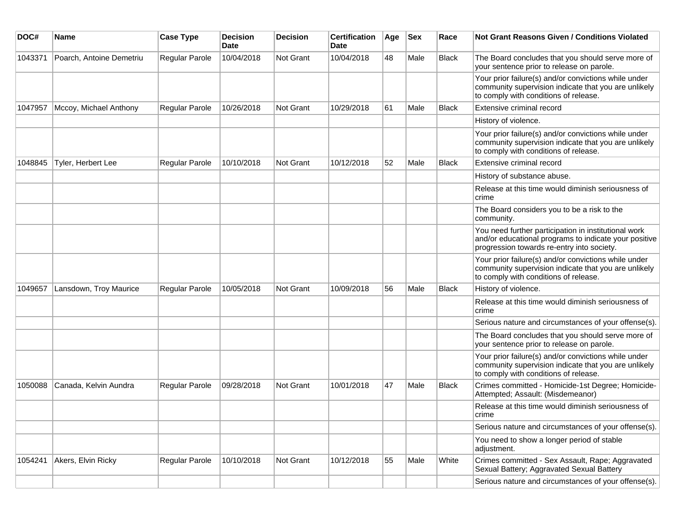| DOC#    | Name                     | <b>Case Type</b> | <b>Decision</b><br><b>Date</b> | <b>Decision</b> | <b>Certification</b><br>Date | Age | <b>Sex</b> | Race         | Not Grant Reasons Given / Conditions Violated                                                                                                               |
|---------|--------------------------|------------------|--------------------------------|-----------------|------------------------------|-----|------------|--------------|-------------------------------------------------------------------------------------------------------------------------------------------------------------|
| 1043371 | Poarch, Antoine Demetriu | Regular Parole   | 10/04/2018                     | Not Grant       | 10/04/2018                   | 48  | Male       | <b>Black</b> | The Board concludes that you should serve more of<br>your sentence prior to release on parole.                                                              |
|         |                          |                  |                                |                 |                              |     |            |              | Your prior failure(s) and/or convictions while under<br>community supervision indicate that you are unlikely<br>to comply with conditions of release.       |
| 1047957 | Mccoy, Michael Anthony   | Regular Parole   | 10/26/2018                     | Not Grant       | 10/29/2018                   | 61  | Male       | <b>Black</b> | Extensive criminal record                                                                                                                                   |
|         |                          |                  |                                |                 |                              |     |            |              | History of violence.                                                                                                                                        |
|         |                          |                  |                                |                 |                              |     |            |              | Your prior failure(s) and/or convictions while under<br>community supervision indicate that you are unlikely<br>to comply with conditions of release.       |
| 1048845 | Tyler, Herbert Lee       | Regular Parole   | 10/10/2018                     | Not Grant       | 10/12/2018                   | 52  | Male       | <b>Black</b> | Extensive criminal record                                                                                                                                   |
|         |                          |                  |                                |                 |                              |     |            |              | History of substance abuse.                                                                                                                                 |
|         |                          |                  |                                |                 |                              |     |            |              | Release at this time would diminish seriousness of<br>crime                                                                                                 |
|         |                          |                  |                                |                 |                              |     |            |              | The Board considers you to be a risk to the<br>community.                                                                                                   |
|         |                          |                  |                                |                 |                              |     |            |              | You need further participation in institutional work<br>and/or educational programs to indicate your positive<br>progression towards re-entry into society. |
|         |                          |                  |                                |                 |                              |     |            |              | Your prior failure(s) and/or convictions while under<br>community supervision indicate that you are unlikely<br>to comply with conditions of release.       |
| 1049657 | Lansdown, Troy Maurice   | Regular Parole   | 10/05/2018                     | Not Grant       | 10/09/2018                   | 56  | Male       | <b>Black</b> | History of violence.                                                                                                                                        |
|         |                          |                  |                                |                 |                              |     |            |              | Release at this time would diminish seriousness of<br>crime                                                                                                 |
|         |                          |                  |                                |                 |                              |     |            |              | Serious nature and circumstances of your offense(s).                                                                                                        |
|         |                          |                  |                                |                 |                              |     |            |              | The Board concludes that you should serve more of<br>your sentence prior to release on parole.                                                              |
|         |                          |                  |                                |                 |                              |     |            |              | Your prior failure(s) and/or convictions while under<br>community supervision indicate that you are unlikely<br>to comply with conditions of release.       |
| 1050088 | Canada, Kelvin Aundra    | Regular Parole   | 09/28/2018                     | Not Grant       | 10/01/2018                   | 47  | Male       | <b>Black</b> | Crimes committed - Homicide-1st Degree; Homicide-<br>Attempted; Assault: (Misdemeanor)                                                                      |
|         |                          |                  |                                |                 |                              |     |            |              | Release at this time would diminish seriousness of<br>crime                                                                                                 |
|         |                          |                  |                                |                 |                              |     |            |              | Serious nature and circumstances of your offense(s).                                                                                                        |
|         |                          |                  |                                |                 |                              |     |            |              | You need to show a longer period of stable<br>adjustment.                                                                                                   |
| 1054241 | Akers, Elvin Ricky       | Regular Parole   | 10/10/2018                     | Not Grant       | 10/12/2018                   | 55  | Male       | White        | Crimes committed - Sex Assault, Rape; Aggravated<br>Sexual Battery; Aggravated Sexual Battery                                                               |
|         |                          |                  |                                |                 |                              |     |            |              | Serious nature and circumstances of your offense(s).                                                                                                        |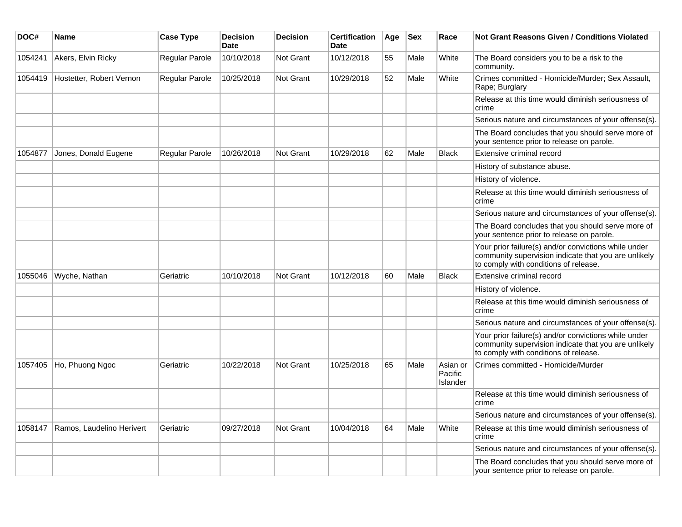| DOC#    | Name                      | <b>Case Type</b>      | <b>Decision</b><br><b>Date</b> | <b>Decision</b>  | <b>Certification</b><br><b>Date</b> | Age | <b>Sex</b> | Race                            | <b>Not Grant Reasons Given / Conditions Violated</b>                                                                                                  |
|---------|---------------------------|-----------------------|--------------------------------|------------------|-------------------------------------|-----|------------|---------------------------------|-------------------------------------------------------------------------------------------------------------------------------------------------------|
| 1054241 | Akers, Elvin Ricky        | Regular Parole        | 10/10/2018                     | Not Grant        | 10/12/2018                          | 55  | Male       | White                           | The Board considers you to be a risk to the<br>community.                                                                                             |
| 1054419 | Hostetter, Robert Vernon  | Regular Parole        | 10/25/2018                     | <b>Not Grant</b> | 10/29/2018                          | 52  | Male       | White                           | Crimes committed - Homicide/Murder; Sex Assault,<br>Rape; Burglary                                                                                    |
|         |                           |                       |                                |                  |                                     |     |            |                                 | Release at this time would diminish seriousness of<br>crime                                                                                           |
|         |                           |                       |                                |                  |                                     |     |            |                                 | Serious nature and circumstances of your offense(s).                                                                                                  |
|         |                           |                       |                                |                  |                                     |     |            |                                 | The Board concludes that you should serve more of<br>your sentence prior to release on parole.                                                        |
| 1054877 | Jones, Donald Eugene      | <b>Regular Parole</b> | 10/26/2018                     | <b>Not Grant</b> | 10/29/2018                          | 62  | Male       | <b>Black</b>                    | Extensive criminal record                                                                                                                             |
|         |                           |                       |                                |                  |                                     |     |            |                                 | History of substance abuse.                                                                                                                           |
|         |                           |                       |                                |                  |                                     |     |            |                                 | History of violence.                                                                                                                                  |
|         |                           |                       |                                |                  |                                     |     |            |                                 | Release at this time would diminish seriousness of<br>crime                                                                                           |
|         |                           |                       |                                |                  |                                     |     |            |                                 | Serious nature and circumstances of your offense(s).                                                                                                  |
|         |                           |                       |                                |                  |                                     |     |            |                                 | The Board concludes that you should serve more of<br>your sentence prior to release on parole.                                                        |
|         |                           |                       |                                |                  |                                     |     |            |                                 | Your prior failure(s) and/or convictions while under<br>community supervision indicate that you are unlikely<br>to comply with conditions of release. |
| 1055046 | Wyche, Nathan             | Geriatric             | 10/10/2018                     | <b>Not Grant</b> | 10/12/2018                          | 60  | Male       | <b>Black</b>                    | Extensive criminal record                                                                                                                             |
|         |                           |                       |                                |                  |                                     |     |            |                                 | History of violence.                                                                                                                                  |
|         |                           |                       |                                |                  |                                     |     |            |                                 | Release at this time would diminish seriousness of<br>crime                                                                                           |
|         |                           |                       |                                |                  |                                     |     |            |                                 | Serious nature and circumstances of your offense(s).                                                                                                  |
|         |                           |                       |                                |                  |                                     |     |            |                                 | Your prior failure(s) and/or convictions while under<br>community supervision indicate that you are unlikely<br>to comply with conditions of release. |
| 1057405 | Ho, Phuong Ngoc           | Geriatric             | 10/22/2018                     | Not Grant        | 10/25/2018                          | 65  | Male       | Asian or<br>Pacific<br>Islander | Crimes committed - Homicide/Murder                                                                                                                    |
|         |                           |                       |                                |                  |                                     |     |            |                                 | Release at this time would diminish seriousness of<br>crime                                                                                           |
|         |                           |                       |                                |                  |                                     |     |            |                                 | Serious nature and circumstances of your offense(s).                                                                                                  |
| 1058147 | Ramos, Laudelino Herivert | Geriatric             | 09/27/2018                     | <b>Not Grant</b> | 10/04/2018                          | 64  | Male       | White                           | Release at this time would diminish seriousness of<br>crime                                                                                           |
|         |                           |                       |                                |                  |                                     |     |            |                                 | Serious nature and circumstances of your offense(s).                                                                                                  |
|         |                           |                       |                                |                  |                                     |     |            |                                 | The Board concludes that you should serve more of<br>your sentence prior to release on parole.                                                        |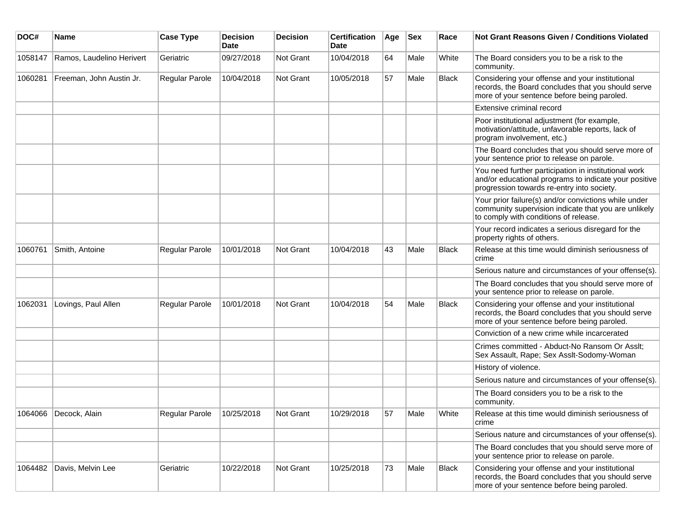| DOC#    | Name                      | <b>Case Type</b> | <b>Decision</b><br><b>Date</b> | Decision  | <b>Certification</b><br><b>Date</b> | Age | <b>Sex</b> | Race  | <b>Not Grant Reasons Given / Conditions Violated</b>                                                                                                        |
|---------|---------------------------|------------------|--------------------------------|-----------|-------------------------------------|-----|------------|-------|-------------------------------------------------------------------------------------------------------------------------------------------------------------|
| 1058147 | Ramos, Laudelino Herivert | Geriatric        | 09/27/2018                     | Not Grant | 10/04/2018                          | 64  | Male       | White | The Board considers you to be a risk to the<br>community.                                                                                                   |
| 1060281 | Freeman, John Austin Jr.  | Regular Parole   | 10/04/2018                     | Not Grant | 10/05/2018                          | 57  | Male       | Black | Considering your offense and your institutional<br>records, the Board concludes that you should serve<br>more of your sentence before being paroled.        |
|         |                           |                  |                                |           |                                     |     |            |       | Extensive criminal record                                                                                                                                   |
|         |                           |                  |                                |           |                                     |     |            |       | Poor institutional adjustment (for example,<br>motivation/attitude, unfavorable reports, lack of<br>program involvement, etc.)                              |
|         |                           |                  |                                |           |                                     |     |            |       | The Board concludes that you should serve more of<br>your sentence prior to release on parole.                                                              |
|         |                           |                  |                                |           |                                     |     |            |       | You need further participation in institutional work<br>and/or educational programs to indicate your positive<br>progression towards re-entry into society. |
|         |                           |                  |                                |           |                                     |     |            |       | Your prior failure(s) and/or convictions while under<br>community supervision indicate that you are unlikely<br>to comply with conditions of release.       |
|         |                           |                  |                                |           |                                     |     |            |       | Your record indicates a serious disregard for the<br>property rights of others.                                                                             |
| 1060761 | Smith, Antoine            | Regular Parole   | 10/01/2018                     | Not Grant | 10/04/2018                          | 43  | Male       | Black | Release at this time would diminish seriousness of<br>crime                                                                                                 |
|         |                           |                  |                                |           |                                     |     |            |       | Serious nature and circumstances of your offense(s).                                                                                                        |
|         |                           |                  |                                |           |                                     |     |            |       | The Board concludes that you should serve more of<br>your sentence prior to release on parole.                                                              |
| 1062031 | Lovings, Paul Allen       | Regular Parole   | 10/01/2018                     | Not Grant | 10/04/2018                          | 54  | Male       | Black | Considering your offense and your institutional<br>records, the Board concludes that you should serve<br>more of your sentence before being paroled.        |
|         |                           |                  |                                |           |                                     |     |            |       | Conviction of a new crime while incarcerated                                                                                                                |
|         |                           |                  |                                |           |                                     |     |            |       | Crimes committed - Abduct-No Ransom Or Asslt;<br>Sex Assault, Rape; Sex Asslt-Sodomy-Woman                                                                  |
|         |                           |                  |                                |           |                                     |     |            |       | History of violence.                                                                                                                                        |
|         |                           |                  |                                |           |                                     |     |            |       | Serious nature and circumstances of your offense(s).                                                                                                        |
|         |                           |                  |                                |           |                                     |     |            |       | The Board considers you to be a risk to the<br>community.                                                                                                   |
| 1064066 | Decock, Alain             | Regular Parole   | 10/25/2018                     | Not Grant | 10/29/2018                          | 57  | Male       | White | Release at this time would diminish seriousness of<br>crime                                                                                                 |
|         |                           |                  |                                |           |                                     |     |            |       | Serious nature and circumstances of your offense(s).                                                                                                        |
|         |                           |                  |                                |           |                                     |     |            |       | The Board concludes that you should serve more of<br>your sentence prior to release on parole.                                                              |
| 1064482 | Davis, Melvin Lee         | Geriatric        | 10/22/2018                     | Not Grant | 10/25/2018                          | 73  | Male       | Black | Considering your offense and your institutional<br>records, the Board concludes that you should serve<br>more of your sentence before being paroled.        |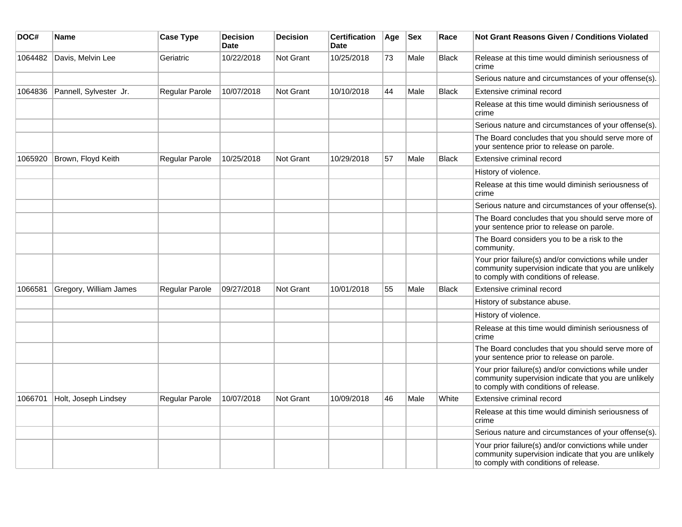| DOC#    | <b>Name</b>            | <b>Case Type</b> | <b>Decision</b><br><b>Date</b> | <b>Decision</b>  | <b>Certification</b><br>Date | Age | <b>Sex</b> | Race         | <b>Not Grant Reasons Given / Conditions Violated</b>                                                                                                  |
|---------|------------------------|------------------|--------------------------------|------------------|------------------------------|-----|------------|--------------|-------------------------------------------------------------------------------------------------------------------------------------------------------|
| 1064482 | Davis, Melvin Lee      | Geriatric        | 10/22/2018                     | <b>Not Grant</b> | 10/25/2018                   | 73  | Male       | <b>Black</b> | Release at this time would diminish seriousness of<br>crime                                                                                           |
|         |                        |                  |                                |                  |                              |     |            |              | Serious nature and circumstances of your offense(s).                                                                                                  |
| 1064836 | Pannell, Sylvester Jr. | Regular Parole   | 10/07/2018                     | Not Grant        | 10/10/2018                   | 44  | Male       | <b>Black</b> | Extensive criminal record                                                                                                                             |
|         |                        |                  |                                |                  |                              |     |            |              | Release at this time would diminish seriousness of<br>crime                                                                                           |
|         |                        |                  |                                |                  |                              |     |            |              | Serious nature and circumstances of your offense(s).                                                                                                  |
|         |                        |                  |                                |                  |                              |     |            |              | The Board concludes that you should serve more of<br>your sentence prior to release on parole.                                                        |
| 1065920 | Brown, Floyd Keith     | Regular Parole   | 10/25/2018                     | Not Grant        | 10/29/2018                   | 57  | Male       | <b>Black</b> | Extensive criminal record                                                                                                                             |
|         |                        |                  |                                |                  |                              |     |            |              | History of violence.                                                                                                                                  |
|         |                        |                  |                                |                  |                              |     |            |              | Release at this time would diminish seriousness of<br>crime                                                                                           |
|         |                        |                  |                                |                  |                              |     |            |              | Serious nature and circumstances of your offense(s).                                                                                                  |
|         |                        |                  |                                |                  |                              |     |            |              | The Board concludes that you should serve more of<br>your sentence prior to release on parole.                                                        |
|         |                        |                  |                                |                  |                              |     |            |              | The Board considers you to be a risk to the<br>community.                                                                                             |
|         |                        |                  |                                |                  |                              |     |            |              | Your prior failure(s) and/or convictions while under<br>community supervision indicate that you are unlikely<br>to comply with conditions of release. |
| 1066581 | Gregory, William James | Regular Parole   | 09/27/2018                     | Not Grant        | 10/01/2018                   | 55  | Male       | <b>Black</b> | Extensive criminal record                                                                                                                             |
|         |                        |                  |                                |                  |                              |     |            |              | History of substance abuse.                                                                                                                           |
|         |                        |                  |                                |                  |                              |     |            |              | History of violence.                                                                                                                                  |
|         |                        |                  |                                |                  |                              |     |            |              | Release at this time would diminish seriousness of<br>crime                                                                                           |
|         |                        |                  |                                |                  |                              |     |            |              | The Board concludes that you should serve more of<br>your sentence prior to release on parole.                                                        |
|         |                        |                  |                                |                  |                              |     |            |              | Your prior failure(s) and/or convictions while under<br>community supervision indicate that you are unlikely<br>to comply with conditions of release. |
| 1066701 | Holt, Joseph Lindsey   | Regular Parole   | 10/07/2018                     | Not Grant        | 10/09/2018                   | 46  | Male       | White        | Extensive criminal record                                                                                                                             |
|         |                        |                  |                                |                  |                              |     |            |              | Release at this time would diminish seriousness of<br>crime                                                                                           |
|         |                        |                  |                                |                  |                              |     |            |              | Serious nature and circumstances of your offense(s).                                                                                                  |
|         |                        |                  |                                |                  |                              |     |            |              | Your prior failure(s) and/or convictions while under<br>community supervision indicate that you are unlikely<br>to comply with conditions of release. |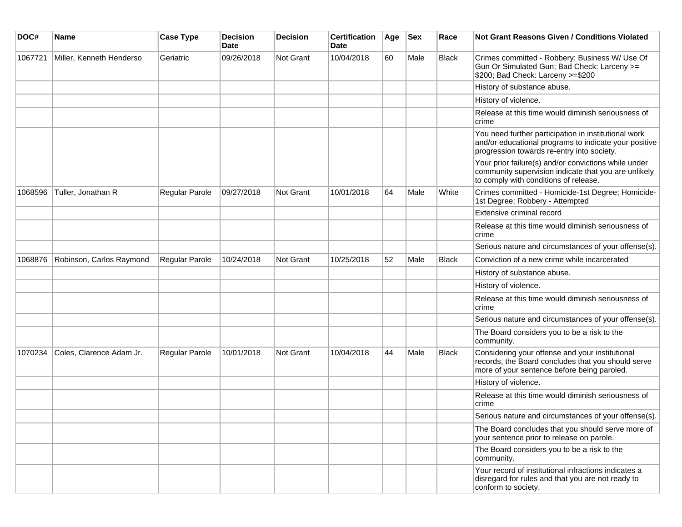| DOC#    | <b>Name</b>              | <b>Case Type</b>      | <b>Decision</b><br><b>Date</b> | <b>Decision</b>  | <b>Certification</b><br>Date | Age | <b>Sex</b> | Race  | <b>Not Grant Reasons Given / Conditions Violated</b>                                                                                                        |
|---------|--------------------------|-----------------------|--------------------------------|------------------|------------------------------|-----|------------|-------|-------------------------------------------------------------------------------------------------------------------------------------------------------------|
| 1067721 | Miller, Kenneth Henderso | Geriatric             | 09/26/2018                     | Not Grant        | 10/04/2018                   | 60  | Male       | Black | Crimes committed - Robbery: Business W/ Use Of<br>Gun Or Simulated Gun; Bad Check: Larceny >=<br>\$200; Bad Check: Larceny >=\$200                          |
|         |                          |                       |                                |                  |                              |     |            |       | History of substance abuse.                                                                                                                                 |
|         |                          |                       |                                |                  |                              |     |            |       | History of violence.                                                                                                                                        |
|         |                          |                       |                                |                  |                              |     |            |       | Release at this time would diminish seriousness of<br>crime                                                                                                 |
|         |                          |                       |                                |                  |                              |     |            |       | You need further participation in institutional work<br>and/or educational programs to indicate your positive<br>progression towards re-entry into society. |
|         |                          |                       |                                |                  |                              |     |            |       | Your prior failure(s) and/or convictions while under<br>community supervision indicate that you are unlikely<br>to comply with conditions of release.       |
| 1068596 | Tuller, Jonathan R       | Regular Parole        | 09/27/2018                     | <b>Not Grant</b> | 10/01/2018                   | 64  | Male       | White | Crimes committed - Homicide-1st Degree; Homicide-<br>1st Degree; Robbery - Attempted                                                                        |
|         |                          |                       |                                |                  |                              |     |            |       | Extensive criminal record                                                                                                                                   |
|         |                          |                       |                                |                  |                              |     |            |       | Release at this time would diminish seriousness of<br>crime                                                                                                 |
|         |                          |                       |                                |                  |                              |     |            |       | Serious nature and circumstances of your offense(s).                                                                                                        |
| 1068876 | Robinson, Carlos Raymond | Regular Parole        | 10/24/2018                     | <b>Not Grant</b> | 10/25/2018                   | 52  | Male       | Black | Conviction of a new crime while incarcerated                                                                                                                |
|         |                          |                       |                                |                  |                              |     |            |       | History of substance abuse.                                                                                                                                 |
|         |                          |                       |                                |                  |                              |     |            |       | History of violence.                                                                                                                                        |
|         |                          |                       |                                |                  |                              |     |            |       | Release at this time would diminish seriousness of<br>crime                                                                                                 |
|         |                          |                       |                                |                  |                              |     |            |       | Serious nature and circumstances of your offense(s).                                                                                                        |
|         |                          |                       |                                |                  |                              |     |            |       | The Board considers you to be a risk to the<br>community.                                                                                                   |
| 1070234 | Coles, Clarence Adam Jr. | <b>Regular Parole</b> | 10/01/2018                     | Not Grant        | 10/04/2018                   | 44  | Male       | Black | Considering your offense and your institutional<br>records, the Board concludes that you should serve<br>more of your sentence before being paroled.        |
|         |                          |                       |                                |                  |                              |     |            |       | History of violence.                                                                                                                                        |
|         |                          |                       |                                |                  |                              |     |            |       | Release at this time would diminish seriousness of<br>crime                                                                                                 |
|         |                          |                       |                                |                  |                              |     |            |       | Serious nature and circumstances of your offense(s).                                                                                                        |
|         |                          |                       |                                |                  |                              |     |            |       | The Board concludes that you should serve more of<br>your sentence prior to release on parole.                                                              |
|         |                          |                       |                                |                  |                              |     |            |       | The Board considers you to be a risk to the<br>community.                                                                                                   |
|         |                          |                       |                                |                  |                              |     |            |       | Your record of institutional infractions indicates a<br>disregard for rules and that you are not ready to<br>conform to society.                            |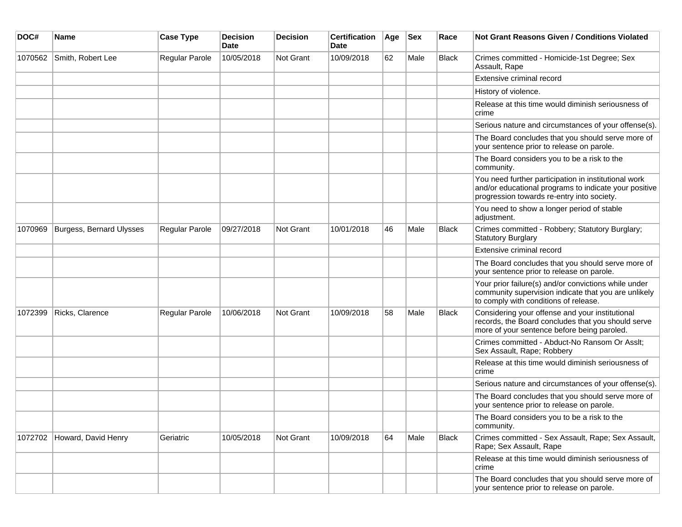| DOC#    | <b>Name</b>                 | <b>Case Type</b>      | <b>Decision</b><br>Date | <b>Decision</b>  | <b>Certification</b><br>Date | Age | <b>Sex</b> | Race         | <b>Not Grant Reasons Given / Conditions Violated</b>                                                                                                        |
|---------|-----------------------------|-----------------------|-------------------------|------------------|------------------------------|-----|------------|--------------|-------------------------------------------------------------------------------------------------------------------------------------------------------------|
| 1070562 | Smith, Robert Lee           | Regular Parole        | 10/05/2018              | Not Grant        | 10/09/2018                   | 62  | Male       | Black        | Crimes committed - Homicide-1st Degree; Sex<br>Assault, Rape                                                                                                |
|         |                             |                       |                         |                  |                              |     |            |              | Extensive criminal record                                                                                                                                   |
|         |                             |                       |                         |                  |                              |     |            |              | History of violence.                                                                                                                                        |
|         |                             |                       |                         |                  |                              |     |            |              | Release at this time would diminish seriousness of<br>crime                                                                                                 |
|         |                             |                       |                         |                  |                              |     |            |              | Serious nature and circumstances of your offense(s).                                                                                                        |
|         |                             |                       |                         |                  |                              |     |            |              | The Board concludes that you should serve more of<br>your sentence prior to release on parole.                                                              |
|         |                             |                       |                         |                  |                              |     |            |              | The Board considers you to be a risk to the<br>community.                                                                                                   |
|         |                             |                       |                         |                  |                              |     |            |              | You need further participation in institutional work<br>and/or educational programs to indicate your positive<br>progression towards re-entry into society. |
|         |                             |                       |                         |                  |                              |     |            |              | You need to show a longer period of stable<br>adjustment.                                                                                                   |
| 1070969 | Burgess, Bernard Ulysses    | <b>Regular Parole</b> | 09/27/2018              | <b>Not Grant</b> | 10/01/2018                   | 46  | Male       | <b>Black</b> | Crimes committed - Robbery; Statutory Burglary;<br><b>Statutory Burglary</b>                                                                                |
|         |                             |                       |                         |                  |                              |     |            |              | Extensive criminal record                                                                                                                                   |
|         |                             |                       |                         |                  |                              |     |            |              | The Board concludes that you should serve more of<br>your sentence prior to release on parole.                                                              |
|         |                             |                       |                         |                  |                              |     |            |              | Your prior failure(s) and/or convictions while under<br>community supervision indicate that you are unlikely<br>to comply with conditions of release.       |
| 1072399 | Ricks, Clarence             | Regular Parole        | 10/06/2018              | Not Grant        | 10/09/2018                   | 58  | Male       | <b>Black</b> | Considering your offense and your institutional<br>records, the Board concludes that you should serve<br>more of your sentence before being paroled.        |
|         |                             |                       |                         |                  |                              |     |            |              | Crimes committed - Abduct-No Ransom Or Asslt;<br>Sex Assault, Rape; Robbery                                                                                 |
|         |                             |                       |                         |                  |                              |     |            |              | Release at this time would diminish seriousness of<br>crime                                                                                                 |
|         |                             |                       |                         |                  |                              |     |            |              | Serious nature and circumstances of your offense(s).                                                                                                        |
|         |                             |                       |                         |                  |                              |     |            |              | The Board concludes that you should serve more of<br>your sentence prior to release on parole.                                                              |
|         |                             |                       |                         |                  |                              |     |            |              | The Board considers you to be a risk to the<br>community.                                                                                                   |
|         | 1072702 Howard, David Henry | Geriatric             | 10/05/2018              | Not Grant        | 10/09/2018                   | 64  | Male       | <b>Black</b> | Crimes committed - Sex Assault, Rape; Sex Assault,<br>Rape; Sex Assault, Rape                                                                               |
|         |                             |                       |                         |                  |                              |     |            |              | Release at this time would diminish seriousness of<br>crime                                                                                                 |
|         |                             |                       |                         |                  |                              |     |            |              | The Board concludes that you should serve more of<br>your sentence prior to release on parole.                                                              |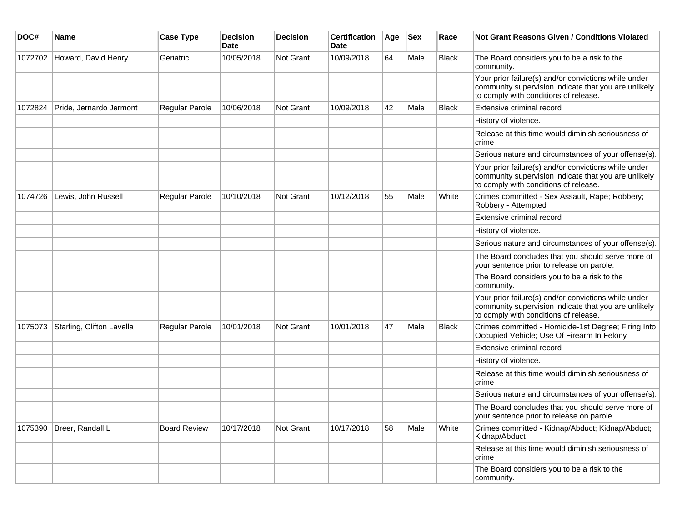| DOC#    | Name                      | <b>Case Type</b>    | Decision<br><b>Date</b> | Decision         | <b>Certification</b><br>Date | Age | <b>Sex</b> | Race         | Not Grant Reasons Given / Conditions Violated                                                                                                         |
|---------|---------------------------|---------------------|-------------------------|------------------|------------------------------|-----|------------|--------------|-------------------------------------------------------------------------------------------------------------------------------------------------------|
| 1072702 | Howard, David Henry       | Geriatric           | 10/05/2018              | Not Grant        | 10/09/2018                   | 64  | Male       | <b>Black</b> | The Board considers you to be a risk to the<br>community.                                                                                             |
|         |                           |                     |                         |                  |                              |     |            |              | Your prior failure(s) and/or convictions while under<br>community supervision indicate that you are unlikely<br>to comply with conditions of release. |
| 1072824 | Pride, Jernardo Jermont   | Regular Parole      | 10/06/2018              | <b>Not Grant</b> | 10/09/2018                   | 42  | Male       | <b>Black</b> | Extensive criminal record                                                                                                                             |
|         |                           |                     |                         |                  |                              |     |            |              | History of violence.                                                                                                                                  |
|         |                           |                     |                         |                  |                              |     |            |              | Release at this time would diminish seriousness of<br>crime                                                                                           |
|         |                           |                     |                         |                  |                              |     |            |              | Serious nature and circumstances of your offense(s).                                                                                                  |
|         |                           |                     |                         |                  |                              |     |            |              | Your prior failure(s) and/or convictions while under<br>community supervision indicate that you are unlikely<br>to comply with conditions of release. |
| 1074726 | Lewis, John Russell       | Regular Parole      | 10/10/2018              | <b>Not Grant</b> | 10/12/2018                   | 55  | Male       | White        | Crimes committed - Sex Assault, Rape; Robbery;<br>Robbery - Attempted                                                                                 |
|         |                           |                     |                         |                  |                              |     |            |              | Extensive criminal record                                                                                                                             |
|         |                           |                     |                         |                  |                              |     |            |              | History of violence.                                                                                                                                  |
|         |                           |                     |                         |                  |                              |     |            |              | Serious nature and circumstances of your offense(s).                                                                                                  |
|         |                           |                     |                         |                  |                              |     |            |              | The Board concludes that you should serve more of<br>your sentence prior to release on parole.                                                        |
|         |                           |                     |                         |                  |                              |     |            |              | The Board considers you to be a risk to the<br>community.                                                                                             |
|         |                           |                     |                         |                  |                              |     |            |              | Your prior failure(s) and/or convictions while under<br>community supervision indicate that you are unlikely<br>to comply with conditions of release. |
| 1075073 | Starling, Clifton Lavella | Regular Parole      | 10/01/2018              | <b>Not Grant</b> | 10/01/2018                   | 47  | Male       | Black        | Crimes committed - Homicide-1st Degree; Firing Into<br>Occupied Vehicle; Use Of Firearm In Felony                                                     |
|         |                           |                     |                         |                  |                              |     |            |              | Extensive criminal record                                                                                                                             |
|         |                           |                     |                         |                  |                              |     |            |              | History of violence.                                                                                                                                  |
|         |                           |                     |                         |                  |                              |     |            |              | Release at this time would diminish seriousness of<br>crime                                                                                           |
|         |                           |                     |                         |                  |                              |     |            |              | Serious nature and circumstances of your offense(s).                                                                                                  |
|         |                           |                     |                         |                  |                              |     |            |              | The Board concludes that you should serve more of<br>your sentence prior to release on parole.                                                        |
| 1075390 | Breer, Randall L          | <b>Board Review</b> | 10/17/2018              | Not Grant        | 10/17/2018                   | 58  | Male       | White        | Crimes committed - Kidnap/Abduct; Kidnap/Abduct;<br>Kidnap/Abduct                                                                                     |
|         |                           |                     |                         |                  |                              |     |            |              | Release at this time would diminish seriousness of<br>crime                                                                                           |
|         |                           |                     |                         |                  |                              |     |            |              | The Board considers you to be a risk to the<br>community.                                                                                             |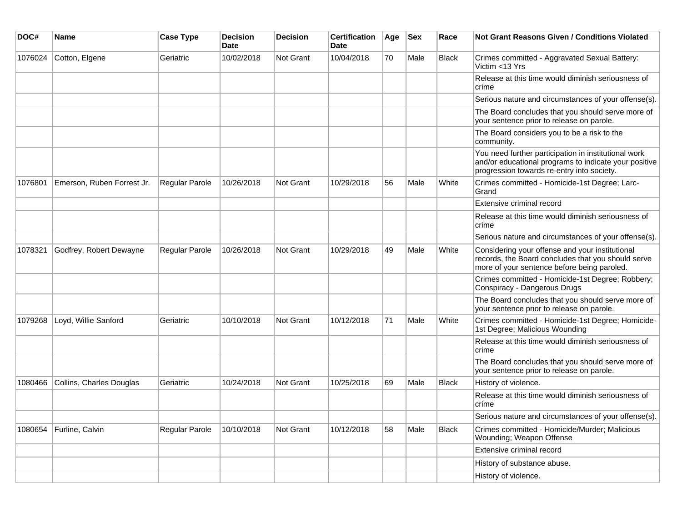| DOC#    | <b>Name</b>                | <b>Case Type</b>      | <b>Decision</b><br>Date | <b>Decision</b> | <b>Certification</b><br>Date | Age | <b>Sex</b> | Race         | Not Grant Reasons Given / Conditions Violated                                                                                                               |
|---------|----------------------------|-----------------------|-------------------------|-----------------|------------------------------|-----|------------|--------------|-------------------------------------------------------------------------------------------------------------------------------------------------------------|
| 1076024 | Cotton, Elgene             | Geriatric             | 10/02/2018              | Not Grant       | 10/04/2018                   | 70  | Male       | <b>Black</b> | Crimes committed - Aggravated Sexual Battery:<br>Victim <13 Yrs                                                                                             |
|         |                            |                       |                         |                 |                              |     |            |              | Release at this time would diminish seriousness of<br>crime                                                                                                 |
|         |                            |                       |                         |                 |                              |     |            |              | Serious nature and circumstances of your offense(s).                                                                                                        |
|         |                            |                       |                         |                 |                              |     |            |              | The Board concludes that you should serve more of<br>your sentence prior to release on parole.                                                              |
|         |                            |                       |                         |                 |                              |     |            |              | The Board considers you to be a risk to the<br>community.                                                                                                   |
|         |                            |                       |                         |                 |                              |     |            |              | You need further participation in institutional work<br>and/or educational programs to indicate your positive<br>progression towards re-entry into society. |
| 1076801 | Emerson, Ruben Forrest Jr. | <b>Regular Parole</b> | 10/26/2018              | Not Grant       | 10/29/2018                   | 56  | Male       | White        | Crimes committed - Homicide-1st Degree; Larc-<br>Grand                                                                                                      |
|         |                            |                       |                         |                 |                              |     |            |              | Extensive criminal record                                                                                                                                   |
|         |                            |                       |                         |                 |                              |     |            |              | Release at this time would diminish seriousness of<br>crime                                                                                                 |
|         |                            |                       |                         |                 |                              |     |            |              | Serious nature and circumstances of your offense(s).                                                                                                        |
| 1078321 | Godfrey, Robert Dewayne    | <b>Regular Parole</b> | 10/26/2018              | Not Grant       | 10/29/2018                   | 49  | Male       | White        | Considering your offense and your institutional<br>records, the Board concludes that you should serve<br>more of your sentence before being paroled.        |
|         |                            |                       |                         |                 |                              |     |            |              | Crimes committed - Homicide-1st Degree; Robbery;<br>Conspiracy - Dangerous Drugs                                                                            |
|         |                            |                       |                         |                 |                              |     |            |              | The Board concludes that you should serve more of<br>your sentence prior to release on parole.                                                              |
| 1079268 | Loyd, Willie Sanford       | Geriatric             | 10/10/2018              | Not Grant       | 10/12/2018                   | 71  | Male       | White        | Crimes committed - Homicide-1st Degree; Homicide-<br>1st Degree; Malicious Wounding                                                                         |
|         |                            |                       |                         |                 |                              |     |            |              | Release at this time would diminish seriousness of<br>crime                                                                                                 |
|         |                            |                       |                         |                 |                              |     |            |              | The Board concludes that you should serve more of<br>your sentence prior to release on parole.                                                              |
| 1080466 | Collins, Charles Douglas   | Geriatric             | 10/24/2018              | Not Grant       | 10/25/2018                   | 69  | Male       | <b>Black</b> | History of violence.                                                                                                                                        |
|         |                            |                       |                         |                 |                              |     |            |              | Release at this time would diminish seriousness of<br>crime                                                                                                 |
|         |                            |                       |                         |                 |                              |     |            |              | Serious nature and circumstances of your offense(s).                                                                                                        |
| 1080654 | Furline, Calvin            | Regular Parole        | 10/10/2018              | Not Grant       | 10/12/2018                   | 58  | Male       | Black        | Crimes committed - Homicide/Murder; Malicious<br>Wounding; Weapon Offense                                                                                   |
|         |                            |                       |                         |                 |                              |     |            |              | Extensive criminal record                                                                                                                                   |
|         |                            |                       |                         |                 |                              |     |            |              | History of substance abuse.                                                                                                                                 |
|         |                            |                       |                         |                 |                              |     |            |              | History of violence.                                                                                                                                        |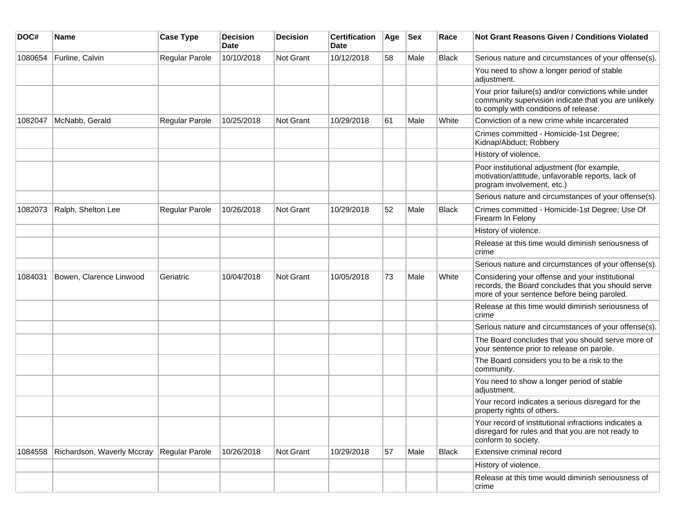| DOC#    | <b>Name</b>                | <b>Case Type</b> | <b>Decision</b><br><b>Date</b> | <b>Decision</b> | <b>Certification</b><br>Date | Age | <b>Sex</b> | Race         | <b>Not Grant Reasons Given / Conditions Violated</b>                                                                                                  |
|---------|----------------------------|------------------|--------------------------------|-----------------|------------------------------|-----|------------|--------------|-------------------------------------------------------------------------------------------------------------------------------------------------------|
| 1080654 | Furline, Calvin            | Regular Parole   | 10/10/2018                     | Not Grant       | 10/12/2018                   | 58  | Male       | Black        | Serious nature and circumstances of your offense(s).                                                                                                  |
|         |                            |                  |                                |                 |                              |     |            |              | You need to show a longer period of stable<br>adjustment.                                                                                             |
|         |                            |                  |                                |                 |                              |     |            |              | Your prior failure(s) and/or convictions while under<br>community supervision indicate that you are unlikely<br>to comply with conditions of release. |
| 1082047 | McNabb, Gerald             | Regular Parole   | 10/25/2018                     | Not Grant       | 10/29/2018                   | 61  | Male       | White        | Conviction of a new crime while incarcerated                                                                                                          |
|         |                            |                  |                                |                 |                              |     |            |              | Crimes committed - Homicide-1st Degree;<br>Kidnap/Abduct; Robbery                                                                                     |
|         |                            |                  |                                |                 |                              |     |            |              | History of violence.                                                                                                                                  |
|         |                            |                  |                                |                 |                              |     |            |              | Poor institutional adjustment (for example,<br>motivation/attitude, unfavorable reports, lack of<br>program involvement, etc.)                        |
|         |                            |                  |                                |                 |                              |     |            |              | Serious nature and circumstances of your offense(s).                                                                                                  |
| 1082073 | Ralph, Shelton Lee         | Regular Parole   | 10/26/2018                     | Not Grant       | 10/29/2018                   | 52  | Male       | <b>Black</b> | Crimes committed - Homicide-1st Degree; Use Of<br>Firearm In Felony                                                                                   |
|         |                            |                  |                                |                 |                              |     |            |              | History of violence.                                                                                                                                  |
|         |                            |                  |                                |                 |                              |     |            |              | Release at this time would diminish seriousness of<br>crime                                                                                           |
|         |                            |                  |                                |                 |                              |     |            |              | Serious nature and circumstances of your offense(s).                                                                                                  |
| 1084031 | Bowen, Clarence Linwood    | Geriatric        | 10/04/2018                     | Not Grant       | 10/05/2018                   | 73  | Male       | White        | Considering your offense and your institutional<br>records, the Board concludes that you should serve<br>more of your sentence before being paroled.  |
|         |                            |                  |                                |                 |                              |     |            |              | Release at this time would diminish seriousness of<br>crime                                                                                           |
|         |                            |                  |                                |                 |                              |     |            |              | Serious nature and circumstances of your offense(s).                                                                                                  |
|         |                            |                  |                                |                 |                              |     |            |              | The Board concludes that you should serve more of<br>your sentence prior to release on parole.                                                        |
|         |                            |                  |                                |                 |                              |     |            |              | The Board considers you to be a risk to the<br>community.                                                                                             |
|         |                            |                  |                                |                 |                              |     |            |              | You need to show a longer period of stable<br>adjustment.                                                                                             |
|         |                            |                  |                                |                 |                              |     |            |              | Your record indicates a serious disregard for the<br>property rights of others.                                                                       |
|         |                            |                  |                                |                 |                              |     |            |              | Your record of institutional infractions indicates a<br>disregard for rules and that you are not ready to<br>conform to society.                      |
| 1084558 | Richardson, Waverly Mccray | Regular Parole   | 10/26/2018                     | Not Grant       | 10/29/2018                   | 57  | Male       | <b>Black</b> | Extensive criminal record                                                                                                                             |
|         |                            |                  |                                |                 |                              |     |            |              | History of violence.                                                                                                                                  |
|         |                            |                  |                                |                 |                              |     |            |              | Release at this time would diminish seriousness of<br>crime                                                                                           |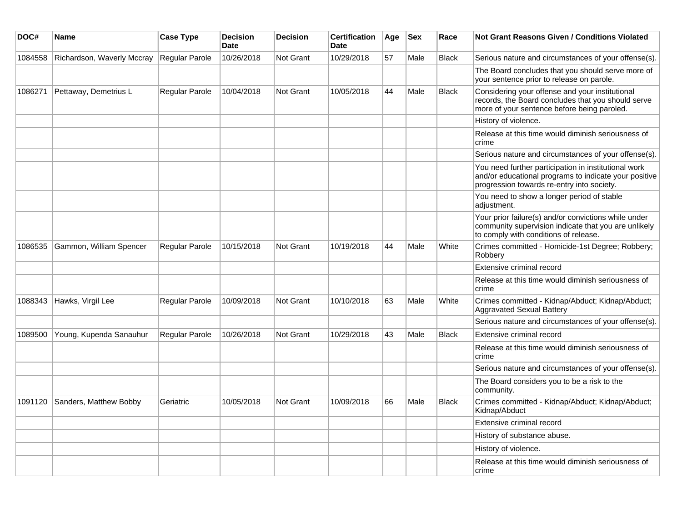| DOC#    | Name                       | <b>Case Type</b> | <b>Decision</b><br><b>Date</b> | <b>Decision</b> | Certification<br><b>Date</b> | Age | <b>Sex</b> | Race         | Not Grant Reasons Given / Conditions Violated                                                                                                               |
|---------|----------------------------|------------------|--------------------------------|-----------------|------------------------------|-----|------------|--------------|-------------------------------------------------------------------------------------------------------------------------------------------------------------|
| 1084558 | Richardson, Waverly Mccray | Regular Parole   | 10/26/2018                     | Not Grant       | 10/29/2018                   | 57  | Male       | <b>Black</b> | Serious nature and circumstances of your offense(s).                                                                                                        |
|         |                            |                  |                                |                 |                              |     |            |              | The Board concludes that you should serve more of<br>your sentence prior to release on parole.                                                              |
| 1086271 | Pettaway, Demetrius L      | Regular Parole   | 10/04/2018                     | Not Grant       | 10/05/2018                   | 44  | Male       | <b>Black</b> | Considering your offense and your institutional<br>records, the Board concludes that you should serve<br>more of your sentence before being paroled.        |
|         |                            |                  |                                |                 |                              |     |            |              | History of violence.                                                                                                                                        |
|         |                            |                  |                                |                 |                              |     |            |              | Release at this time would diminish seriousness of<br>crime                                                                                                 |
|         |                            |                  |                                |                 |                              |     |            |              | Serious nature and circumstances of your offense(s).                                                                                                        |
|         |                            |                  |                                |                 |                              |     |            |              | You need further participation in institutional work<br>and/or educational programs to indicate your positive<br>progression towards re-entry into society. |
|         |                            |                  |                                |                 |                              |     |            |              | You need to show a longer period of stable<br>adjustment.                                                                                                   |
|         |                            |                  |                                |                 |                              |     |            |              | Your prior failure(s) and/or convictions while under<br>community supervision indicate that you are unlikely<br>to comply with conditions of release.       |
| 1086535 | Gammon, William Spencer    | Regular Parole   | 10/15/2018                     | Not Grant       | 10/19/2018                   | 44  | Male       | White        | Crimes committed - Homicide-1st Degree; Robbery;<br>Robbery                                                                                                 |
|         |                            |                  |                                |                 |                              |     |            |              | Extensive criminal record                                                                                                                                   |
|         |                            |                  |                                |                 |                              |     |            |              | Release at this time would diminish seriousness of<br>crime                                                                                                 |
| 1088343 | Hawks, Virgil Lee          | Regular Parole   | 10/09/2018                     | Not Grant       | 10/10/2018                   | 63  | Male       | White        | Crimes committed - Kidnap/Abduct; Kidnap/Abduct;<br><b>Aggravated Sexual Battery</b>                                                                        |
|         |                            |                  |                                |                 |                              |     |            |              | Serious nature and circumstances of your offense(s).                                                                                                        |
| 1089500 | Young, Kupenda Sanauhur    | Regular Parole   | 10/26/2018                     | Not Grant       | 10/29/2018                   | 43  | Male       | <b>Black</b> | Extensive criminal record                                                                                                                                   |
|         |                            |                  |                                |                 |                              |     |            |              | Release at this time would diminish seriousness of<br>crime                                                                                                 |
|         |                            |                  |                                |                 |                              |     |            |              | Serious nature and circumstances of your offense(s).                                                                                                        |
|         |                            |                  |                                |                 |                              |     |            |              | The Board considers you to be a risk to the<br>community.                                                                                                   |
| 1091120 | Sanders, Matthew Bobby     | Geriatric        | 10/05/2018                     | Not Grant       | 10/09/2018                   | 66  | Male       | <b>Black</b> | Crimes committed - Kidnap/Abduct; Kidnap/Abduct;<br>Kidnap/Abduct                                                                                           |
|         |                            |                  |                                |                 |                              |     |            |              | Extensive criminal record                                                                                                                                   |
|         |                            |                  |                                |                 |                              |     |            |              | History of substance abuse.                                                                                                                                 |
|         |                            |                  |                                |                 |                              |     |            |              | History of violence.                                                                                                                                        |
|         |                            |                  |                                |                 |                              |     |            |              | Release at this time would diminish seriousness of<br>crime                                                                                                 |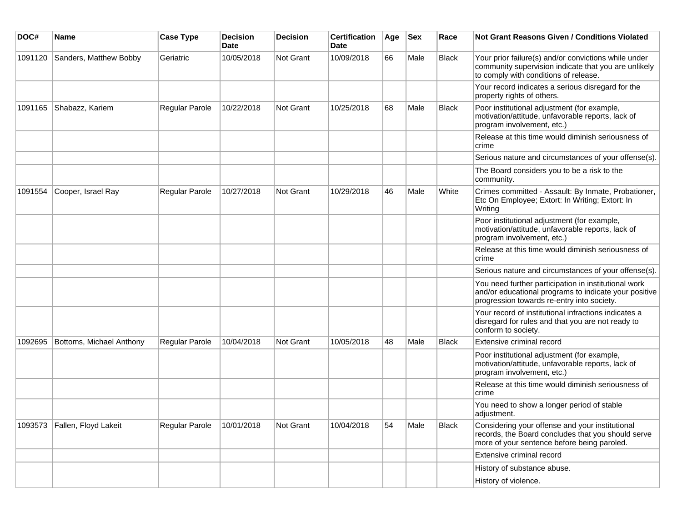| DOC#    | <b>Name</b>              | <b>Case Type</b> | <b>Decision</b><br><b>Date</b> | <b>Decision</b>  | <b>Certification</b><br><b>Date</b> | Age | <b>Sex</b> | Race         | <b>Not Grant Reasons Given / Conditions Violated</b>                                                                                                        |
|---------|--------------------------|------------------|--------------------------------|------------------|-------------------------------------|-----|------------|--------------|-------------------------------------------------------------------------------------------------------------------------------------------------------------|
| 1091120 | Sanders, Matthew Bobby   | Geriatric        | 10/05/2018                     | Not Grant        | 10/09/2018                          | 66  | Male       | <b>Black</b> | Your prior failure(s) and/or convictions while under<br>community supervision indicate that you are unlikely<br>to comply with conditions of release.       |
|         |                          |                  |                                |                  |                                     |     |            |              | Your record indicates a serious disregard for the<br>property rights of others.                                                                             |
| 1091165 | Shabazz, Kariem          | Regular Parole   | 10/22/2018                     | Not Grant        | 10/25/2018                          | 68  | Male       | <b>Black</b> | Poor institutional adjustment (for example,<br>motivation/attitude, unfavorable reports, lack of<br>program involvement, etc.)                              |
|         |                          |                  |                                |                  |                                     |     |            |              | Release at this time would diminish seriousness of<br>crime                                                                                                 |
|         |                          |                  |                                |                  |                                     |     |            |              | Serious nature and circumstances of your offense(s).                                                                                                        |
|         |                          |                  |                                |                  |                                     |     |            |              | The Board considers you to be a risk to the<br>community.                                                                                                   |
| 1091554 | Cooper, Israel Ray       | Regular Parole   | 10/27/2018                     | Not Grant        | 10/29/2018                          | 46  | Male       | White        | Crimes committed - Assault: By Inmate, Probationer,<br>Etc On Employee; Extort: In Writing; Extort: In<br>Writing                                           |
|         |                          |                  |                                |                  |                                     |     |            |              | Poor institutional adjustment (for example,<br>motivation/attitude, unfavorable reports, lack of<br>program involvement, etc.)                              |
|         |                          |                  |                                |                  |                                     |     |            |              | Release at this time would diminish seriousness of<br>crime                                                                                                 |
|         |                          |                  |                                |                  |                                     |     |            |              | Serious nature and circumstances of your offense(s).                                                                                                        |
|         |                          |                  |                                |                  |                                     |     |            |              | You need further participation in institutional work<br>and/or educational programs to indicate your positive<br>progression towards re-entry into society. |
|         |                          |                  |                                |                  |                                     |     |            |              | Your record of institutional infractions indicates a<br>disregard for rules and that you are not ready to<br>conform to society.                            |
| 1092695 | Bottoms, Michael Anthony | Regular Parole   | 10/04/2018                     | <b>Not Grant</b> | 10/05/2018                          | 48  | Male       | <b>Black</b> | Extensive criminal record                                                                                                                                   |
|         |                          |                  |                                |                  |                                     |     |            |              | Poor institutional adjustment (for example,<br>motivation/attitude, unfavorable reports, lack of<br>program involvement, etc.)                              |
|         |                          |                  |                                |                  |                                     |     |            |              | Release at this time would diminish seriousness of<br>crime                                                                                                 |
|         |                          |                  |                                |                  |                                     |     |            |              | You need to show a longer period of stable<br>adjustment.                                                                                                   |
| 1093573 | Fallen, Floyd Lakeit     | Regular Parole   | 10/01/2018                     | Not Grant        | 10/04/2018                          | 54  | Male       | <b>Black</b> | Considering your offense and your institutional<br>records, the Board concludes that you should serve<br>more of your sentence before being paroled.        |
|         |                          |                  |                                |                  |                                     |     |            |              | Extensive criminal record                                                                                                                                   |
|         |                          |                  |                                |                  |                                     |     |            |              | History of substance abuse.                                                                                                                                 |
|         |                          |                  |                                |                  |                                     |     |            |              | History of violence.                                                                                                                                        |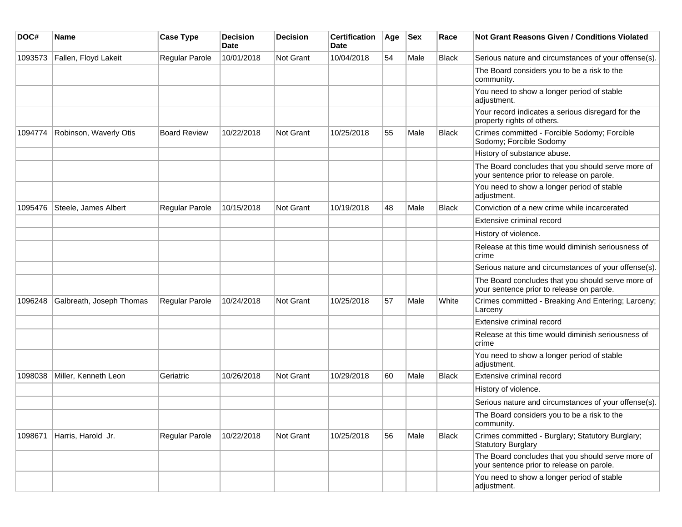| DOC#    | <b>Name</b>              | <b>Case Type</b>      | <b>Decision</b><br><b>Date</b> | <b>Decision</b> | <b>Certification</b><br><b>Date</b> | Age | <b>Sex</b> | Race         | <b>Not Grant Reasons Given / Conditions Violated</b>                                           |
|---------|--------------------------|-----------------------|--------------------------------|-----------------|-------------------------------------|-----|------------|--------------|------------------------------------------------------------------------------------------------|
| 1093573 | Fallen, Floyd Lakeit     | Regular Parole        | 10/01/2018                     | Not Grant       | 10/04/2018                          | 54  | Male       | Black        | Serious nature and circumstances of your offense(s).                                           |
|         |                          |                       |                                |                 |                                     |     |            |              | The Board considers you to be a risk to the<br>community.                                      |
|         |                          |                       |                                |                 |                                     |     |            |              | You need to show a longer period of stable<br>adjustment.                                      |
|         |                          |                       |                                |                 |                                     |     |            |              | Your record indicates a serious disregard for the<br>property rights of others.                |
| 1094774 | Robinson, Waverly Otis   | <b>Board Review</b>   | 10/22/2018                     | Not Grant       | 10/25/2018                          | 55  | Male       | <b>Black</b> | Crimes committed - Forcible Sodomy; Forcible<br>Sodomy; Forcible Sodomy                        |
|         |                          |                       |                                |                 |                                     |     |            |              | History of substance abuse.                                                                    |
|         |                          |                       |                                |                 |                                     |     |            |              | The Board concludes that you should serve more of<br>your sentence prior to release on parole. |
|         |                          |                       |                                |                 |                                     |     |            |              | You need to show a longer period of stable<br>adjustment.                                      |
| 1095476 | Steele, James Albert     | <b>Regular Parole</b> | 10/15/2018                     | Not Grant       | 10/19/2018                          | 48  | Male       | <b>Black</b> | Conviction of a new crime while incarcerated                                                   |
|         |                          |                       |                                |                 |                                     |     |            |              | Extensive criminal record                                                                      |
|         |                          |                       |                                |                 |                                     |     |            |              | History of violence.                                                                           |
|         |                          |                       |                                |                 |                                     |     |            |              | Release at this time would diminish seriousness of<br>crime                                    |
|         |                          |                       |                                |                 |                                     |     |            |              | Serious nature and circumstances of your offense(s).                                           |
|         |                          |                       |                                |                 |                                     |     |            |              | The Board concludes that you should serve more of<br>your sentence prior to release on parole. |
| 1096248 | Galbreath, Joseph Thomas | <b>Regular Parole</b> | 10/24/2018                     | Not Grant       | 10/25/2018                          | 57  | Male       | White        | Crimes committed - Breaking And Entering; Larceny;<br>Larceny                                  |
|         |                          |                       |                                |                 |                                     |     |            |              | Extensive criminal record                                                                      |
|         |                          |                       |                                |                 |                                     |     |            |              | Release at this time would diminish seriousness of<br>crime                                    |
|         |                          |                       |                                |                 |                                     |     |            |              | You need to show a longer period of stable<br>adjustment.                                      |
| 1098038 | Miller, Kenneth Leon     | Geriatric             | 10/26/2018                     | Not Grant       | 10/29/2018                          | 60  | Male       | <b>Black</b> | Extensive criminal record                                                                      |
|         |                          |                       |                                |                 |                                     |     |            |              | History of violence.                                                                           |
|         |                          |                       |                                |                 |                                     |     |            |              | Serious nature and circumstances of your offense(s).                                           |
|         |                          |                       |                                |                 |                                     |     |            |              | The Board considers you to be a risk to the<br>community.                                      |
| 1098671 | Harris, Harold Jr.       | Regular Parole        | 10/22/2018                     | Not Grant       | 10/25/2018                          | 56  | Male       | <b>Black</b> | Crimes committed - Burglary; Statutory Burglary;<br><b>Statutory Burglary</b>                  |
|         |                          |                       |                                |                 |                                     |     |            |              | The Board concludes that you should serve more of<br>your sentence prior to release on parole. |
|         |                          |                       |                                |                 |                                     |     |            |              | You need to show a longer period of stable<br>adjustment.                                      |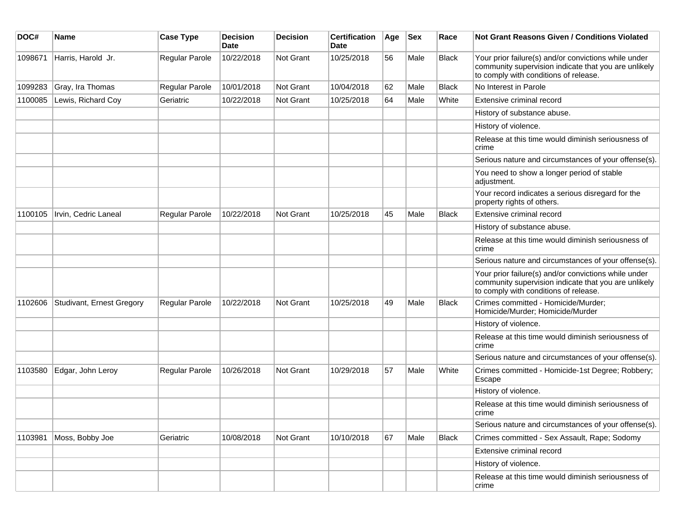| DOC#    | Name                      | <b>Case Type</b> | <b>Decision</b><br><b>Date</b> | <b>Decision</b>  | <b>Certification</b><br>Date | Age | <b>Sex</b> | Race         | Not Grant Reasons Given / Conditions Violated                                                                                                         |
|---------|---------------------------|------------------|--------------------------------|------------------|------------------------------|-----|------------|--------------|-------------------------------------------------------------------------------------------------------------------------------------------------------|
| 1098671 | Harris, Harold Jr.        | Regular Parole   | 10/22/2018                     | Not Grant        | 10/25/2018                   | 56  | Male       | <b>Black</b> | Your prior failure(s) and/or convictions while under<br>community supervision indicate that you are unlikely<br>to comply with conditions of release. |
| 1099283 | Gray, Ira Thomas          | Regular Parole   | 10/01/2018                     | Not Grant        | 10/04/2018                   | 62  | Male       | <b>Black</b> | No Interest in Parole                                                                                                                                 |
| 1100085 | Lewis, Richard Coy        | Geriatric        | 10/22/2018                     | Not Grant        | 10/25/2018                   | 64  | Male       | White        | Extensive criminal record                                                                                                                             |
|         |                           |                  |                                |                  |                              |     |            |              | History of substance abuse.                                                                                                                           |
|         |                           |                  |                                |                  |                              |     |            |              | History of violence.                                                                                                                                  |
|         |                           |                  |                                |                  |                              |     |            |              | Release at this time would diminish seriousness of<br>crime                                                                                           |
|         |                           |                  |                                |                  |                              |     |            |              | Serious nature and circumstances of your offense(s).                                                                                                  |
|         |                           |                  |                                |                  |                              |     |            |              | You need to show a longer period of stable<br>adjustment.                                                                                             |
|         |                           |                  |                                |                  |                              |     |            |              | Your record indicates a serious disregard for the<br>property rights of others.                                                                       |
| 1100105 | Irvin, Cedric Laneal      | Regular Parole   | 10/22/2018                     | <b>Not Grant</b> | 10/25/2018                   | 45  | Male       | <b>Black</b> | Extensive criminal record                                                                                                                             |
|         |                           |                  |                                |                  |                              |     |            |              | History of substance abuse.                                                                                                                           |
|         |                           |                  |                                |                  |                              |     |            |              | Release at this time would diminish seriousness of<br>crime                                                                                           |
|         |                           |                  |                                |                  |                              |     |            |              | Serious nature and circumstances of your offense(s).                                                                                                  |
|         |                           |                  |                                |                  |                              |     |            |              | Your prior failure(s) and/or convictions while under<br>community supervision indicate that you are unlikely<br>to comply with conditions of release. |
| 1102606 | Studivant, Ernest Gregory | Regular Parole   | 10/22/2018                     | Not Grant        | 10/25/2018                   | 49  | Male       | <b>Black</b> | Crimes committed - Homicide/Murder;<br>Homicide/Murder; Homicide/Murder                                                                               |
|         |                           |                  |                                |                  |                              |     |            |              | History of violence.                                                                                                                                  |
|         |                           |                  |                                |                  |                              |     |            |              | Release at this time would diminish seriousness of<br>crime                                                                                           |
|         |                           |                  |                                |                  |                              |     |            |              | Serious nature and circumstances of your offense(s).                                                                                                  |
| 1103580 | Edgar, John Leroy         | Regular Parole   | 10/26/2018                     | Not Grant        | 10/29/2018                   | 57  | Male       | White        | Crimes committed - Homicide-1st Degree; Robbery;<br>Escape                                                                                            |
|         |                           |                  |                                |                  |                              |     |            |              | History of violence.                                                                                                                                  |
|         |                           |                  |                                |                  |                              |     |            |              | Release at this time would diminish seriousness of<br>crime                                                                                           |
|         |                           |                  |                                |                  |                              |     |            |              | Serious nature and circumstances of your offense(s).                                                                                                  |
| 1103981 | Moss, Bobby Joe           | Geriatric        | 10/08/2018                     | Not Grant        | 10/10/2018                   | 67  | Male       | Black        | Crimes committed - Sex Assault, Rape; Sodomy                                                                                                          |
|         |                           |                  |                                |                  |                              |     |            |              | Extensive criminal record                                                                                                                             |
|         |                           |                  |                                |                  |                              |     |            |              | History of violence.                                                                                                                                  |
|         |                           |                  |                                |                  |                              |     |            |              | Release at this time would diminish seriousness of<br>crime                                                                                           |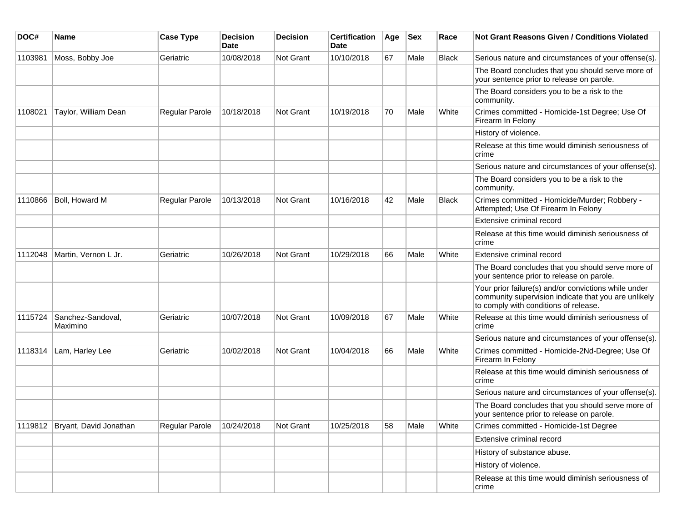| DOC#    | Name                             | <b>Case Type</b> | <b>Decision</b><br>Date | <b>Decision</b> | <b>Certification</b><br>Date | Age | <b>Sex</b> | Race         | <b>Not Grant Reasons Given / Conditions Violated</b>                                                                                                  |
|---------|----------------------------------|------------------|-------------------------|-----------------|------------------------------|-----|------------|--------------|-------------------------------------------------------------------------------------------------------------------------------------------------------|
| 1103981 | Moss, Bobby Joe                  | Geriatric        | 10/08/2018              | Not Grant       | 10/10/2018                   | 67  | Male       | <b>Black</b> | Serious nature and circumstances of your offense(s).                                                                                                  |
|         |                                  |                  |                         |                 |                              |     |            |              | The Board concludes that you should serve more of<br>your sentence prior to release on parole.                                                        |
|         |                                  |                  |                         |                 |                              |     |            |              | The Board considers you to be a risk to the<br>community.                                                                                             |
| 1108021 | Taylor, William Dean             | Regular Parole   | 10/18/2018              | Not Grant       | 10/19/2018                   | 70  | Male       | White        | Crimes committed - Homicide-1st Degree; Use Of<br>Firearm In Felony                                                                                   |
|         |                                  |                  |                         |                 |                              |     |            |              | History of violence.                                                                                                                                  |
|         |                                  |                  |                         |                 |                              |     |            |              | Release at this time would diminish seriousness of<br>crime                                                                                           |
|         |                                  |                  |                         |                 |                              |     |            |              | Serious nature and circumstances of your offense(s).                                                                                                  |
|         |                                  |                  |                         |                 |                              |     |            |              | The Board considers you to be a risk to the<br>community.                                                                                             |
| 1110866 | Boll, Howard M                   | Regular Parole   | 10/13/2018              | Not Grant       | 10/16/2018                   | 42  | Male       | <b>Black</b> | Crimes committed - Homicide/Murder; Robbery -<br>Attempted; Use Of Firearm In Felony                                                                  |
|         |                                  |                  |                         |                 |                              |     |            |              | Extensive criminal record                                                                                                                             |
|         |                                  |                  |                         |                 |                              |     |            |              | Release at this time would diminish seriousness of<br>crime                                                                                           |
| 1112048 | Martin, Vernon L Jr.             | Geriatric        | 10/26/2018              | Not Grant       | 10/29/2018                   | 66  | Male       | White        | Extensive criminal record                                                                                                                             |
|         |                                  |                  |                         |                 |                              |     |            |              | The Board concludes that you should serve more of<br>your sentence prior to release on parole.                                                        |
|         |                                  |                  |                         |                 |                              |     |            |              | Your prior failure(s) and/or convictions while under<br>community supervision indicate that you are unlikely<br>to comply with conditions of release. |
| 1115724 | Sanchez-Sandoval,<br>Maximino    | Geriatric        | 10/07/2018              | Not Grant       | 10/09/2018                   | 67  | Male       | White        | Release at this time would diminish seriousness of<br>crime                                                                                           |
|         |                                  |                  |                         |                 |                              |     |            |              | Serious nature and circumstances of your offense(s).                                                                                                  |
| 1118314 | Lam, Harley Lee                  | Geriatric        | 10/02/2018              | Not Grant       | 10/04/2018                   | 66  | Male       | White        | Crimes committed - Homicide-2Nd-Degree; Use Of<br>Firearm In Felony                                                                                   |
|         |                                  |                  |                         |                 |                              |     |            |              | Release at this time would diminish seriousness of<br>crime                                                                                           |
|         |                                  |                  |                         |                 |                              |     |            |              | Serious nature and circumstances of your offense(s).                                                                                                  |
|         |                                  |                  |                         |                 |                              |     |            |              | The Board concludes that you should serve more of<br>your sentence prior to release on parole.                                                        |
|         | 1119812   Bryant, David Jonathan | Regular Parole   | 10/24/2018              | Not Grant       | 10/25/2018                   | 58  | Male       | White        | Crimes committed - Homicide-1st Degree                                                                                                                |
|         |                                  |                  |                         |                 |                              |     |            |              | Extensive criminal record                                                                                                                             |
|         |                                  |                  |                         |                 |                              |     |            |              | History of substance abuse.                                                                                                                           |
|         |                                  |                  |                         |                 |                              |     |            |              | History of violence.                                                                                                                                  |
|         |                                  |                  |                         |                 |                              |     |            |              | Release at this time would diminish seriousness of<br>crime                                                                                           |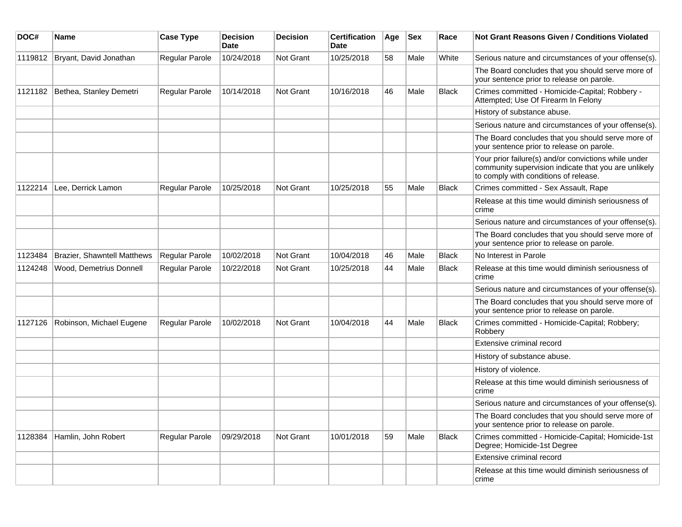| DOC#    | Name                               | <b>Case Type</b>      | <b>Decision</b><br>Date | <b>Decision</b> | <b>Certification</b><br>Date | Age | <b>Sex</b> | Race         | Not Grant Reasons Given / Conditions Violated                                                                                                         |
|---------|------------------------------------|-----------------------|-------------------------|-----------------|------------------------------|-----|------------|--------------|-------------------------------------------------------------------------------------------------------------------------------------------------------|
| 1119812 | Bryant, David Jonathan             | Regular Parole        | 10/24/2018              | Not Grant       | 10/25/2018                   | 58  | Male       | White        | Serious nature and circumstances of your offense(s).                                                                                                  |
|         |                                    |                       |                         |                 |                              |     |            |              | The Board concludes that you should serve more of<br>your sentence prior to release on parole.                                                        |
| 1121182 | Bethea, Stanley Demetri            | <b>Regular Parole</b> | 10/14/2018              | Not Grant       | 10/16/2018                   | 46  | Male       | <b>Black</b> | Crimes committed - Homicide-Capital; Robbery -<br>Attempted; Use Of Firearm In Felony                                                                 |
|         |                                    |                       |                         |                 |                              |     |            |              | History of substance abuse.                                                                                                                           |
|         |                                    |                       |                         |                 |                              |     |            |              | Serious nature and circumstances of your offense(s).                                                                                                  |
|         |                                    |                       |                         |                 |                              |     |            |              | The Board concludes that you should serve more of<br>your sentence prior to release on parole.                                                        |
|         |                                    |                       |                         |                 |                              |     |            |              | Your prior failure(s) and/or convictions while under<br>community supervision indicate that you are unlikely<br>to comply with conditions of release. |
| 1122214 | Lee, Derrick Lamon                 | Regular Parole        | 10/25/2018              | Not Grant       | 10/25/2018                   | 55  | Male       | <b>Black</b> | Crimes committed - Sex Assault, Rape                                                                                                                  |
|         |                                    |                       |                         |                 |                              |     |            |              | Release at this time would diminish seriousness of<br>crime                                                                                           |
|         |                                    |                       |                         |                 |                              |     |            |              | Serious nature and circumstances of your offense(s).                                                                                                  |
|         |                                    |                       |                         |                 |                              |     |            |              | The Board concludes that you should serve more of<br>your sentence prior to release on parole.                                                        |
| 1123484 | <b>Brazier, Shawntell Matthews</b> | Regular Parole        | 10/02/2018              | Not Grant       | 10/04/2018                   | 46  | Male       | <b>Black</b> | No Interest in Parole                                                                                                                                 |
| 1124248 | Wood, Demetrius Donnell            | <b>Regular Parole</b> | 10/22/2018              | Not Grant       | 10/25/2018                   | 44  | Male       | <b>Black</b> | Release at this time would diminish seriousness of<br>crime                                                                                           |
|         |                                    |                       |                         |                 |                              |     |            |              | Serious nature and circumstances of your offense(s).                                                                                                  |
|         |                                    |                       |                         |                 |                              |     |            |              | The Board concludes that you should serve more of<br>your sentence prior to release on parole.                                                        |
| 1127126 | Robinson, Michael Eugene           | Regular Parole        | 10/02/2018              | Not Grant       | 10/04/2018                   | 44  | Male       | <b>Black</b> | Crimes committed - Homicide-Capital; Robbery;<br>Robbery                                                                                              |
|         |                                    |                       |                         |                 |                              |     |            |              | Extensive criminal record                                                                                                                             |
|         |                                    |                       |                         |                 |                              |     |            |              | History of substance abuse.                                                                                                                           |
|         |                                    |                       |                         |                 |                              |     |            |              | History of violence.                                                                                                                                  |
|         |                                    |                       |                         |                 |                              |     |            |              | Release at this time would diminish seriousness of<br>crime                                                                                           |
|         |                                    |                       |                         |                 |                              |     |            |              | Serious nature and circumstances of your offense(s).                                                                                                  |
|         |                                    |                       |                         |                 |                              |     |            |              | The Board concludes that you should serve more of<br>your sentence prior to release on parole.                                                        |
| 1128384 | Hamlin, John Robert                | Regular Parole        | 09/29/2018              | Not Grant       | 10/01/2018                   | 59  | Male       | <b>Black</b> | Crimes committed - Homicide-Capital; Homicide-1st<br>Degree; Homicide-1st Degree                                                                      |
|         |                                    |                       |                         |                 |                              |     |            |              | Extensive criminal record                                                                                                                             |
|         |                                    |                       |                         |                 |                              |     |            |              | Release at this time would diminish seriousness of<br>crime                                                                                           |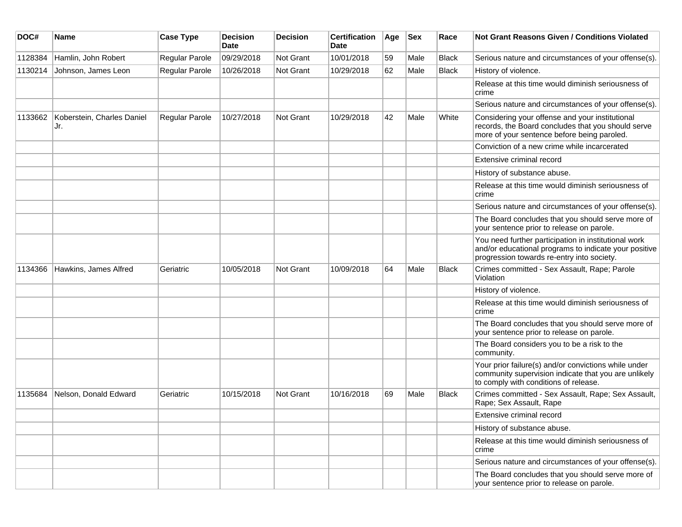| DOC#    | Name                              | <b>Case Type</b> | <b>Decision</b><br><b>Date</b> | <b>Decision</b>  | <b>Certification</b><br><b>Date</b> | Age | <b>Sex</b> | Race         | <b>Not Grant Reasons Given / Conditions Violated</b>                                                                                                        |
|---------|-----------------------------------|------------------|--------------------------------|------------------|-------------------------------------|-----|------------|--------------|-------------------------------------------------------------------------------------------------------------------------------------------------------------|
| 1128384 | Hamlin, John Robert               | Regular Parole   | 09/29/2018                     | Not Grant        | 10/01/2018                          | 59  | Male       | <b>Black</b> | Serious nature and circumstances of your offense(s).                                                                                                        |
| 1130214 | Johnson, James Leon               | Regular Parole   | 10/26/2018                     | Not Grant        | 10/29/2018                          | 62  | Male       | <b>Black</b> | History of violence.                                                                                                                                        |
|         |                                   |                  |                                |                  |                                     |     |            |              | Release at this time would diminish seriousness of<br>crime                                                                                                 |
|         |                                   |                  |                                |                  |                                     |     |            |              | Serious nature and circumstances of your offense(s).                                                                                                        |
| 1133662 | Koberstein, Charles Daniel<br>Jr. | Regular Parole   | 10/27/2018                     | Not Grant        | 10/29/2018                          | 42  | Male       | White        | Considering your offense and your institutional<br>records, the Board concludes that you should serve<br>more of your sentence before being paroled.        |
|         |                                   |                  |                                |                  |                                     |     |            |              | Conviction of a new crime while incarcerated                                                                                                                |
|         |                                   |                  |                                |                  |                                     |     |            |              | Extensive criminal record                                                                                                                                   |
|         |                                   |                  |                                |                  |                                     |     |            |              | History of substance abuse.                                                                                                                                 |
|         |                                   |                  |                                |                  |                                     |     |            |              | Release at this time would diminish seriousness of<br>crime                                                                                                 |
|         |                                   |                  |                                |                  |                                     |     |            |              | Serious nature and circumstances of your offense(s).                                                                                                        |
|         |                                   |                  |                                |                  |                                     |     |            |              | The Board concludes that you should serve more of<br>your sentence prior to release on parole.                                                              |
|         |                                   |                  |                                |                  |                                     |     |            |              | You need further participation in institutional work<br>and/or educational programs to indicate your positive<br>progression towards re-entry into society. |
| 1134366 | Hawkins, James Alfred             | Geriatric        | 10/05/2018                     | Not Grant        | 10/09/2018                          | 64  | Male       | <b>Black</b> | Crimes committed - Sex Assault, Rape; Parole<br>Violation                                                                                                   |
|         |                                   |                  |                                |                  |                                     |     |            |              | History of violence.                                                                                                                                        |
|         |                                   |                  |                                |                  |                                     |     |            |              | Release at this time would diminish seriousness of<br>crime                                                                                                 |
|         |                                   |                  |                                |                  |                                     |     |            |              | The Board concludes that you should serve more of<br>your sentence prior to release on parole.                                                              |
|         |                                   |                  |                                |                  |                                     |     |            |              | The Board considers you to be a risk to the<br>community.                                                                                                   |
|         |                                   |                  |                                |                  |                                     |     |            |              | Your prior failure(s) and/or convictions while under<br>community supervision indicate that you are unlikely<br>to comply with conditions of release.       |
| 1135684 | Nelson, Donald Edward             | Geriatric        | 10/15/2018                     | <b>Not Grant</b> | 10/16/2018                          | 69  | Male       | <b>Black</b> | Crimes committed - Sex Assault, Rape; Sex Assault,<br>Rape; Sex Assault, Rape                                                                               |
|         |                                   |                  |                                |                  |                                     |     |            |              | Extensive criminal record                                                                                                                                   |
|         |                                   |                  |                                |                  |                                     |     |            |              | History of substance abuse.                                                                                                                                 |
|         |                                   |                  |                                |                  |                                     |     |            |              | Release at this time would diminish seriousness of<br>crime                                                                                                 |
|         |                                   |                  |                                |                  |                                     |     |            |              | Serious nature and circumstances of your offense(s).                                                                                                        |
|         |                                   |                  |                                |                  |                                     |     |            |              | The Board concludes that you should serve more of<br>your sentence prior to release on parole.                                                              |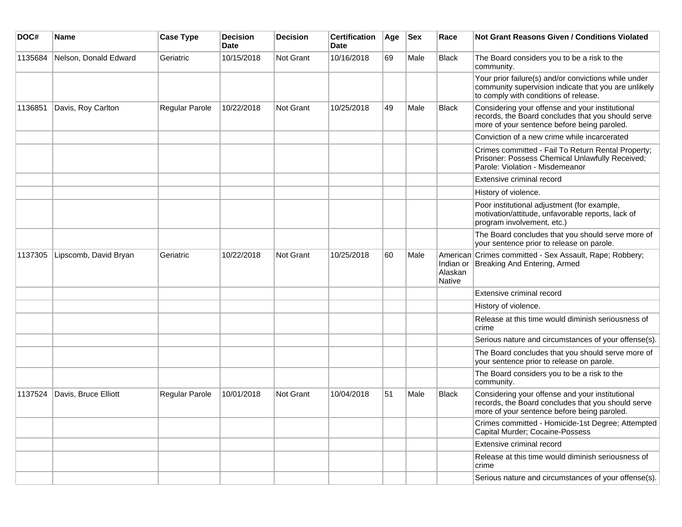| DOC#    | <b>Name</b>           | <b>Case Type</b>      | <b>Decision</b><br><b>Date</b> | <b>Decision</b> | <b>Certification</b><br>Date | Age | <b>Sex</b> | Race                     | <b>Not Grant Reasons Given / Conditions Violated</b>                                                                                                  |
|---------|-----------------------|-----------------------|--------------------------------|-----------------|------------------------------|-----|------------|--------------------------|-------------------------------------------------------------------------------------------------------------------------------------------------------|
| 1135684 | Nelson, Donald Edward | Geriatric             | 10/15/2018                     | Not Grant       | 10/16/2018                   | 69  | Male       | <b>Black</b>             | The Board considers you to be a risk to the<br>community.                                                                                             |
|         |                       |                       |                                |                 |                              |     |            |                          | Your prior failure(s) and/or convictions while under<br>community supervision indicate that you are unlikely<br>to comply with conditions of release. |
| 1136851 | Davis, Roy Carlton    | Regular Parole        | 10/22/2018                     | Not Grant       | 10/25/2018                   | 49  | Male       | <b>Black</b>             | Considering your offense and your institutional<br>records, the Board concludes that you should serve<br>more of your sentence before being paroled.  |
|         |                       |                       |                                |                 |                              |     |            |                          | Conviction of a new crime while incarcerated                                                                                                          |
|         |                       |                       |                                |                 |                              |     |            |                          | Crimes committed - Fail To Return Rental Property;<br>Prisoner: Possess Chemical Unlawfully Received;<br>Parole: Violation - Misdemeanor              |
|         |                       |                       |                                |                 |                              |     |            |                          | Extensive criminal record                                                                                                                             |
|         |                       |                       |                                |                 |                              |     |            |                          | History of violence.                                                                                                                                  |
|         |                       |                       |                                |                 |                              |     |            |                          | Poor institutional adjustment (for example,<br>motivation/attitude, unfavorable reports, lack of<br>program involvement, etc.)                        |
|         |                       |                       |                                |                 |                              |     |            |                          | The Board concludes that you should serve more of<br>your sentence prior to release on parole.                                                        |
| 1137305 | Lipscomb, David Bryan | Geriatric             | 10/22/2018                     | Not Grant       | 10/25/2018                   | 60  | Male       | Alaskan<br><b>Native</b> | American Crimes committed - Sex Assault, Rape; Robbery;<br>Indian or Breaking And Entering, Armed                                                     |
|         |                       |                       |                                |                 |                              |     |            |                          | Extensive criminal record                                                                                                                             |
|         |                       |                       |                                |                 |                              |     |            |                          | History of violence.                                                                                                                                  |
|         |                       |                       |                                |                 |                              |     |            |                          | Release at this time would diminish seriousness of<br>crime                                                                                           |
|         |                       |                       |                                |                 |                              |     |            |                          | Serious nature and circumstances of your offense(s).                                                                                                  |
|         |                       |                       |                                |                 |                              |     |            |                          | The Board concludes that you should serve more of<br>your sentence prior to release on parole.                                                        |
|         |                       |                       |                                |                 |                              |     |            |                          | The Board considers you to be a risk to the<br>community.                                                                                             |
| 1137524 | Davis, Bruce Elliott  | <b>Regular Parole</b> | 10/01/2018                     | Not Grant       | 10/04/2018                   | 51  | Male       | <b>Black</b>             | Considering your offense and your institutional<br>records, the Board concludes that you should serve<br>more of your sentence before being paroled.  |
|         |                       |                       |                                |                 |                              |     |            |                          | Crimes committed - Homicide-1st Degree; Attempted<br>Capital Murder; Cocaine-Possess                                                                  |
|         |                       |                       |                                |                 |                              |     |            |                          | Extensive criminal record                                                                                                                             |
|         |                       |                       |                                |                 |                              |     |            |                          | Release at this time would diminish seriousness of<br>crime                                                                                           |
|         |                       |                       |                                |                 |                              |     |            |                          | Serious nature and circumstances of your offense(s).                                                                                                  |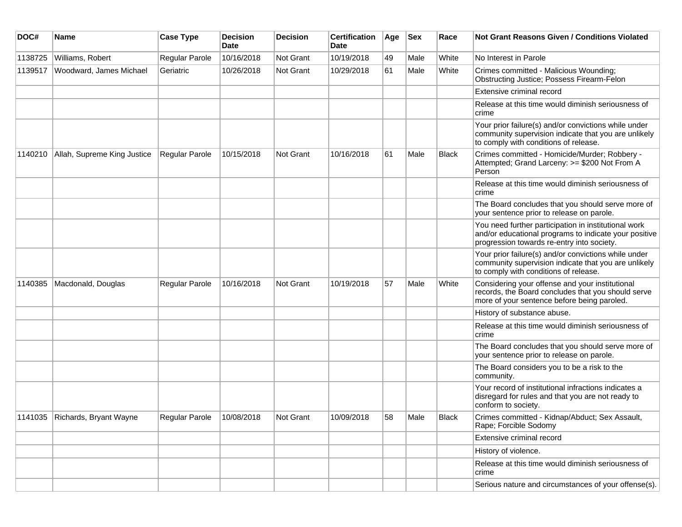| DOC#    | Name                           | <b>Case Type</b> | <b>Decision</b><br><b>Date</b> | <b>Decision</b>  | <b>Certification</b><br>Date | Age | <b>Sex</b> | Race  | <b>Not Grant Reasons Given / Conditions Violated</b>                                                                                                        |
|---------|--------------------------------|------------------|--------------------------------|------------------|------------------------------|-----|------------|-------|-------------------------------------------------------------------------------------------------------------------------------------------------------------|
| 1138725 | Williams, Robert               | Regular Parole   | 10/16/2018                     | <b>Not Grant</b> | 10/19/2018                   | 49  | Male       | White | No Interest in Parole                                                                                                                                       |
| 1139517 | Woodward, James Michael        | Geriatric        | 10/26/2018                     | Not Grant        | 10/29/2018                   | 61  | Male       | White | Crimes committed - Malicious Wounding;<br>Obstructing Justice; Possess Firearm-Felon                                                                        |
|         |                                |                  |                                |                  |                              |     |            |       | Extensive criminal record                                                                                                                                   |
|         |                                |                  |                                |                  |                              |     |            |       | Release at this time would diminish seriousness of<br>crime                                                                                                 |
|         |                                |                  |                                |                  |                              |     |            |       | Your prior failure(s) and/or convictions while under<br>community supervision indicate that you are unlikely<br>to comply with conditions of release.       |
| 1140210 | Allah, Supreme King Justice    | Regular Parole   | 10/15/2018                     | <b>Not Grant</b> | 10/16/2018                   | 61  | Male       | Black | Crimes committed - Homicide/Murder; Robbery -<br>Attempted; Grand Larceny: >= \$200 Not From A<br>Person                                                    |
|         |                                |                  |                                |                  |                              |     |            |       | Release at this time would diminish seriousness of<br>crime                                                                                                 |
|         |                                |                  |                                |                  |                              |     |            |       | The Board concludes that you should serve more of<br>your sentence prior to release on parole.                                                              |
|         |                                |                  |                                |                  |                              |     |            |       | You need further participation in institutional work<br>and/or educational programs to indicate your positive<br>progression towards re-entry into society. |
|         |                                |                  |                                |                  |                              |     |            |       | Your prior failure(s) and/or convictions while under<br>community supervision indicate that you are unlikely<br>to comply with conditions of release.       |
| 1140385 | Macdonald, Douglas             | Regular Parole   | 10/16/2018                     | <b>Not Grant</b> | 10/19/2018                   | 57  | Male       | White | Considering your offense and your institutional<br>records, the Board concludes that you should serve<br>more of your sentence before being paroled.        |
|         |                                |                  |                                |                  |                              |     |            |       | History of substance abuse.                                                                                                                                 |
|         |                                |                  |                                |                  |                              |     |            |       | Release at this time would diminish seriousness of<br>crime                                                                                                 |
|         |                                |                  |                                |                  |                              |     |            |       | The Board concludes that you should serve more of<br>your sentence prior to release on parole.                                                              |
|         |                                |                  |                                |                  |                              |     |            |       | The Board considers you to be a risk to the<br>community.                                                                                                   |
|         |                                |                  |                                |                  |                              |     |            |       | Your record of institutional infractions indicates a<br>disregard for rules and that you are not ready to<br>conform to society.                            |
|         | 1141035 Richards, Bryant Wayne | Regular Parole   | 10/08/2018                     | Not Grant        | 10/09/2018                   | 58  | Male       | Black | Crimes committed - Kidnap/Abduct; Sex Assault,<br>Rape; Forcible Sodomy                                                                                     |
|         |                                |                  |                                |                  |                              |     |            |       | Extensive criminal record                                                                                                                                   |
|         |                                |                  |                                |                  |                              |     |            |       | History of violence.                                                                                                                                        |
|         |                                |                  |                                |                  |                              |     |            |       | Release at this time would diminish seriousness of<br>crime                                                                                                 |
|         |                                |                  |                                |                  |                              |     |            |       | Serious nature and circumstances of your offense(s).                                                                                                        |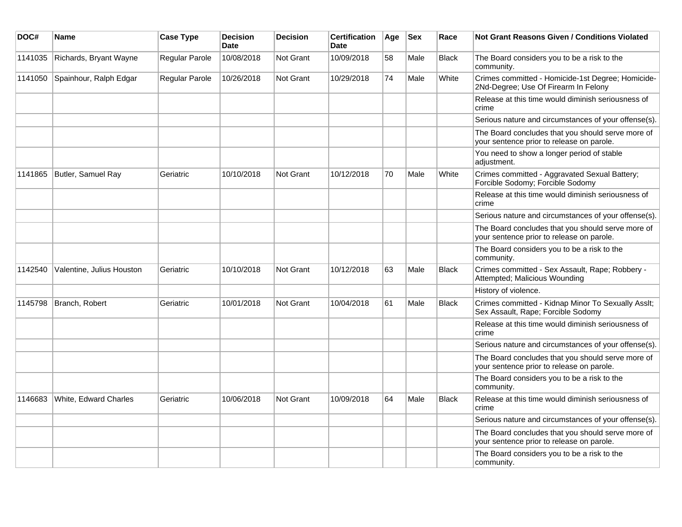| DOC#    | <b>Name</b>               | <b>Case Type</b> | <b>Decision</b><br><b>Date</b> | <b>Decision</b>  | <b>Certification</b><br><b>Date</b> | Age | <b>Sex</b> | Race         | <b>Not Grant Reasons Given / Conditions Violated</b>                                           |
|---------|---------------------------|------------------|--------------------------------|------------------|-------------------------------------|-----|------------|--------------|------------------------------------------------------------------------------------------------|
| 1141035 | Richards, Bryant Wayne    | Regular Parole   | 10/08/2018                     | Not Grant        | 10/09/2018                          | 58  | Male       | Black        | The Board considers you to be a risk to the<br>community.                                      |
| 1141050 | Spainhour, Ralph Edgar    | Regular Parole   | 10/26/2018                     | Not Grant        | 10/29/2018                          | 74  | Male       | White        | Crimes committed - Homicide-1st Degree; Homicide-<br>2Nd-Degree; Use Of Firearm In Felony      |
|         |                           |                  |                                |                  |                                     |     |            |              | Release at this time would diminish seriousness of<br>crime                                    |
|         |                           |                  |                                |                  |                                     |     |            |              | Serious nature and circumstances of your offense(s).                                           |
|         |                           |                  |                                |                  |                                     |     |            |              | The Board concludes that you should serve more of<br>your sentence prior to release on parole. |
|         |                           |                  |                                |                  |                                     |     |            |              | You need to show a longer period of stable<br>adjustment.                                      |
| 1141865 | Butler, Samuel Ray        | Geriatric        | 10/10/2018                     | Not Grant        | 10/12/2018                          | 70  | Male       | White        | Crimes committed - Aggravated Sexual Battery;<br>Forcible Sodomy; Forcible Sodomy              |
|         |                           |                  |                                |                  |                                     |     |            |              | Release at this time would diminish seriousness of<br>crime                                    |
|         |                           |                  |                                |                  |                                     |     |            |              | Serious nature and circumstances of your offense(s).                                           |
|         |                           |                  |                                |                  |                                     |     |            |              | The Board concludes that you should serve more of<br>your sentence prior to release on parole. |
|         |                           |                  |                                |                  |                                     |     |            |              | The Board considers you to be a risk to the<br>community.                                      |
| 1142540 | Valentine, Julius Houston | Geriatric        | 10/10/2018                     | Not Grant        | 10/12/2018                          | 63  | Male       | <b>Black</b> | Crimes committed - Sex Assault, Rape; Robbery -<br>Attempted; Malicious Wounding               |
|         |                           |                  |                                |                  |                                     |     |            |              | History of violence.                                                                           |
| 1145798 | Branch, Robert            | Geriatric        | 10/01/2018                     | <b>Not Grant</b> | 10/04/2018                          | 61  | Male       | <b>Black</b> | Crimes committed - Kidnap Minor To Sexually Asslt;<br>Sex Assault, Rape; Forcible Sodomy       |
|         |                           |                  |                                |                  |                                     |     |            |              | Release at this time would diminish seriousness of<br>crime                                    |
|         |                           |                  |                                |                  |                                     |     |            |              | Serious nature and circumstances of your offense(s).                                           |
|         |                           |                  |                                |                  |                                     |     |            |              | The Board concludes that you should serve more of<br>your sentence prior to release on parole. |
|         |                           |                  |                                |                  |                                     |     |            |              | The Board considers you to be a risk to the<br>community.                                      |
| 1146683 | White, Edward Charles     | Geriatric        | 10/06/2018                     | Not Grant        | 10/09/2018                          | 64  | Male       | <b>Black</b> | Release at this time would diminish seriousness of<br>crime                                    |
|         |                           |                  |                                |                  |                                     |     |            |              | Serious nature and circumstances of your offense(s).                                           |
|         |                           |                  |                                |                  |                                     |     |            |              | The Board concludes that you should serve more of<br>your sentence prior to release on parole. |
|         |                           |                  |                                |                  |                                     |     |            |              | The Board considers you to be a risk to the<br>community.                                      |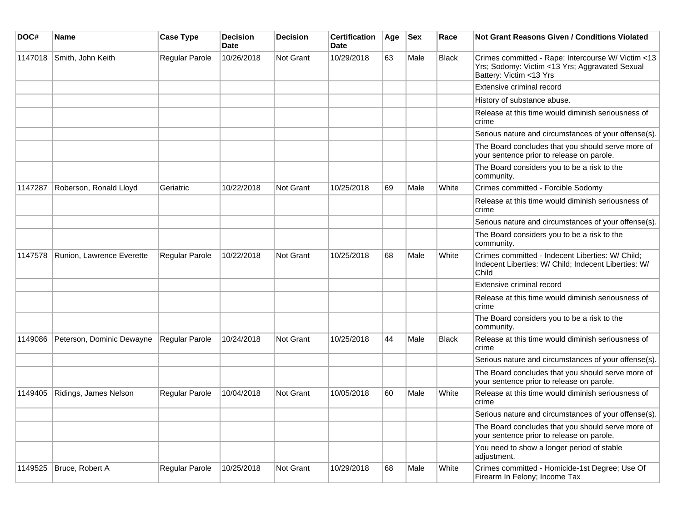| DOC#    | <b>Name</b>               | <b>Case Type</b>      | <b>Decision</b><br><b>Date</b> | <b>Decision</b>  | <b>Certification</b><br>Date | Age | <b>Sex</b> | Race         | <b>Not Grant Reasons Given / Conditions Violated</b>                                                                            |
|---------|---------------------------|-----------------------|--------------------------------|------------------|------------------------------|-----|------------|--------------|---------------------------------------------------------------------------------------------------------------------------------|
| 1147018 | Smith, John Keith         | Regular Parole        | 10/26/2018                     | <b>Not Grant</b> | 10/29/2018                   | 63  | Male       | Black        | Crimes committed - Rape: Intercourse W/ Victim <13<br>Yrs; Sodomy: Victim <13 Yrs; Aggravated Sexual<br>Battery: Victim <13 Yrs |
|         |                           |                       |                                |                  |                              |     |            |              | Extensive criminal record                                                                                                       |
|         |                           |                       |                                |                  |                              |     |            |              | History of substance abuse.                                                                                                     |
|         |                           |                       |                                |                  |                              |     |            |              | Release at this time would diminish seriousness of<br>crime                                                                     |
|         |                           |                       |                                |                  |                              |     |            |              | Serious nature and circumstances of your offense(s).                                                                            |
|         |                           |                       |                                |                  |                              |     |            |              | The Board concludes that you should serve more of<br>your sentence prior to release on parole.                                  |
|         |                           |                       |                                |                  |                              |     |            |              | The Board considers you to be a risk to the<br>community.                                                                       |
| 1147287 | Roberson, Ronald Lloyd    | Geriatric             | 10/22/2018                     | <b>Not Grant</b> | 10/25/2018                   | 69  | Male       | White        | Crimes committed - Forcible Sodomy                                                                                              |
|         |                           |                       |                                |                  |                              |     |            |              | Release at this time would diminish seriousness of<br>crime                                                                     |
|         |                           |                       |                                |                  |                              |     |            |              | Serious nature and circumstances of your offense(s).                                                                            |
|         |                           |                       |                                |                  |                              |     |            |              | The Board considers you to be a risk to the<br>community.                                                                       |
| 1147578 | Runion, Lawrence Everette | Regular Parole        | 10/22/2018                     | Not Grant        | 10/25/2018                   | 68  | Male       | White        | Crimes committed - Indecent Liberties: W/ Child;<br>Indecent Liberties: W/ Child; Indecent Liberties: W/<br>Child               |
|         |                           |                       |                                |                  |                              |     |            |              | Extensive criminal record                                                                                                       |
|         |                           |                       |                                |                  |                              |     |            |              | Release at this time would diminish seriousness of<br>crime                                                                     |
|         |                           |                       |                                |                  |                              |     |            |              | The Board considers you to be a risk to the<br>community.                                                                       |
| 1149086 | Peterson, Dominic Dewayne | <b>Regular Parole</b> | 10/24/2018                     | <b>Not Grant</b> | 10/25/2018                   | 44  | Male       | <b>Black</b> | Release at this time would diminish seriousness of<br>crime                                                                     |
|         |                           |                       |                                |                  |                              |     |            |              | Serious nature and circumstances of your offense(s).                                                                            |
|         |                           |                       |                                |                  |                              |     |            |              | The Board concludes that you should serve more of<br>your sentence prior to release on parole.                                  |
| 1149405 | Ridings, James Nelson     | <b>Regular Parole</b> | 10/04/2018                     | <b>Not Grant</b> | 10/05/2018                   | 60  | Male       | White        | Release at this time would diminish seriousness of<br>crime                                                                     |
|         |                           |                       |                                |                  |                              |     |            |              | Serious nature and circumstances of your offense(s).                                                                            |
|         |                           |                       |                                |                  |                              |     |            |              | The Board concludes that you should serve more of<br>your sentence prior to release on parole.                                  |
|         |                           |                       |                                |                  |                              |     |            |              | You need to show a longer period of stable<br>adjustment.                                                                       |
| 1149525 | Bruce, Robert A           | Regular Parole        | 10/25/2018                     | Not Grant        | 10/29/2018                   | 68  | Male       | White        | Crimes committed - Homicide-1st Degree; Use Of<br>Firearm In Felony; Income Tax                                                 |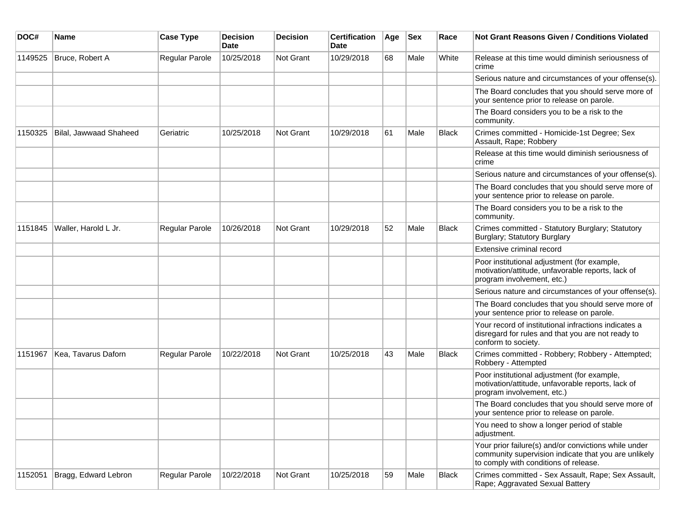| DOC#    | <b>Name</b>            | <b>Case Type</b> | <b>Decision</b><br><b>Date</b> | <b>Decision</b>  | <b>Certification</b><br>Date | Age | <b>Sex</b> | Race         | <b>Not Grant Reasons Given / Conditions Violated</b>                                                                                                  |
|---------|------------------------|------------------|--------------------------------|------------------|------------------------------|-----|------------|--------------|-------------------------------------------------------------------------------------------------------------------------------------------------------|
| 1149525 | Bruce, Robert A        | Regular Parole   | 10/25/2018                     | <b>Not Grant</b> | 10/29/2018                   | 68  | Male       | White        | Release at this time would diminish seriousness of<br>crime                                                                                           |
|         |                        |                  |                                |                  |                              |     |            |              | Serious nature and circumstances of your offense(s).                                                                                                  |
|         |                        |                  |                                |                  |                              |     |            |              | The Board concludes that you should serve more of<br>your sentence prior to release on parole.                                                        |
|         |                        |                  |                                |                  |                              |     |            |              | The Board considers you to be a risk to the<br>community.                                                                                             |
| 1150325 | Bilal, Jawwaad Shaheed | Geriatric        | 10/25/2018                     | <b>Not Grant</b> | 10/29/2018                   | 61  | Male       | <b>Black</b> | Crimes committed - Homicide-1st Degree; Sex<br>Assault, Rape; Robbery                                                                                 |
|         |                        |                  |                                |                  |                              |     |            |              | Release at this time would diminish seriousness of<br>crime                                                                                           |
|         |                        |                  |                                |                  |                              |     |            |              | Serious nature and circumstances of your offense(s).                                                                                                  |
|         |                        |                  |                                |                  |                              |     |            |              | The Board concludes that you should serve more of<br>your sentence prior to release on parole.                                                        |
|         |                        |                  |                                |                  |                              |     |            |              | The Board considers you to be a risk to the<br>community.                                                                                             |
| 1151845 | Waller, Harold L Jr.   | Regular Parole   | 10/26/2018                     | <b>Not Grant</b> | 10/29/2018                   | 52  | Male       | <b>Black</b> | Crimes committed - Statutory Burglary; Statutory<br>Burglary; Statutory Burglary                                                                      |
|         |                        |                  |                                |                  |                              |     |            |              | <b>Extensive criminal record</b>                                                                                                                      |
|         |                        |                  |                                |                  |                              |     |            |              | Poor institutional adjustment (for example,<br>motivation/attitude, unfavorable reports, lack of<br>program involvement, etc.)                        |
|         |                        |                  |                                |                  |                              |     |            |              | Serious nature and circumstances of your offense(s).                                                                                                  |
|         |                        |                  |                                |                  |                              |     |            |              | The Board concludes that you should serve more of<br>your sentence prior to release on parole.                                                        |
|         |                        |                  |                                |                  |                              |     |            |              | Your record of institutional infractions indicates a<br>disregard for rules and that you are not ready to<br>conform to society.                      |
| 1151967 | Kea, Tavarus Daforn    | Regular Parole   | 10/22/2018                     | <b>Not Grant</b> | 10/25/2018                   | 43  | Male       | <b>Black</b> | Crimes committed - Robbery; Robbery - Attempted;<br>Robbery - Attempted                                                                               |
|         |                        |                  |                                |                  |                              |     |            |              | Poor institutional adjustment (for example,<br>motivation/attitude, unfavorable reports, lack of<br>program involvement, etc.)                        |
|         |                        |                  |                                |                  |                              |     |            |              | The Board concludes that you should serve more of<br>your sentence prior to release on parole.                                                        |
|         |                        |                  |                                |                  |                              |     |            |              | You need to show a longer period of stable<br>adjustment.                                                                                             |
|         |                        |                  |                                |                  |                              |     |            |              | Your prior failure(s) and/or convictions while under<br>community supervision indicate that you are unlikely<br>to comply with conditions of release. |
| 1152051 | Bragg, Edward Lebron   | Regular Parole   | 10/22/2018                     | Not Grant        | 10/25/2018                   | 59  | Male       | <b>Black</b> | Crimes committed - Sex Assault, Rape; Sex Assault,<br>Rape; Aggravated Sexual Battery                                                                 |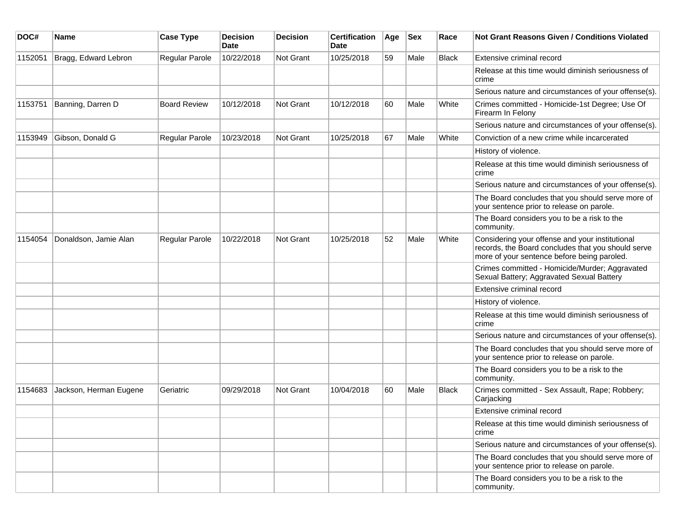| DOC#    | Name                   | <b>Case Type</b>      | <b>Decision</b><br><b>Date</b> | <b>Decision</b>  | <b>Certification</b><br>Date | Age | <b>Sex</b> | Race         | <b>Not Grant Reasons Given / Conditions Violated</b>                                                                                                 |
|---------|------------------------|-----------------------|--------------------------------|------------------|------------------------------|-----|------------|--------------|------------------------------------------------------------------------------------------------------------------------------------------------------|
| 1152051 | Bragg, Edward Lebron   | Regular Parole        | 10/22/2018                     | Not Grant        | 10/25/2018                   | 59  | Male       | Black        | Extensive criminal record                                                                                                                            |
|         |                        |                       |                                |                  |                              |     |            |              | Release at this time would diminish seriousness of<br>crime                                                                                          |
|         |                        |                       |                                |                  |                              |     |            |              | Serious nature and circumstances of your offense(s).                                                                                                 |
| 1153751 | Banning, Darren D      | <b>Board Review</b>   | 10/12/2018                     | <b>Not Grant</b> | 10/12/2018                   | 60  | Male       | White        | Crimes committed - Homicide-1st Degree; Use Of<br>Firearm In Felony                                                                                  |
|         |                        |                       |                                |                  |                              |     |            |              | Serious nature and circumstances of your offense(s).                                                                                                 |
| 1153949 | Gibson, Donald G       | Regular Parole        | 10/23/2018                     | <b>Not Grant</b> | 10/25/2018                   | 67  | Male       | White        | Conviction of a new crime while incarcerated                                                                                                         |
|         |                        |                       |                                |                  |                              |     |            |              | History of violence.                                                                                                                                 |
|         |                        |                       |                                |                  |                              |     |            |              | Release at this time would diminish seriousness of<br>crime                                                                                          |
|         |                        |                       |                                |                  |                              |     |            |              | Serious nature and circumstances of your offense(s).                                                                                                 |
|         |                        |                       |                                |                  |                              |     |            |              | The Board concludes that you should serve more of<br>your sentence prior to release on parole.                                                       |
|         |                        |                       |                                |                  |                              |     |            |              | The Board considers you to be a risk to the<br>community.                                                                                            |
| 1154054 | Donaldson, Jamie Alan  | <b>Regular Parole</b> | 10/22/2018                     | <b>Not Grant</b> | 10/25/2018                   | 52  | Male       | White        | Considering your offense and your institutional<br>records, the Board concludes that you should serve<br>more of your sentence before being paroled. |
|         |                        |                       |                                |                  |                              |     |            |              | Crimes committed - Homicide/Murder; Aggravated<br>Sexual Battery; Aggravated Sexual Battery                                                          |
|         |                        |                       |                                |                  |                              |     |            |              | Extensive criminal record                                                                                                                            |
|         |                        |                       |                                |                  |                              |     |            |              | History of violence.                                                                                                                                 |
|         |                        |                       |                                |                  |                              |     |            |              | Release at this time would diminish seriousness of<br>crime                                                                                          |
|         |                        |                       |                                |                  |                              |     |            |              | Serious nature and circumstances of your offense(s).                                                                                                 |
|         |                        |                       |                                |                  |                              |     |            |              | The Board concludes that you should serve more of<br>your sentence prior to release on parole.                                                       |
|         |                        |                       |                                |                  |                              |     |            |              | The Board considers you to be a risk to the<br>community.                                                                                            |
| 1154683 | Jackson, Herman Eugene | Geriatric             | 09/29/2018                     | <b>Not Grant</b> | 10/04/2018                   | 60  | Male       | <b>Black</b> | Crimes committed - Sex Assault, Rape; Robbery;<br>Carjacking                                                                                         |
|         |                        |                       |                                |                  |                              |     |            |              | Extensive criminal record                                                                                                                            |
|         |                        |                       |                                |                  |                              |     |            |              | Release at this time would diminish seriousness of<br>crime                                                                                          |
|         |                        |                       |                                |                  |                              |     |            |              | Serious nature and circumstances of your offense(s).                                                                                                 |
|         |                        |                       |                                |                  |                              |     |            |              | The Board concludes that you should serve more of<br>your sentence prior to release on parole.                                                       |
|         |                        |                       |                                |                  |                              |     |            |              | The Board considers you to be a risk to the<br>community.                                                                                            |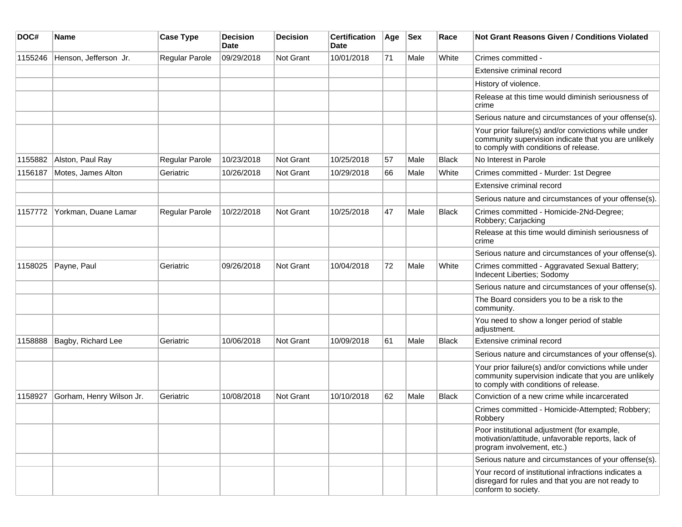| DOC#    | Name                     | <b>Case Type</b>      | <b>Decision</b><br>Date | <b>Decision</b>  | <b>Certification</b><br>Date | Age | <b>Sex</b> | Race         | <b>Not Grant Reasons Given / Conditions Violated</b>                                                                                                  |
|---------|--------------------------|-----------------------|-------------------------|------------------|------------------------------|-----|------------|--------------|-------------------------------------------------------------------------------------------------------------------------------------------------------|
| 1155246 | Henson, Jefferson Jr.    | <b>Regular Parole</b> | 09/29/2018              | <b>Not Grant</b> | 10/01/2018                   | 71  | Male       | White        | Crimes committed -                                                                                                                                    |
|         |                          |                       |                         |                  |                              |     |            |              | Extensive criminal record                                                                                                                             |
|         |                          |                       |                         |                  |                              |     |            |              | History of violence.                                                                                                                                  |
|         |                          |                       |                         |                  |                              |     |            |              | Release at this time would diminish seriousness of<br>crime                                                                                           |
|         |                          |                       |                         |                  |                              |     |            |              | Serious nature and circumstances of your offense(s).                                                                                                  |
|         |                          |                       |                         |                  |                              |     |            |              | Your prior failure(s) and/or convictions while under<br>community supervision indicate that you are unlikely<br>to comply with conditions of release. |
| 1155882 | Alston, Paul Ray         | Regular Parole        | 10/23/2018              | Not Grant        | 10/25/2018                   | 57  | Male       | <b>Black</b> | No Interest in Parole                                                                                                                                 |
| 1156187 | Motes, James Alton       | Geriatric             | 10/26/2018              | Not Grant        | 10/29/2018                   | 66  | Male       | White        | Crimes committed - Murder: 1st Degree                                                                                                                 |
|         |                          |                       |                         |                  |                              |     |            |              | Extensive criminal record                                                                                                                             |
|         |                          |                       |                         |                  |                              |     |            |              | Serious nature and circumstances of your offense(s).                                                                                                  |
| 1157772 | Yorkman, Duane Lamar     | <b>Regular Parole</b> | 10/22/2018              | <b>Not Grant</b> | 10/25/2018                   | 47  | Male       | Black        | Crimes committed - Homicide-2Nd-Degree;<br>Robbery; Carjacking                                                                                        |
|         |                          |                       |                         |                  |                              |     |            |              | Release at this time would diminish seriousness of<br>crime                                                                                           |
|         |                          |                       |                         |                  |                              |     |            |              | Serious nature and circumstances of your offense(s).                                                                                                  |
| 1158025 | Payne, Paul              | Geriatric             | 09/26/2018              | <b>Not Grant</b> | 10/04/2018                   | 72  | Male       | White        | Crimes committed - Aggravated Sexual Battery;<br>Indecent Liberties; Sodomy                                                                           |
|         |                          |                       |                         |                  |                              |     |            |              | Serious nature and circumstances of your offense(s).                                                                                                  |
|         |                          |                       |                         |                  |                              |     |            |              | The Board considers you to be a risk to the<br>community.                                                                                             |
|         |                          |                       |                         |                  |                              |     |            |              | You need to show a longer period of stable<br>adjustment.                                                                                             |
| 1158888 | Bagby, Richard Lee       | Geriatric             | 10/06/2018              | <b>Not Grant</b> | 10/09/2018                   | 61  | Male       | Black        | Extensive criminal record                                                                                                                             |
|         |                          |                       |                         |                  |                              |     |            |              | Serious nature and circumstances of your offense(s).                                                                                                  |
|         |                          |                       |                         |                  |                              |     |            |              | Your prior failure(s) and/or convictions while under<br>community supervision indicate that you are unlikely<br>to comply with conditions of release. |
| 1158927 | Gorham, Henry Wilson Jr. | Geriatric             | 10/08/2018              | <b>Not Grant</b> | 10/10/2018                   | 62  | Male       | <b>Black</b> | Conviction of a new crime while incarcerated                                                                                                          |
|         |                          |                       |                         |                  |                              |     |            |              | Crimes committed - Homicide-Attempted; Robbery;<br>Robbery                                                                                            |
|         |                          |                       |                         |                  |                              |     |            |              | Poor institutional adjustment (for example,<br>motivation/attitude, unfavorable reports, lack of<br>program involvement, etc.)                        |
|         |                          |                       |                         |                  |                              |     |            |              | Serious nature and circumstances of your offense(s).                                                                                                  |
|         |                          |                       |                         |                  |                              |     |            |              | Your record of institutional infractions indicates a<br>disregard for rules and that you are not ready to<br>conform to society.                      |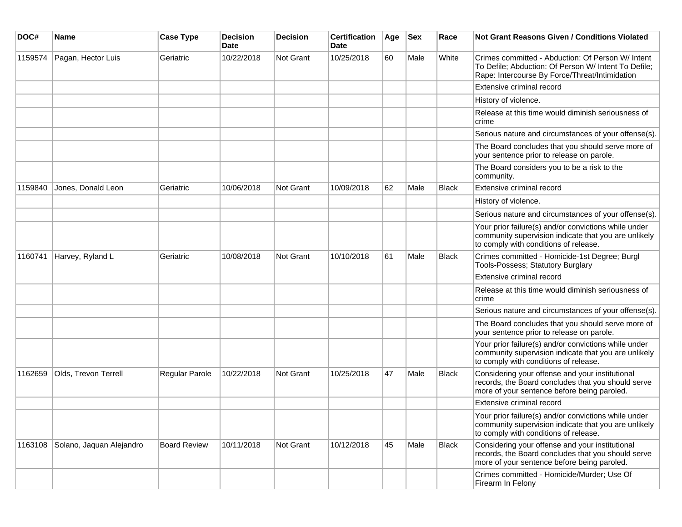| DOC#    | Name                     | <b>Case Type</b>    | <b>Decision</b><br><b>Date</b> | <b>Decision</b>  | <b>Certification</b><br>Date | Age | <b>Sex</b> | Race         | <b>Not Grant Reasons Given / Conditions Violated</b>                                                                                                        |
|---------|--------------------------|---------------------|--------------------------------|------------------|------------------------------|-----|------------|--------------|-------------------------------------------------------------------------------------------------------------------------------------------------------------|
| 1159574 | Pagan, Hector Luis       | Geriatric           | 10/22/2018                     | <b>Not Grant</b> | 10/25/2018                   | 60  | Male       | White        | Crimes committed - Abduction: Of Person W/ Intent<br>To Defile; Abduction: Of Person W/ Intent To Defile;<br>Rape: Intercourse By Force/Threat/Intimidation |
|         |                          |                     |                                |                  |                              |     |            |              | Extensive criminal record                                                                                                                                   |
|         |                          |                     |                                |                  |                              |     |            |              | History of violence.                                                                                                                                        |
|         |                          |                     |                                |                  |                              |     |            |              | Release at this time would diminish seriousness of<br>crime                                                                                                 |
|         |                          |                     |                                |                  |                              |     |            |              | Serious nature and circumstances of your offense(s).                                                                                                        |
|         |                          |                     |                                |                  |                              |     |            |              | The Board concludes that you should serve more of<br>your sentence prior to release on parole.                                                              |
|         |                          |                     |                                |                  |                              |     |            |              | The Board considers you to be a risk to the<br>community.                                                                                                   |
| 1159840 | Jones, Donald Leon       | Geriatric           | 10/06/2018                     | <b>Not Grant</b> | 10/09/2018                   | 62  | Male       | <b>Black</b> | Extensive criminal record                                                                                                                                   |
|         |                          |                     |                                |                  |                              |     |            |              | History of violence.                                                                                                                                        |
|         |                          |                     |                                |                  |                              |     |            |              | Serious nature and circumstances of your offense(s).                                                                                                        |
|         |                          |                     |                                |                  |                              |     |            |              | Your prior failure(s) and/or convictions while under<br>community supervision indicate that you are unlikely<br>to comply with conditions of release.       |
| 1160741 | Harvey, Ryland L         | Geriatric           | 10/08/2018                     | <b>Not Grant</b> | 10/10/2018                   | 61  | Male       | <b>Black</b> | Crimes committed - Homicide-1st Degree; Burgl<br><b>Tools-Possess; Statutory Burglary</b>                                                                   |
|         |                          |                     |                                |                  |                              |     |            |              | Extensive criminal record                                                                                                                                   |
|         |                          |                     |                                |                  |                              |     |            |              | Release at this time would diminish seriousness of<br>crime                                                                                                 |
|         |                          |                     |                                |                  |                              |     |            |              | Serious nature and circumstances of your offense(s).                                                                                                        |
|         |                          |                     |                                |                  |                              |     |            |              | The Board concludes that you should serve more of<br>your sentence prior to release on parole.                                                              |
|         |                          |                     |                                |                  |                              |     |            |              | Your prior failure(s) and/or convictions while under<br>community supervision indicate that you are unlikely<br>to comply with conditions of release.       |
| 1162659 | Olds, Trevon Terrell     | Regular Parole      | 10/22/2018                     | <b>Not Grant</b> | 10/25/2018                   | 47  | Male       | Black        | Considering your offense and your institutional<br>records, the Board concludes that you should serve<br>more of your sentence before being paroled.        |
|         |                          |                     |                                |                  |                              |     |            |              | Extensive criminal record                                                                                                                                   |
|         |                          |                     |                                |                  |                              |     |            |              | Your prior failure(s) and/or convictions while under<br>community supervision indicate that you are unlikely<br>to comply with conditions of release.       |
| 1163108 | Solano, Jaquan Alejandro | <b>Board Review</b> | 10/11/2018                     | Not Grant        | 10/12/2018                   | 45  | Male       | <b>Black</b> | Considering your offense and your institutional<br>records, the Board concludes that you should serve<br>more of your sentence before being paroled.        |
|         |                          |                     |                                |                  |                              |     |            |              | Crimes committed - Homicide/Murder; Use Of<br>Firearm In Felony                                                                                             |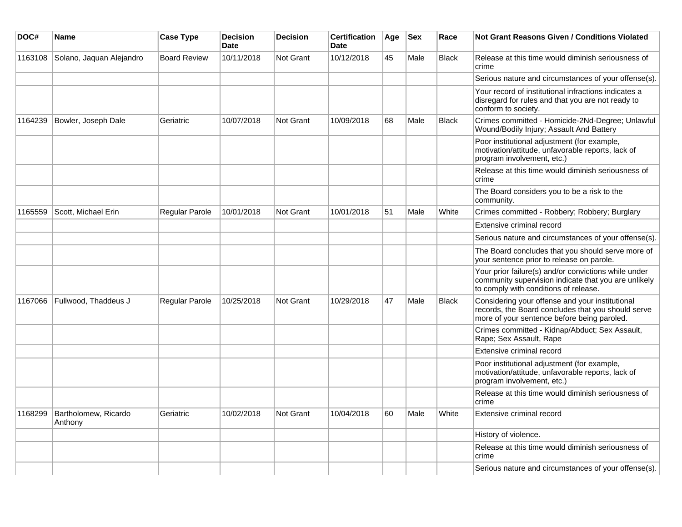| DOC#    | Name                            | <b>Case Type</b>    | <b>Decision</b><br><b>Date</b> | <b>Decision</b>  | <b>Certification</b><br><b>Date</b> | ∣Age | <b>Sex</b> | Race         | Not Grant Reasons Given / Conditions Violated                                                                                                         |
|---------|---------------------------------|---------------------|--------------------------------|------------------|-------------------------------------|------|------------|--------------|-------------------------------------------------------------------------------------------------------------------------------------------------------|
| 1163108 | Solano, Jaquan Alejandro        | <b>Board Review</b> | 10/11/2018                     | Not Grant        | 10/12/2018                          | 45   | Male       | <b>Black</b> | Release at this time would diminish seriousness of<br>crime                                                                                           |
|         |                                 |                     |                                |                  |                                     |      |            |              | Serious nature and circumstances of your offense(s).                                                                                                  |
|         |                                 |                     |                                |                  |                                     |      |            |              | Your record of institutional infractions indicates a<br>disregard for rules and that you are not ready to<br>conform to society.                      |
| 1164239 | Bowler, Joseph Dale             | Geriatric           | 10/07/2018                     | <b>Not Grant</b> | 10/09/2018                          | 68   | Male       | <b>Black</b> | Crimes committed - Homicide-2Nd-Degree; Unlawful<br>Wound/Bodily Injury; Assault And Battery                                                          |
|         |                                 |                     |                                |                  |                                     |      |            |              | Poor institutional adjustment (for example,<br>motivation/attitude, unfavorable reports, lack of<br>program involvement, etc.)                        |
|         |                                 |                     |                                |                  |                                     |      |            |              | Release at this time would diminish seriousness of<br>crime                                                                                           |
|         |                                 |                     |                                |                  |                                     |      |            |              | The Board considers you to be a risk to the<br>community.                                                                                             |
| 1165559 | Scott, Michael Erin             | Regular Parole      | 10/01/2018                     | Not Grant        | 10/01/2018                          | 51   | Male       | White        | Crimes committed - Robbery; Robbery; Burglary                                                                                                         |
|         |                                 |                     |                                |                  |                                     |      |            |              | Extensive criminal record                                                                                                                             |
|         |                                 |                     |                                |                  |                                     |      |            |              | Serious nature and circumstances of your offense(s).                                                                                                  |
|         |                                 |                     |                                |                  |                                     |      |            |              | The Board concludes that you should serve more of<br>your sentence prior to release on parole.                                                        |
|         |                                 |                     |                                |                  |                                     |      |            |              | Your prior failure(s) and/or convictions while under<br>community supervision indicate that you are unlikely<br>to comply with conditions of release. |
| 1167066 | Fullwood, Thaddeus J            | Regular Parole      | 10/25/2018                     | Not Grant        | 10/29/2018                          | 47   | Male       | <b>Black</b> | Considering your offense and your institutional<br>records, the Board concludes that you should serve<br>more of your sentence before being paroled.  |
|         |                                 |                     |                                |                  |                                     |      |            |              | Crimes committed - Kidnap/Abduct; Sex Assault,<br>Rape; Sex Assault, Rape                                                                             |
|         |                                 |                     |                                |                  |                                     |      |            |              | Extensive criminal record                                                                                                                             |
|         |                                 |                     |                                |                  |                                     |      |            |              | Poor institutional adjustment (for example,<br>motivation/attitude, unfavorable reports, lack of<br>program involvement, etc.)                        |
|         |                                 |                     |                                |                  |                                     |      |            |              | Release at this time would diminish seriousness of<br>crime                                                                                           |
| 1168299 | Bartholomew, Ricardo<br>Anthony | Geriatric           | 10/02/2018                     | Not Grant        | 10/04/2018                          | 60   | Male       | White        | Extensive criminal record                                                                                                                             |
|         |                                 |                     |                                |                  |                                     |      |            |              | History of violence.                                                                                                                                  |
|         |                                 |                     |                                |                  |                                     |      |            |              | Release at this time would diminish seriousness of<br>crime                                                                                           |
|         |                                 |                     |                                |                  |                                     |      |            |              | Serious nature and circumstances of your offense(s).                                                                                                  |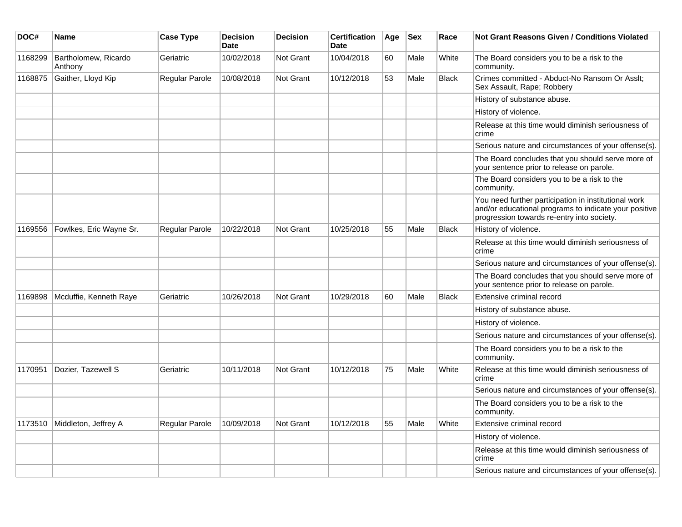| DOC#    | <b>Name</b>                     | <b>Case Type</b> | <b>Decision</b><br><b>Date</b> | <b>Decision</b> | <b>Certification</b><br><b>Date</b> | Age | <b>Sex</b> | Race         | <b>Not Grant Reasons Given / Conditions Violated</b>                                                                                                        |
|---------|---------------------------------|------------------|--------------------------------|-----------------|-------------------------------------|-----|------------|--------------|-------------------------------------------------------------------------------------------------------------------------------------------------------------|
| 1168299 | Bartholomew, Ricardo<br>Anthony | Geriatric        | 10/02/2018                     | Not Grant       | 10/04/2018                          | 60  | Male       | White        | The Board considers you to be a risk to the<br>community.                                                                                                   |
| 1168875 | Gaither, Lloyd Kip              | Regular Parole   | 10/08/2018                     | Not Grant       | 10/12/2018                          | 53  | Male       | <b>Black</b> | Crimes committed - Abduct-No Ransom Or Asslt;<br>Sex Assault, Rape; Robbery                                                                                 |
|         |                                 |                  |                                |                 |                                     |     |            |              | History of substance abuse.                                                                                                                                 |
|         |                                 |                  |                                |                 |                                     |     |            |              | History of violence.                                                                                                                                        |
|         |                                 |                  |                                |                 |                                     |     |            |              | Release at this time would diminish seriousness of<br>crime                                                                                                 |
|         |                                 |                  |                                |                 |                                     |     |            |              | Serious nature and circumstances of your offense(s).                                                                                                        |
|         |                                 |                  |                                |                 |                                     |     |            |              | The Board concludes that you should serve more of<br>your sentence prior to release on parole.                                                              |
|         |                                 |                  |                                |                 |                                     |     |            |              | The Board considers you to be a risk to the<br>community.                                                                                                   |
|         |                                 |                  |                                |                 |                                     |     |            |              | You need further participation in institutional work<br>and/or educational programs to indicate your positive<br>progression towards re-entry into society. |
| 1169556 | Fowlkes, Eric Wayne Sr.         | Regular Parole   | 10/22/2018                     | Not Grant       | 10/25/2018                          | 55  | Male       | <b>Black</b> | History of violence.                                                                                                                                        |
|         |                                 |                  |                                |                 |                                     |     |            |              | Release at this time would diminish seriousness of<br>crime                                                                                                 |
|         |                                 |                  |                                |                 |                                     |     |            |              | Serious nature and circumstances of your offense(s).                                                                                                        |
|         |                                 |                  |                                |                 |                                     |     |            |              | The Board concludes that you should serve more of<br>your sentence prior to release on parole.                                                              |
| 1169898 | Mcduffie, Kenneth Raye          | Geriatric        | 10/26/2018                     | Not Grant       | 10/29/2018                          | 60  | Male       | <b>Black</b> | Extensive criminal record                                                                                                                                   |
|         |                                 |                  |                                |                 |                                     |     |            |              | History of substance abuse.                                                                                                                                 |
|         |                                 |                  |                                |                 |                                     |     |            |              | History of violence.                                                                                                                                        |
|         |                                 |                  |                                |                 |                                     |     |            |              | Serious nature and circumstances of your offense(s).                                                                                                        |
|         |                                 |                  |                                |                 |                                     |     |            |              | The Board considers you to be a risk to the<br>community.                                                                                                   |
| 1170951 | Dozier, Tazewell S              | Geriatric        | 10/11/2018                     | Not Grant       | 10/12/2018                          | 75  | Male       | White        | Release at this time would diminish seriousness of<br>crime                                                                                                 |
|         |                                 |                  |                                |                 |                                     |     |            |              | Serious nature and circumstances of your offense(s).                                                                                                        |
|         |                                 |                  |                                |                 |                                     |     |            |              | The Board considers you to be a risk to the<br>community.                                                                                                   |
| 1173510 | Middleton, Jeffrey A            | Regular Parole   | 10/09/2018                     | Not Grant       | 10/12/2018                          | 55  | Male       | White        | Extensive criminal record                                                                                                                                   |
|         |                                 |                  |                                |                 |                                     |     |            |              | History of violence.                                                                                                                                        |
|         |                                 |                  |                                |                 |                                     |     |            |              | Release at this time would diminish seriousness of<br>crime                                                                                                 |
|         |                                 |                  |                                |                 |                                     |     |            |              | Serious nature and circumstances of your offense(s).                                                                                                        |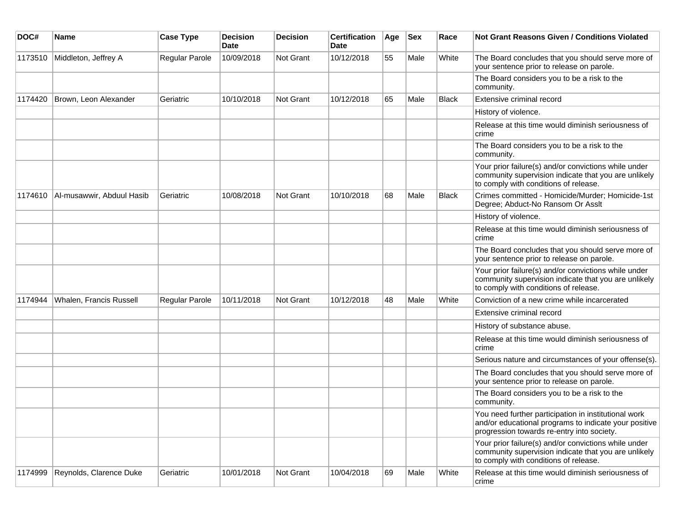| DOC#    | <b>Name</b>               | <b>Case Type</b>      | <b>Decision</b><br><b>Date</b> | <b>Decision</b> | <b>Certification</b><br>Date | Age | <b>Sex</b> | Race  | Not Grant Reasons Given / Conditions Violated                                                                                                               |
|---------|---------------------------|-----------------------|--------------------------------|-----------------|------------------------------|-----|------------|-------|-------------------------------------------------------------------------------------------------------------------------------------------------------------|
| 1173510 | Middleton, Jeffrey A      | Regular Parole        | 10/09/2018                     | Not Grant       | 10/12/2018                   | 55  | Male       | White | The Board concludes that you should serve more of<br>your sentence prior to release on parole.                                                              |
|         |                           |                       |                                |                 |                              |     |            |       | The Board considers you to be a risk to the<br>community.                                                                                                   |
| 1174420 | Brown, Leon Alexander     | Geriatric             | 10/10/2018                     | Not Grant       | 10/12/2018                   | 65  | Male       | Black | Extensive criminal record                                                                                                                                   |
|         |                           |                       |                                |                 |                              |     |            |       | History of violence.                                                                                                                                        |
|         |                           |                       |                                |                 |                              |     |            |       | Release at this time would diminish seriousness of<br>crime                                                                                                 |
|         |                           |                       |                                |                 |                              |     |            |       | The Board considers you to be a risk to the<br>community.                                                                                                   |
|         |                           |                       |                                |                 |                              |     |            |       | Your prior failure(s) and/or convictions while under<br>community supervision indicate that you are unlikely<br>to comply with conditions of release.       |
| 1174610 | Al-musawwir, Abduul Hasib | Geriatric             | 10/08/2018                     | Not Grant       | 10/10/2018                   | 68  | Male       | Black | Crimes committed - Homicide/Murder; Homicide-1st<br>Degree; Abduct-No Ransom Or Asslt                                                                       |
|         |                           |                       |                                |                 |                              |     |            |       | History of violence.                                                                                                                                        |
|         |                           |                       |                                |                 |                              |     |            |       | Release at this time would diminish seriousness of<br>crime                                                                                                 |
|         |                           |                       |                                |                 |                              |     |            |       | The Board concludes that you should serve more of<br>your sentence prior to release on parole.                                                              |
|         |                           |                       |                                |                 |                              |     |            |       | Your prior failure(s) and/or convictions while under<br>community supervision indicate that you are unlikely<br>to comply with conditions of release.       |
| 1174944 | Whalen, Francis Russell   | <b>Regular Parole</b> | 10/11/2018                     | Not Grant       | 10/12/2018                   | 48  | Male       | White | Conviction of a new crime while incarcerated                                                                                                                |
|         |                           |                       |                                |                 |                              |     |            |       | Extensive criminal record                                                                                                                                   |
|         |                           |                       |                                |                 |                              |     |            |       | History of substance abuse.                                                                                                                                 |
|         |                           |                       |                                |                 |                              |     |            |       | Release at this time would diminish seriousness of<br>crime                                                                                                 |
|         |                           |                       |                                |                 |                              |     |            |       | Serious nature and circumstances of your offense(s).                                                                                                        |
|         |                           |                       |                                |                 |                              |     |            |       | The Board concludes that you should serve more of<br>your sentence prior to release on parole.                                                              |
|         |                           |                       |                                |                 |                              |     |            |       | The Board considers you to be a risk to the<br>community.                                                                                                   |
|         |                           |                       |                                |                 |                              |     |            |       | You need further participation in institutional work<br>and/or educational programs to indicate your positive<br>progression towards re-entry into society. |
|         |                           |                       |                                |                 |                              |     |            |       | Your prior failure(s) and/or convictions while under<br>community supervision indicate that you are unlikely<br>to comply with conditions of release.       |
| 1174999 | Reynolds, Clarence Duke   | Geriatric             | 10/01/2018                     | Not Grant       | 10/04/2018                   | 69  | Male       | White | Release at this time would diminish seriousness of<br>crime                                                                                                 |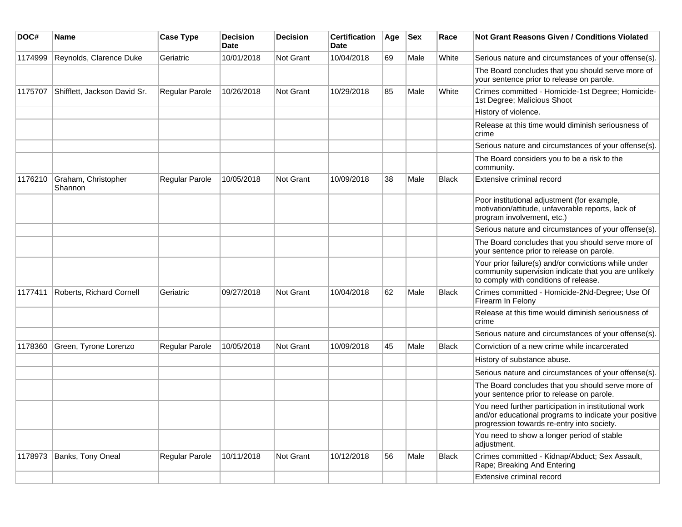| DOC#    | Name                           | <b>Case Type</b>      | <b>Decision</b><br><b>Date</b> | <b>Decision</b> | <b>Certification</b><br>Date | Age | <b>Sex</b> | Race         | <b>Not Grant Reasons Given / Conditions Violated</b>                                                                                                        |
|---------|--------------------------------|-----------------------|--------------------------------|-----------------|------------------------------|-----|------------|--------------|-------------------------------------------------------------------------------------------------------------------------------------------------------------|
| 1174999 | Reynolds, Clarence Duke        | Geriatric             | 10/01/2018                     | Not Grant       | 10/04/2018                   | 69  | Male       | White        | Serious nature and circumstances of your offense(s).                                                                                                        |
|         |                                |                       |                                |                 |                              |     |            |              | The Board concludes that you should serve more of<br>your sentence prior to release on parole.                                                              |
| 1175707 | Shifflett, Jackson David Sr.   | Regular Parole        | 10/26/2018                     | Not Grant       | 10/29/2018                   | 85  | Male       | White        | Crimes committed - Homicide-1st Degree; Homicide-<br>1st Degree; Malicious Shoot                                                                            |
|         |                                |                       |                                |                 |                              |     |            |              | History of violence.                                                                                                                                        |
|         |                                |                       |                                |                 |                              |     |            |              | Release at this time would diminish seriousness of<br>crime                                                                                                 |
|         |                                |                       |                                |                 |                              |     |            |              | Serious nature and circumstances of your offense(s).                                                                                                        |
|         |                                |                       |                                |                 |                              |     |            |              | The Board considers you to be a risk to the<br>community.                                                                                                   |
| 1176210 | Graham, Christopher<br>Shannon | Regular Parole        | 10/05/2018                     | Not Grant       | 10/09/2018                   | 38  | Male       | <b>Black</b> | Extensive criminal record                                                                                                                                   |
|         |                                |                       |                                |                 |                              |     |            |              | Poor institutional adjustment (for example,<br>motivation/attitude, unfavorable reports, lack of<br>program involvement, etc.)                              |
|         |                                |                       |                                |                 |                              |     |            |              | Serious nature and circumstances of your offense(s).                                                                                                        |
|         |                                |                       |                                |                 |                              |     |            |              | The Board concludes that you should serve more of<br>your sentence prior to release on parole.                                                              |
|         |                                |                       |                                |                 |                              |     |            |              | Your prior failure(s) and/or convictions while under<br>community supervision indicate that you are unlikely<br>to comply with conditions of release.       |
| 1177411 | Roberts, Richard Cornell       | Geriatric             | 09/27/2018                     | Not Grant       | 10/04/2018                   | 62  | Male       | <b>Black</b> | Crimes committed - Homicide-2Nd-Degree; Use Of<br>Firearm In Felony                                                                                         |
|         |                                |                       |                                |                 |                              |     |            |              | Release at this time would diminish seriousness of<br>crime                                                                                                 |
|         |                                |                       |                                |                 |                              |     |            |              | Serious nature and circumstances of your offense(s).                                                                                                        |
| 1178360 | Green, Tyrone Lorenzo          | <b>Regular Parole</b> | 10/05/2018                     | Not Grant       | 10/09/2018                   | 45  | Male       | <b>Black</b> | Conviction of a new crime while incarcerated                                                                                                                |
|         |                                |                       |                                |                 |                              |     |            |              | History of substance abuse.                                                                                                                                 |
|         |                                |                       |                                |                 |                              |     |            |              | Serious nature and circumstances of your offense(s).                                                                                                        |
|         |                                |                       |                                |                 |                              |     |            |              | The Board concludes that you should serve more of<br>your sentence prior to release on parole.                                                              |
|         |                                |                       |                                |                 |                              |     |            |              | You need further participation in institutional work<br>and/or educational programs to indicate your positive<br>progression towards re-entry into society. |
|         |                                |                       |                                |                 |                              |     |            |              | You need to show a longer period of stable<br>adjustment.                                                                                                   |
| 1178973 | Banks, Tony Oneal              | Regular Parole        | 10/11/2018                     | Not Grant       | 10/12/2018                   | 56  | Male       | Black        | Crimes committed - Kidnap/Abduct; Sex Assault,<br>Rape; Breaking And Entering                                                                               |
|         |                                |                       |                                |                 |                              |     |            |              | Extensive criminal record                                                                                                                                   |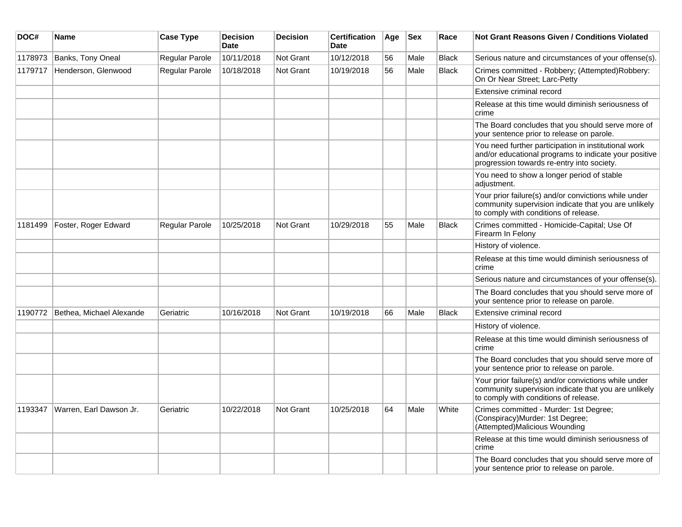| DOC#    | Name                     | <b>Case Type</b> | <b>Decision</b><br><b>Date</b> | <b>Decision</b>  | <b>Certification</b><br><b>Date</b> | Age | <b>Sex</b> | Race         | Not Grant Reasons Given / Conditions Violated                                                                                                               |
|---------|--------------------------|------------------|--------------------------------|------------------|-------------------------------------|-----|------------|--------------|-------------------------------------------------------------------------------------------------------------------------------------------------------------|
| 1178973 | Banks, Tony Oneal        | Regular Parole   | 10/11/2018                     | <b>Not Grant</b> | 10/12/2018                          | 56  | Male       | Black        | Serious nature and circumstances of your offense(s).                                                                                                        |
| 1179717 | Henderson, Glenwood      | Regular Parole   | 10/18/2018                     | <b>Not Grant</b> | 10/19/2018                          | 56  | Male       | <b>Black</b> | Crimes committed - Robbery; (Attempted)Robbery:<br>On Or Near Street; Larc-Petty                                                                            |
|         |                          |                  |                                |                  |                                     |     |            |              | Extensive criminal record                                                                                                                                   |
|         |                          |                  |                                |                  |                                     |     |            |              | Release at this time would diminish seriousness of<br>crime                                                                                                 |
|         |                          |                  |                                |                  |                                     |     |            |              | The Board concludes that you should serve more of<br>your sentence prior to release on parole.                                                              |
|         |                          |                  |                                |                  |                                     |     |            |              | You need further participation in institutional work<br>and/or educational programs to indicate your positive<br>progression towards re-entry into society. |
|         |                          |                  |                                |                  |                                     |     |            |              | You need to show a longer period of stable<br>adjustment.                                                                                                   |
|         |                          |                  |                                |                  |                                     |     |            |              | Your prior failure(s) and/or convictions while under<br>community supervision indicate that you are unlikely<br>to comply with conditions of release.       |
| 1181499 | Foster, Roger Edward     | Regular Parole   | 10/25/2018                     | <b>Not Grant</b> | 10/29/2018                          | 55  | Male       | <b>Black</b> | Crimes committed - Homicide-Capital; Use Of<br>Firearm In Felony                                                                                            |
|         |                          |                  |                                |                  |                                     |     |            |              | History of violence.                                                                                                                                        |
|         |                          |                  |                                |                  |                                     |     |            |              | Release at this time would diminish seriousness of<br>crime                                                                                                 |
|         |                          |                  |                                |                  |                                     |     |            |              | Serious nature and circumstances of your offense(s).                                                                                                        |
|         |                          |                  |                                |                  |                                     |     |            |              | The Board concludes that you should serve more of<br>your sentence prior to release on parole.                                                              |
| 1190772 | Bethea, Michael Alexande | Geriatric        | 10/16/2018                     | <b>Not Grant</b> | 10/19/2018                          | 66  | Male       | <b>Black</b> | Extensive criminal record                                                                                                                                   |
|         |                          |                  |                                |                  |                                     |     |            |              | History of violence.                                                                                                                                        |
|         |                          |                  |                                |                  |                                     |     |            |              | Release at this time would diminish seriousness of<br>crime                                                                                                 |
|         |                          |                  |                                |                  |                                     |     |            |              | The Board concludes that you should serve more of<br>your sentence prior to release on parole.                                                              |
|         |                          |                  |                                |                  |                                     |     |            |              | Your prior failure(s) and/or convictions while under<br>community supervision indicate that you are unlikely<br>to comply with conditions of release.       |
| 1193347 | Warren, Earl Dawson Jr.  | Geriatric        | 10/22/2018                     | <b>Not Grant</b> | 10/25/2018                          | 64  | Male       | White        | Crimes committed - Murder: 1st Degree;<br>(Conspiracy)Murder: 1st Degree;<br>(Attempted)Malicious Wounding                                                  |
|         |                          |                  |                                |                  |                                     |     |            |              | Release at this time would diminish seriousness of<br>crime                                                                                                 |
|         |                          |                  |                                |                  |                                     |     |            |              | The Board concludes that you should serve more of<br>your sentence prior to release on parole.                                                              |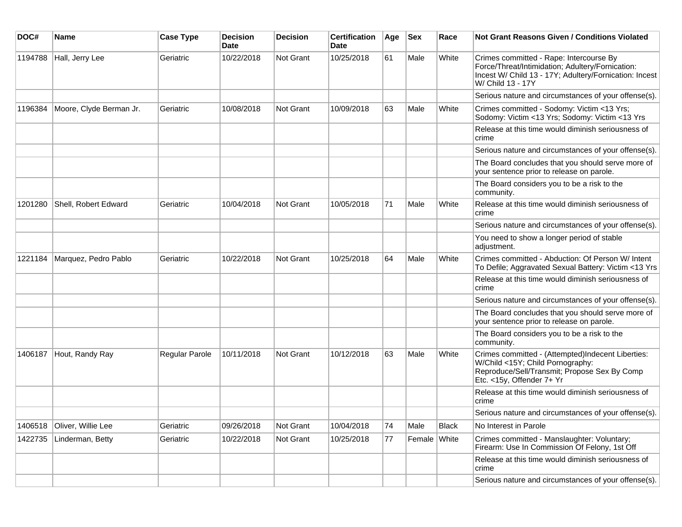| DOC#    | <b>Name</b>             | <b>Case Type</b> | <b>Decision</b><br><b>Date</b> | Decision         | <b>Certification</b><br>Date | Age | <b>Sex</b>   | Race         | Not Grant Reasons Given / Conditions Violated                                                                                                                              |
|---------|-------------------------|------------------|--------------------------------|------------------|------------------------------|-----|--------------|--------------|----------------------------------------------------------------------------------------------------------------------------------------------------------------------------|
| 1194788 | Hall, Jerry Lee         | Geriatric        | 10/22/2018                     | Not Grant        | 10/25/2018                   | 61  | Male         | White        | Crimes committed - Rape: Intercourse By<br>Force/Threat/Intimidation; Adultery/Fornication:<br>Incest W/ Child 13 - 17Y; Adultery/Fornication: Incest<br>W/ Child 13 - 17Y |
|         |                         |                  |                                |                  |                              |     |              |              | Serious nature and circumstances of your offense(s).                                                                                                                       |
| 1196384 | Moore, Clyde Berman Jr. | Geriatric        | 10/08/2018                     | Not Grant        | 10/09/2018                   | 63  | Male         | White        | Crimes committed - Sodomy: Victim <13 Yrs;<br>Sodomy: Victim <13 Yrs; Sodomy: Victim <13 Yrs                                                                               |
|         |                         |                  |                                |                  |                              |     |              |              | Release at this time would diminish seriousness of<br>crime                                                                                                                |
|         |                         |                  |                                |                  |                              |     |              |              | Serious nature and circumstances of your offense(s).                                                                                                                       |
|         |                         |                  |                                |                  |                              |     |              |              | The Board concludes that you should serve more of<br>your sentence prior to release on parole.                                                                             |
|         |                         |                  |                                |                  |                              |     |              |              | The Board considers you to be a risk to the<br>community.                                                                                                                  |
| 1201280 | Shell, Robert Edward    | Geriatric        | 10/04/2018                     | <b>Not Grant</b> | 10/05/2018                   | 71  | Male         | White        | Release at this time would diminish seriousness of<br>crime                                                                                                                |
|         |                         |                  |                                |                  |                              |     |              |              | Serious nature and circumstances of your offense(s).                                                                                                                       |
|         |                         |                  |                                |                  |                              |     |              |              | You need to show a longer period of stable<br>adjustment.                                                                                                                  |
| 1221184 | Marquez, Pedro Pablo    | Geriatric        | 10/22/2018                     | Not Grant        | 10/25/2018                   | 64  | Male         | White        | Crimes committed - Abduction: Of Person W/ Intent<br>To Defile; Aggravated Sexual Battery: Victim <13 Yrs                                                                  |
|         |                         |                  |                                |                  |                              |     |              |              | Release at this time would diminish seriousness of<br>crime                                                                                                                |
|         |                         |                  |                                |                  |                              |     |              |              | Serious nature and circumstances of your offense(s).                                                                                                                       |
|         |                         |                  |                                |                  |                              |     |              |              | The Board concludes that you should serve more of<br>your sentence prior to release on parole.                                                                             |
|         |                         |                  |                                |                  |                              |     |              |              | The Board considers you to be a risk to the<br>community.                                                                                                                  |
| 1406187 | Hout, Randy Ray         | Regular Parole   | 10/11/2018                     | <b>Not Grant</b> | 10/12/2018                   | 63  | Male         | White        | Crimes committed - (Attempted)Indecent Liberties:<br>W/Child <15Y; Child Pornography:<br>Reproduce/Sell/Transmit; Propose Sex By Comp<br>Etc. <15y, Offender 7+ Yr         |
|         |                         |                  |                                |                  |                              |     |              |              | Release at this time would diminish seriousness of<br>crime                                                                                                                |
|         |                         |                  |                                |                  |                              |     |              |              | Serious nature and circumstances of your offense(s).                                                                                                                       |
| 1406518 | Oliver, Willie Lee      | Geriatric        | 09/26/2018                     | Not Grant        | 10/04/2018                   | 74  | Male         | <b>Black</b> | No Interest in Parole                                                                                                                                                      |
| 1422735 | Linderman, Betty        | Geriatric        | 10/22/2018                     | Not Grant        | 10/25/2018                   | 77  | Female White |              | Crimes committed - Manslaughter: Voluntary;<br>Firearm: Use In Commission Of Felony, 1st Off                                                                               |
|         |                         |                  |                                |                  |                              |     |              |              | Release at this time would diminish seriousness of<br>crime                                                                                                                |
|         |                         |                  |                                |                  |                              |     |              |              | Serious nature and circumstances of your offense(s).                                                                                                                       |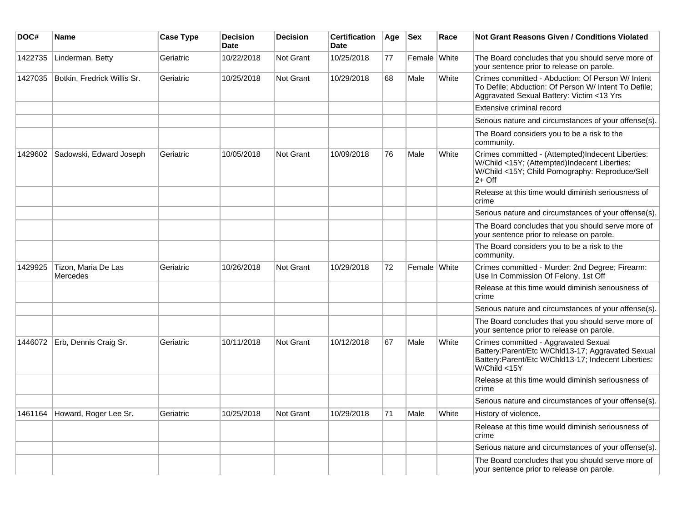| DOC#    | <b>Name</b>                     | <b>Case Type</b> | <b>Decision</b><br><b>Date</b> | <b>Decision</b> | <b>Certification</b><br>Date | Age | <b>Sex</b>   | Race  | Not Grant Reasons Given / Conditions Violated                                                                                                                     |
|---------|---------------------------------|------------------|--------------------------------|-----------------|------------------------------|-----|--------------|-------|-------------------------------------------------------------------------------------------------------------------------------------------------------------------|
| 1422735 | Linderman, Betty                | Geriatric        | 10/22/2018                     | Not Grant       | 10/25/2018                   | 77  | Female White |       | The Board concludes that you should serve more of<br>your sentence prior to release on parole.                                                                    |
| 1427035 | Botkin, Fredrick Willis Sr.     | Geriatric        | 10/25/2018                     | Not Grant       | 10/29/2018                   | 68  | Male         | White | Crimes committed - Abduction: Of Person W/ Intent<br>To Defile; Abduction: Of Person W/ Intent To Defile;<br>Aggravated Sexual Battery: Victim <13 Yrs            |
|         |                                 |                  |                                |                 |                              |     |              |       | <b>Extensive criminal record</b>                                                                                                                                  |
|         |                                 |                  |                                |                 |                              |     |              |       | Serious nature and circumstances of your offense(s).                                                                                                              |
|         |                                 |                  |                                |                 |                              |     |              |       | The Board considers you to be a risk to the<br>community.                                                                                                         |
| 1429602 | Sadowski, Edward Joseph         | Geriatric        | 10/05/2018                     | Not Grant       | 10/09/2018                   | 76  | Male         | White | Crimes committed - (Attempted)Indecent Liberties:<br>W/Child <15Y; (Attempted)Indecent Liberties:<br>W/Child <15Y; Child Pornography: Reproduce/Sell<br>$2+$ Off  |
|         |                                 |                  |                                |                 |                              |     |              |       | Release at this time would diminish seriousness of<br>crime                                                                                                       |
|         |                                 |                  |                                |                 |                              |     |              |       | Serious nature and circumstances of your offense(s).                                                                                                              |
|         |                                 |                  |                                |                 |                              |     |              |       | The Board concludes that you should serve more of<br>your sentence prior to release on parole.                                                                    |
|         |                                 |                  |                                |                 |                              |     |              |       | The Board considers you to be a risk to the<br>community.                                                                                                         |
| 1429925 | Tizon, Maria De Las<br>Mercedes | Geriatric        | 10/26/2018                     | Not Grant       | 10/29/2018                   | 72  | Female White |       | Crimes committed - Murder: 2nd Degree; Firearm:<br>Use In Commission Of Felony, 1st Off                                                                           |
|         |                                 |                  |                                |                 |                              |     |              |       | Release at this time would diminish seriousness of<br>crime                                                                                                       |
|         |                                 |                  |                                |                 |                              |     |              |       | Serious nature and circumstances of your offense(s).                                                                                                              |
|         |                                 |                  |                                |                 |                              |     |              |       | The Board concludes that you should serve more of<br>your sentence prior to release on parole.                                                                    |
| 1446072 | Erb, Dennis Craig Sr.           | Geriatric        | 10/11/2018                     | Not Grant       | 10/12/2018                   | 67  | Male         | White | Crimes committed - Aggravated Sexual<br>Battery:Parent/Etc W/Chld13-17; Aggravated Sexual<br>Battery:Parent/Etc W/Chld13-17; Indecent Liberties:<br>W/Child < 15Y |
|         |                                 |                  |                                |                 |                              |     |              |       | Release at this time would diminish seriousness of<br>crime                                                                                                       |
|         |                                 |                  |                                |                 |                              |     |              |       | Serious nature and circumstances of your offense(s).                                                                                                              |
| 1461164 | Howard, Roger Lee Sr.           | Geriatric        | 10/25/2018                     | Not Grant       | 10/29/2018                   | 71  | Male         | White | History of violence.                                                                                                                                              |
|         |                                 |                  |                                |                 |                              |     |              |       | Release at this time would diminish seriousness of<br>crime                                                                                                       |
|         |                                 |                  |                                |                 |                              |     |              |       | Serious nature and circumstances of your offense(s).                                                                                                              |
|         |                                 |                  |                                |                 |                              |     |              |       | The Board concludes that you should serve more of<br>your sentence prior to release on parole.                                                                    |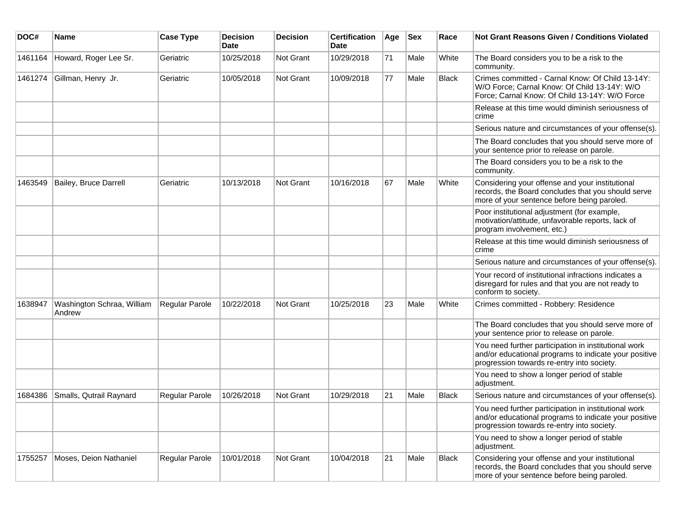| DOC#    | <b>Name</b>                          | <b>Case Type</b> | <b>Decision</b><br><b>Date</b> | <b>Decision</b> | <b>Certification</b><br>Date | Age | <b>Sex</b> | Race         | <b>Not Grant Reasons Given / Conditions Violated</b>                                                                                                        |
|---------|--------------------------------------|------------------|--------------------------------|-----------------|------------------------------|-----|------------|--------------|-------------------------------------------------------------------------------------------------------------------------------------------------------------|
| 1461164 | Howard, Roger Lee Sr.                | Geriatric        | 10/25/2018                     | Not Grant       | 10/29/2018                   | 71  | Male       | White        | The Board considers you to be a risk to the<br>community.                                                                                                   |
| 1461274 | Gillman, Henry Jr.                   | Geriatric        | 10/05/2018                     | Not Grant       | 10/09/2018                   | 77  | Male       | <b>Black</b> | Crimes committed - Carnal Know: Of Child 13-14Y:<br>W/O Force; Carnal Know: Of Child 13-14Y: W/O<br>Force; Carnal Know: Of Child 13-14Y: W/O Force          |
|         |                                      |                  |                                |                 |                              |     |            |              | Release at this time would diminish seriousness of<br>crime                                                                                                 |
|         |                                      |                  |                                |                 |                              |     |            |              | Serious nature and circumstances of your offense(s).                                                                                                        |
|         |                                      |                  |                                |                 |                              |     |            |              | The Board concludes that you should serve more of<br>your sentence prior to release on parole.                                                              |
|         |                                      |                  |                                |                 |                              |     |            |              | The Board considers you to be a risk to the<br>community.                                                                                                   |
| 1463549 | Bailey, Bruce Darrell                | Geriatric        | 10/13/2018                     | Not Grant       | 10/16/2018                   | 67  | Male       | White        | Considering your offense and your institutional<br>records, the Board concludes that you should serve<br>more of your sentence before being paroled.        |
|         |                                      |                  |                                |                 |                              |     |            |              | Poor institutional adjustment (for example,<br>motivation/attitude, unfavorable reports, lack of<br>program involvement, etc.)                              |
|         |                                      |                  |                                |                 |                              |     |            |              | Release at this time would diminish seriousness of<br>crime                                                                                                 |
|         |                                      |                  |                                |                 |                              |     |            |              | Serious nature and circumstances of your offense(s).                                                                                                        |
|         |                                      |                  |                                |                 |                              |     |            |              | Your record of institutional infractions indicates a<br>disregard for rules and that you are not ready to<br>conform to society.                            |
| 1638947 | Washington Schraa, William<br>Andrew | Regular Parole   | 10/22/2018                     | Not Grant       | 10/25/2018                   | 23  | Male       | White        | Crimes committed - Robbery: Residence                                                                                                                       |
|         |                                      |                  |                                |                 |                              |     |            |              | The Board concludes that you should serve more of<br>your sentence prior to release on parole.                                                              |
|         |                                      |                  |                                |                 |                              |     |            |              | You need further participation in institutional work<br>and/or educational programs to indicate your positive<br>progression towards re-entry into society. |
|         |                                      |                  |                                |                 |                              |     |            |              | You need to show a longer period of stable<br>adjustment.                                                                                                   |
| 1684386 | Smalls, Qutrail Raynard              | Regular Parole   | 10/26/2018                     | Not Grant       | 10/29/2018                   | 21  | Male       | <b>Black</b> | Serious nature and circumstances of your offense(s).                                                                                                        |
|         |                                      |                  |                                |                 |                              |     |            |              | You need further participation in institutional work<br>and/or educational programs to indicate your positive<br>progression towards re-entry into society. |
|         |                                      |                  |                                |                 |                              |     |            |              | You need to show a longer period of stable<br>adjustment.                                                                                                   |
| 1755257 | Moses, Deion Nathaniel               | Regular Parole   | 10/01/2018                     | Not Grant       | 10/04/2018                   | 21  | Male       | Black        | Considering your offense and your institutional<br>records, the Board concludes that you should serve<br>more of your sentence before being paroled.        |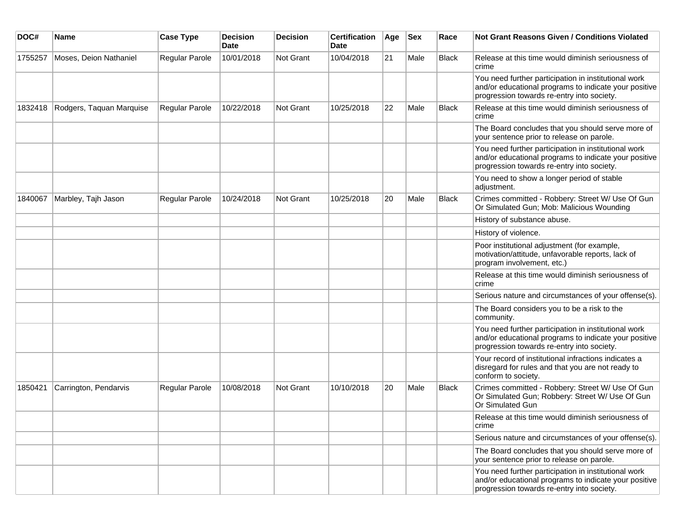| DOC#    | <b>Name</b>              | <b>Case Type</b>      | <b>Decision</b><br><b>Date</b> | <b>Decision</b> | <b>Certification</b><br>Date | Age | <b>Sex</b> | Race         | <b>Not Grant Reasons Given / Conditions Violated</b>                                                                                                        |
|---------|--------------------------|-----------------------|--------------------------------|-----------------|------------------------------|-----|------------|--------------|-------------------------------------------------------------------------------------------------------------------------------------------------------------|
| 1755257 | Moses, Deion Nathaniel   | Regular Parole        | 10/01/2018                     | Not Grant       | 10/04/2018                   | 21  | Male       | <b>Black</b> | Release at this time would diminish seriousness of<br>crime                                                                                                 |
|         |                          |                       |                                |                 |                              |     |            |              | You need further participation in institutional work<br>and/or educational programs to indicate your positive<br>progression towards re-entry into society. |
| 1832418 | Rodgers, Taquan Marquise | Regular Parole        | 10/22/2018                     | Not Grant       | 10/25/2018                   | 22  | Male       | Black        | Release at this time would diminish seriousness of<br>crime                                                                                                 |
|         |                          |                       |                                |                 |                              |     |            |              | The Board concludes that you should serve more of<br>your sentence prior to release on parole.                                                              |
|         |                          |                       |                                |                 |                              |     |            |              | You need further participation in institutional work<br>and/or educational programs to indicate your positive<br>progression towards re-entry into society. |
|         |                          |                       |                                |                 |                              |     |            |              | You need to show a longer period of stable<br>adjustment.                                                                                                   |
| 1840067 | Marbley, Tajh Jason      | <b>Regular Parole</b> | 10/24/2018                     | Not Grant       | 10/25/2018                   | 20  | Male       | <b>Black</b> | Crimes committed - Robbery: Street W/ Use Of Gun<br>Or Simulated Gun; Mob: Malicious Wounding                                                               |
|         |                          |                       |                                |                 |                              |     |            |              | History of substance abuse.                                                                                                                                 |
|         |                          |                       |                                |                 |                              |     |            |              | History of violence.                                                                                                                                        |
|         |                          |                       |                                |                 |                              |     |            |              | Poor institutional adjustment (for example,<br>motivation/attitude, unfavorable reports, lack of<br>program involvement, etc.)                              |
|         |                          |                       |                                |                 |                              |     |            |              | Release at this time would diminish seriousness of<br>crime                                                                                                 |
|         |                          |                       |                                |                 |                              |     |            |              | Serious nature and circumstances of your offense(s).                                                                                                        |
|         |                          |                       |                                |                 |                              |     |            |              | The Board considers you to be a risk to the<br>community.                                                                                                   |
|         |                          |                       |                                |                 |                              |     |            |              | You need further participation in institutional work<br>and/or educational programs to indicate your positive<br>progression towards re-entry into society. |
|         |                          |                       |                                |                 |                              |     |            |              | Your record of institutional infractions indicates a<br>disregard for rules and that you are not ready to<br>conform to society.                            |
| 1850421 | Carrington, Pendarvis    | <b>Regular Parole</b> | 10/08/2018                     | Not Grant       | 10/10/2018                   | 20  | Male       | Black        | Crimes committed - Robbery: Street W/ Use Of Gun<br>Or Simulated Gun; Robbery: Street W/ Use Of Gun<br>Or Simulated Gun                                     |
|         |                          |                       |                                |                 |                              |     |            |              | Release at this time would diminish seriousness of<br>crime                                                                                                 |
|         |                          |                       |                                |                 |                              |     |            |              | Serious nature and circumstances of your offense(s).                                                                                                        |
|         |                          |                       |                                |                 |                              |     |            |              | The Board concludes that you should serve more of<br>your sentence prior to release on parole.                                                              |
|         |                          |                       |                                |                 |                              |     |            |              | You need further participation in institutional work<br>and/or educational programs to indicate your positive<br>progression towards re-entry into society. |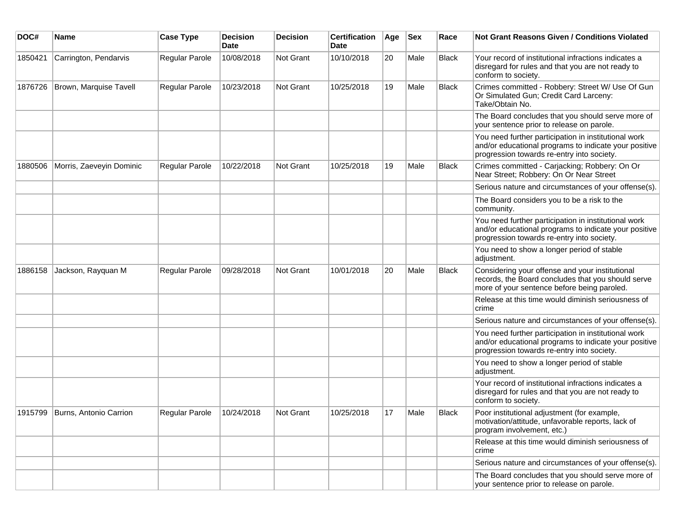| DOC#    | Name                     | <b>Case Type</b>      | <b>Decision</b><br><b>Date</b> | <b>Decision</b>  | <b>Certification</b><br><b>Date</b> | Age | <b>Sex</b> | Race         | <b>Not Grant Reasons Given / Conditions Violated</b>                                                                                                        |
|---------|--------------------------|-----------------------|--------------------------------|------------------|-------------------------------------|-----|------------|--------------|-------------------------------------------------------------------------------------------------------------------------------------------------------------|
| 1850421 | Carrington, Pendarvis    | Regular Parole        | 10/08/2018                     | Not Grant        | 10/10/2018                          | 20  | Male       | <b>Black</b> | Your record of institutional infractions indicates a<br>disregard for rules and that you are not ready to<br>conform to society.                            |
| 1876726 | Brown, Marquise Tavell   | Regular Parole        | 10/23/2018                     | <b>Not Grant</b> | 10/25/2018                          | 19  | Male       | <b>Black</b> | Crimes committed - Robbery: Street W/ Use Of Gun<br>Or Simulated Gun; Credit Card Larceny:<br>Take/Obtain No.                                               |
|         |                          |                       |                                |                  |                                     |     |            |              | The Board concludes that you should serve more of<br>your sentence prior to release on parole.                                                              |
|         |                          |                       |                                |                  |                                     |     |            |              | You need further participation in institutional work<br>and/or educational programs to indicate your positive<br>progression towards re-entry into society. |
| 1880506 | Morris, Zaeveyin Dominic | <b>Regular Parole</b> | 10/22/2018                     | Not Grant        | 10/25/2018                          | 19  | Male       | <b>Black</b> | Crimes committed - Carjacking; Robbery: On Or<br>Near Street; Robbery: On Or Near Street                                                                    |
|         |                          |                       |                                |                  |                                     |     |            |              | Serious nature and circumstances of your offense(s).                                                                                                        |
|         |                          |                       |                                |                  |                                     |     |            |              | The Board considers you to be a risk to the<br>community.                                                                                                   |
|         |                          |                       |                                |                  |                                     |     |            |              | You need further participation in institutional work<br>and/or educational programs to indicate your positive<br>progression towards re-entry into society. |
|         |                          |                       |                                |                  |                                     |     |            |              | You need to show a longer period of stable<br>adjustment.                                                                                                   |
| 1886158 | Jackson, Rayquan M       | Regular Parole        | 09/28/2018                     | Not Grant        | 10/01/2018                          | 20  | Male       | <b>Black</b> | Considering your offense and your institutional<br>records, the Board concludes that you should serve<br>more of your sentence before being paroled.        |
|         |                          |                       |                                |                  |                                     |     |            |              | Release at this time would diminish seriousness of<br>crime                                                                                                 |
|         |                          |                       |                                |                  |                                     |     |            |              | Serious nature and circumstances of your offense(s).                                                                                                        |
|         |                          |                       |                                |                  |                                     |     |            |              | You need further participation in institutional work<br>and/or educational programs to indicate your positive<br>progression towards re-entry into society. |
|         |                          |                       |                                |                  |                                     |     |            |              | You need to show a longer period of stable<br>adjustment.                                                                                                   |
|         |                          |                       |                                |                  |                                     |     |            |              | Your record of institutional infractions indicates a<br>disregard for rules and that you are not ready to<br>conform to society.                            |
| 1915799 | Burns. Antonio Carrion   | <b>Regular Parole</b> | 10/24/2018                     | Not Grant        | 10/25/2018                          | 17  | Male       | <b>Black</b> | Poor institutional adjustment (for example,<br>motivation/attitude, unfavorable reports, lack of<br>program involvement, etc.)                              |
|         |                          |                       |                                |                  |                                     |     |            |              | Release at this time would diminish seriousness of<br>crime                                                                                                 |
|         |                          |                       |                                |                  |                                     |     |            |              | Serious nature and circumstances of your offense(s).                                                                                                        |
|         |                          |                       |                                |                  |                                     |     |            |              | The Board concludes that you should serve more of<br>your sentence prior to release on parole.                                                              |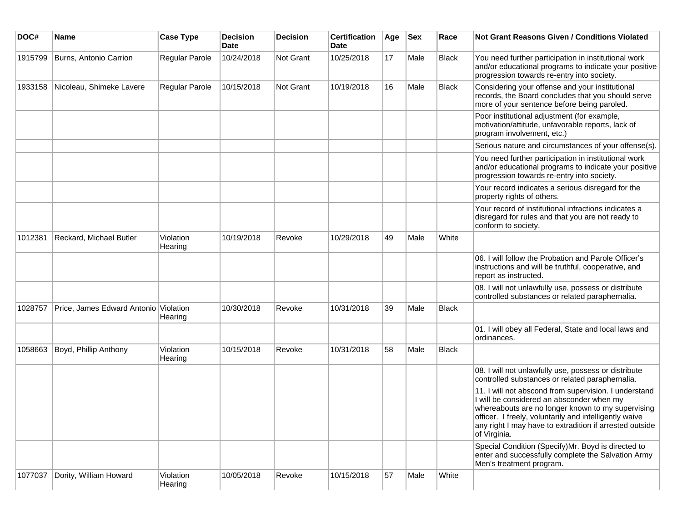| DOC#    | <b>Name</b>                           | <b>Case Type</b>     | <b>Decision</b><br><b>Date</b> | <b>Decision</b> | <b>Certification</b><br>Date | Age | <b>Sex</b> | Race         | Not Grant Reasons Given / Conditions Violated                                                                                                                                                                                                                                                |
|---------|---------------------------------------|----------------------|--------------------------------|-----------------|------------------------------|-----|------------|--------------|----------------------------------------------------------------------------------------------------------------------------------------------------------------------------------------------------------------------------------------------------------------------------------------------|
| 1915799 | Burns, Antonio Carrion                | Regular Parole       | 10/24/2018                     | Not Grant       | 10/25/2018                   | 17  | Male       | <b>Black</b> | You need further participation in institutional work<br>and/or educational programs to indicate your positive<br>progression towards re-entry into society.                                                                                                                                  |
| 1933158 | Nicoleau, Shimeke Lavere              | Regular Parole       | 10/15/2018                     | Not Grant       | 10/19/2018                   | 16  | Male       | Black        | Considering your offense and your institutional<br>records, the Board concludes that you should serve<br>more of your sentence before being paroled.                                                                                                                                         |
|         |                                       |                      |                                |                 |                              |     |            |              | Poor institutional adjustment (for example,<br>motivation/attitude, unfavorable reports, lack of<br>program involvement, etc.)                                                                                                                                                               |
|         |                                       |                      |                                |                 |                              |     |            |              | Serious nature and circumstances of your offense(s).                                                                                                                                                                                                                                         |
|         |                                       |                      |                                |                 |                              |     |            |              | You need further participation in institutional work<br>and/or educational programs to indicate your positive<br>progression towards re-entry into society.                                                                                                                                  |
|         |                                       |                      |                                |                 |                              |     |            |              | Your record indicates a serious disregard for the<br>property rights of others.                                                                                                                                                                                                              |
|         |                                       |                      |                                |                 |                              |     |            |              | Your record of institutional infractions indicates a<br>disregard for rules and that you are not ready to<br>conform to society.                                                                                                                                                             |
| 1012381 | Reckard, Michael Butler               | Violation<br>Hearing | 10/19/2018                     | Revoke          | 10/29/2018                   | 49  | Male       | White        |                                                                                                                                                                                                                                                                                              |
|         |                                       |                      |                                |                 |                              |     |            |              | 06. I will follow the Probation and Parole Officer's<br>instructions and will be truthful, cooperative, and<br>report as instructed.                                                                                                                                                         |
|         |                                       |                      |                                |                 |                              |     |            |              | 08. I will not unlawfully use, possess or distribute<br>controlled substances or related paraphernalia.                                                                                                                                                                                      |
| 1028757 | Price, James Edward Antonio Violation | Hearing              | 10/30/2018                     | Revoke          | 10/31/2018                   | 39  | Male       | Black        |                                                                                                                                                                                                                                                                                              |
|         |                                       |                      |                                |                 |                              |     |            |              | 01. I will obey all Federal, State and local laws and<br>ordinances.                                                                                                                                                                                                                         |
| 1058663 | Boyd, Phillip Anthony                 | Violation<br>Hearing | 10/15/2018                     | Revoke          | 10/31/2018                   | 58  | Male       | Black        |                                                                                                                                                                                                                                                                                              |
|         |                                       |                      |                                |                 |                              |     |            |              | 08. I will not unlawfully use, possess or distribute<br>controlled substances or related paraphernalia.                                                                                                                                                                                      |
|         |                                       |                      |                                |                 |                              |     |            |              | 11. I will not abscond from supervision. I understand<br>I will be considered an absconder when my<br>whereabouts are no longer known to my supervising<br>officer. I freely, voluntarily and intelligently waive<br>any right I may have to extradition if arrested outside<br>of Virginia. |
|         |                                       |                      |                                |                 |                              |     |            |              | Special Condition (Specify)Mr. Boyd is directed to<br>enter and successfully complete the Salvation Army<br>Men's treatment program.                                                                                                                                                         |
| 1077037 | Dority, William Howard                | Violation<br>Hearing | 10/05/2018                     | Revoke          | 10/15/2018                   | 57  | Male       | White        |                                                                                                                                                                                                                                                                                              |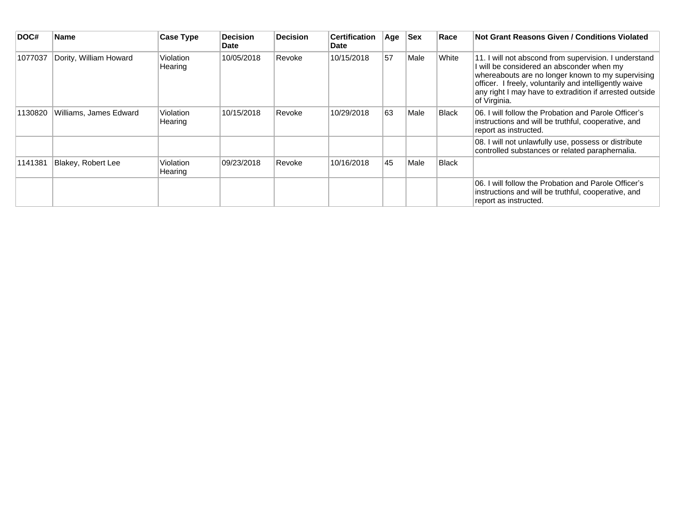| DOC#    | <b>Name</b>            | Case Type            | <b>Decision</b><br>Date | <b>Decision</b> | <b>Certification</b><br>Date | Age | <b>Sex</b> | Race  | Not Grant Reasons Given / Conditions Violated                                                                                                                                                                                                                                              |
|---------|------------------------|----------------------|-------------------------|-----------------|------------------------------|-----|------------|-------|--------------------------------------------------------------------------------------------------------------------------------------------------------------------------------------------------------------------------------------------------------------------------------------------|
| 1077037 | Dority, William Howard | Violation<br>Hearing | 10/05/2018              | Revoke          | 10/15/2018                   | 57  | Male       | White | 11. I will not abscond from supervision. I understand<br>will be considered an absconder when my<br>whereabouts are no longer known to my supervising<br>officer. I freely, voluntarily and intelligently waive<br>any right I may have to extradition if arrested outside<br>of Virginia. |
| 1130820 | Williams, James Edward | Violation<br>Hearing | 10/15/2018              | Revoke          | 10/29/2018                   | 63  | Male       | Black | 06. I will follow the Probation and Parole Officer's<br>instructions and will be truthful, cooperative, and<br>report as instructed.                                                                                                                                                       |
|         |                        |                      |                         |                 |                              |     |            |       | 08. I will not unlawfully use, possess or distribute<br>controlled substances or related paraphernalia.                                                                                                                                                                                    |
| 1141381 | Blakey, Robert Lee     | Violation<br>Hearing | 09/23/2018              | Revoke          | 10/16/2018                   | 45  | Male       | Black |                                                                                                                                                                                                                                                                                            |
|         |                        |                      |                         |                 |                              |     |            |       | 06. I will follow the Probation and Parole Officer's<br>instructions and will be truthful, cooperative, and<br>report as instructed.                                                                                                                                                       |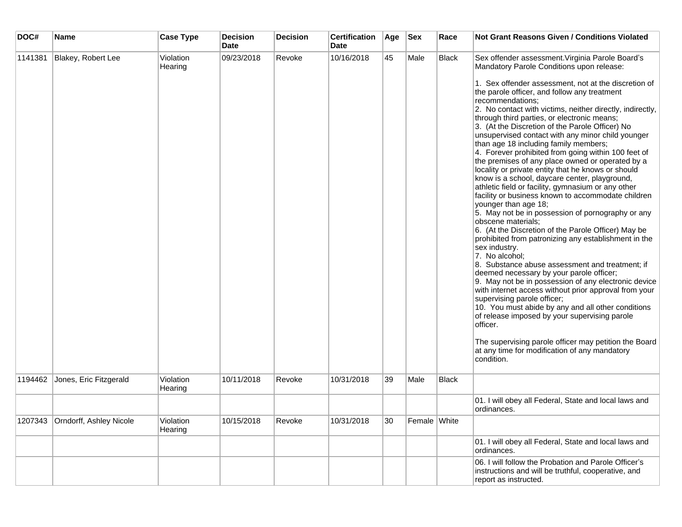| DOC#    | Name                            | <b>Case Type</b>     | <b>Decision</b><br><b>Date</b> | <b>Decision</b> | <b>Certification</b><br>Date | Age | <b>Sex</b>   | Race         | <b>Not Grant Reasons Given / Conditions Violated</b>                                                                                                                                                                                                                                                                                                                                                                                                                                                                                                                                                                                                                                                                                                                                                                                                                                                                                                                                                                                                                                                                                                                                                                                                                                                                                                                                                                                                                                                                                                                |
|---------|---------------------------------|----------------------|--------------------------------|-----------------|------------------------------|-----|--------------|--------------|---------------------------------------------------------------------------------------------------------------------------------------------------------------------------------------------------------------------------------------------------------------------------------------------------------------------------------------------------------------------------------------------------------------------------------------------------------------------------------------------------------------------------------------------------------------------------------------------------------------------------------------------------------------------------------------------------------------------------------------------------------------------------------------------------------------------------------------------------------------------------------------------------------------------------------------------------------------------------------------------------------------------------------------------------------------------------------------------------------------------------------------------------------------------------------------------------------------------------------------------------------------------------------------------------------------------------------------------------------------------------------------------------------------------------------------------------------------------------------------------------------------------------------------------------------------------|
| 1141381 | Blakey, Robert Lee              | Violation<br>Hearing | 09/23/2018                     | Revoke          | 10/16/2018                   | 45  | Male         | <b>Black</b> | Sex offender assessment. Virginia Parole Board's<br>Mandatory Parole Conditions upon release:<br>1. Sex offender assessment, not at the discretion of<br>the parole officer, and follow any treatment<br>recommendations;<br>2. No contact with victims, neither directly, indirectly,<br>through third parties, or electronic means;<br>3. (At the Discretion of the Parole Officer) No<br>unsupervised contact with any minor child younger<br>than age 18 including family members;<br>4. Forever prohibited from going within 100 feet of<br>the premises of any place owned or operated by a<br>locality or private entity that he knows or should<br>know is a school, daycare center, playground,<br>athletic field or facility, gymnasium or any other<br>facility or business known to accommodate children<br>younger than age 18;<br>5. May not be in possession of pornography or any<br>obscene materials;<br>6. (At the Discretion of the Parole Officer) May be<br>prohibited from patronizing any establishment in the<br>sex industry.<br>7. No alcohol;<br>8. Substance abuse assessment and treatment; if<br>deemed necessary by your parole officer;<br>9. May not be in possession of any electronic device<br>with internet access without prior approval from your<br>supervising parole officer;<br>10. You must abide by any and all other conditions<br>of release imposed by your supervising parole<br>officer.<br>The supervising parole officer may petition the Board<br>at any time for modification of any mandatory<br>condition. |
| 1194462 | Jones, Eric Fitzgerald          | Violation<br>Hearing | 10/11/2018                     | Revoke          | 10/31/2018                   | 39  | Male         | <b>Black</b> |                                                                                                                                                                                                                                                                                                                                                                                                                                                                                                                                                                                                                                                                                                                                                                                                                                                                                                                                                                                                                                                                                                                                                                                                                                                                                                                                                                                                                                                                                                                                                                     |
|         |                                 |                      |                                |                 |                              |     |              |              | 01. I will obey all Federal, State and local laws and<br>ordinances.                                                                                                                                                                                                                                                                                                                                                                                                                                                                                                                                                                                                                                                                                                                                                                                                                                                                                                                                                                                                                                                                                                                                                                                                                                                                                                                                                                                                                                                                                                |
|         | 1207343 Orndorff, Ashley Nicole | Violation<br>Hearing | 10/15/2018                     | Revoke          | 10/31/2018                   | 30  | Female White |              |                                                                                                                                                                                                                                                                                                                                                                                                                                                                                                                                                                                                                                                                                                                                                                                                                                                                                                                                                                                                                                                                                                                                                                                                                                                                                                                                                                                                                                                                                                                                                                     |
|         |                                 |                      |                                |                 |                              |     |              |              | 01. I will obey all Federal, State and local laws and<br>ordinances.                                                                                                                                                                                                                                                                                                                                                                                                                                                                                                                                                                                                                                                                                                                                                                                                                                                                                                                                                                                                                                                                                                                                                                                                                                                                                                                                                                                                                                                                                                |
|         |                                 |                      |                                |                 |                              |     |              |              | 06. I will follow the Probation and Parole Officer's<br>instructions and will be truthful, cooperative, and<br>report as instructed.                                                                                                                                                                                                                                                                                                                                                                                                                                                                                                                                                                                                                                                                                                                                                                                                                                                                                                                                                                                                                                                                                                                                                                                                                                                                                                                                                                                                                                |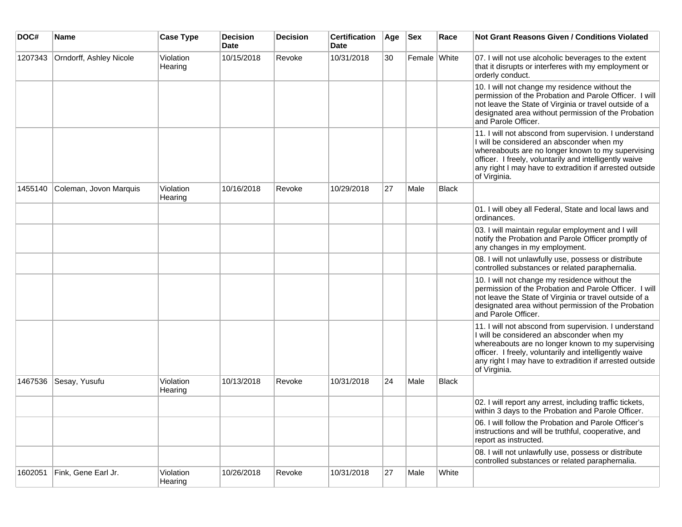| DOC#    | Name                    | <b>Case Type</b>     | <b>Decision</b><br><b>Date</b> | <b>Decision</b> | <b>Certification</b><br><b>Date</b> | Age | <b>Sex</b>   | Race         | <b>Not Grant Reasons Given / Conditions Violated</b>                                                                                                                                                                                                                                         |
|---------|-------------------------|----------------------|--------------------------------|-----------------|-------------------------------------|-----|--------------|--------------|----------------------------------------------------------------------------------------------------------------------------------------------------------------------------------------------------------------------------------------------------------------------------------------------|
| 1207343 | Orndorff, Ashley Nicole | Violation<br>Hearing | 10/15/2018                     | Revoke          | 10/31/2018                          | 30  | Female White |              | 07. I will not use alcoholic beverages to the extent<br>that it disrupts or interferes with my employment or<br>orderly conduct.                                                                                                                                                             |
|         |                         |                      |                                |                 |                                     |     |              |              | 10. I will not change my residence without the<br>permission of the Probation and Parole Officer. I will<br>not leave the State of Virginia or travel outside of a<br>designated area without permission of the Probation<br>and Parole Officer.                                             |
|         |                         |                      |                                |                 |                                     |     |              |              | 11. I will not abscond from supervision. I understand<br>I will be considered an absconder when my<br>whereabouts are no longer known to my supervising<br>officer. I freely, voluntarily and intelligently waive<br>any right I may have to extradition if arrested outside<br>of Virginia. |
| 1455140 | Coleman, Jovon Marquis  | Violation<br>Hearing | 10/16/2018                     | Revoke          | 10/29/2018                          | 27  | Male         | <b>Black</b> |                                                                                                                                                                                                                                                                                              |
|         |                         |                      |                                |                 |                                     |     |              |              | 01. I will obey all Federal, State and local laws and<br>ordinances.                                                                                                                                                                                                                         |
|         |                         |                      |                                |                 |                                     |     |              |              | 03. I will maintain regular employment and I will<br>notify the Probation and Parole Officer promptly of<br>any changes in my employment.                                                                                                                                                    |
|         |                         |                      |                                |                 |                                     |     |              |              | 08. I will not unlawfully use, possess or distribute<br>controlled substances or related paraphernalia.                                                                                                                                                                                      |
|         |                         |                      |                                |                 |                                     |     |              |              | 10. I will not change my residence without the<br>permission of the Probation and Parole Officer. I will<br>not leave the State of Virginia or travel outside of a<br>designated area without permission of the Probation<br>and Parole Officer.                                             |
|         |                         |                      |                                |                 |                                     |     |              |              | 11. I will not abscond from supervision. I understand<br>I will be considered an absconder when my<br>whereabouts are no longer known to my supervising<br>officer. I freely, voluntarily and intelligently waive<br>any right I may have to extradition if arrested outside<br>of Virginia. |
| 1467536 | Sesay, Yusufu           | Violation<br>Hearing | 10/13/2018                     | Revoke          | 10/31/2018                          | 24  | Male         | Black        |                                                                                                                                                                                                                                                                                              |
|         |                         |                      |                                |                 |                                     |     |              |              | 02. I will report any arrest, including traffic tickets,<br>within 3 days to the Probation and Parole Officer.                                                                                                                                                                               |
|         |                         |                      |                                |                 |                                     |     |              |              | 06. I will follow the Probation and Parole Officer's<br>instructions and will be truthful, cooperative, and<br>report as instructed.                                                                                                                                                         |
|         |                         |                      |                                |                 |                                     |     |              |              | 08. I will not unlawfully use, possess or distribute<br>controlled substances or related paraphernalia.                                                                                                                                                                                      |
| 1602051 | Fink, Gene Earl Jr.     | Violation<br>Hearing | 10/26/2018                     | Revoke          | 10/31/2018                          | 27  | Male         | White        |                                                                                                                                                                                                                                                                                              |